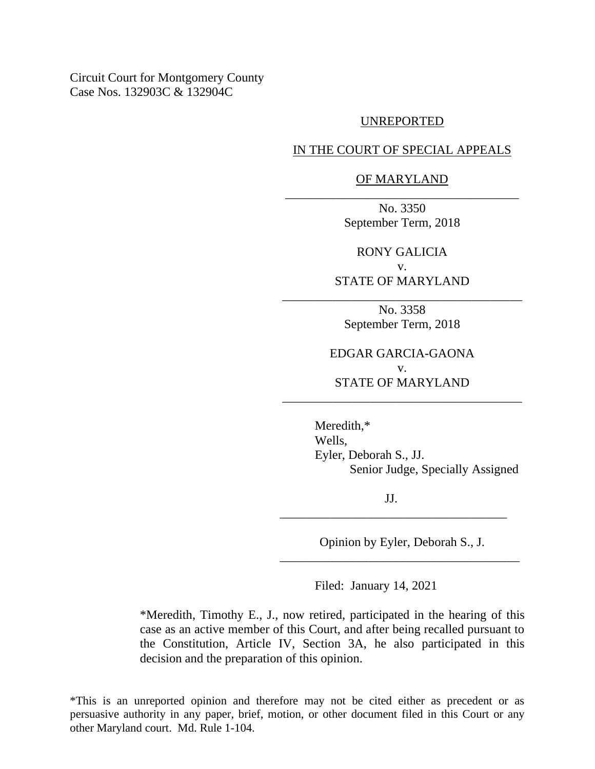Circuit Court for Montgomery County Case Nos. 132903C & 132904C

#### UNREPORTED

IN THE COURT OF SPECIAL APPEALS

### OF MARYLAND \_\_\_\_\_\_\_\_\_\_\_\_\_\_\_\_\_\_\_\_\_\_\_\_\_\_\_\_\_\_\_\_\_\_\_\_\_

No. 3350 September Term, 2018

RONY GALICIA v.

STATE OF MARYLAND \_\_\_\_\_\_\_\_\_\_\_\_\_\_\_\_\_\_\_\_\_\_\_\_\_\_\_\_\_\_\_\_\_\_\_\_\_\_

> No. 3358 September Term, 2018

EDGAR GARCIA-GAONA v. STATE OF MARYLAND

\_\_\_\_\_\_\_\_\_\_\_\_\_\_\_\_\_\_\_\_\_\_\_\_\_\_\_\_\_\_\_\_\_\_\_\_\_\_

Meredith,\* Wells, Eyler, Deborah S., JJ. Senior Judge, Specially Assigned

JJ. \_\_\_\_\_\_\_\_\_\_\_\_\_\_\_\_\_\_\_\_\_\_\_\_\_\_\_\_\_\_\_\_\_\_\_\_

Opinion by Eyler, Deborah S., J. \_\_\_\_\_\_\_\_\_\_\_\_\_\_\_\_\_\_\_\_\_\_\_\_\_\_\_\_\_\_\_\_\_\_\_\_\_\_

Filed: January 14, 2021

\*Meredith, Timothy E., J., now retired, participated in the hearing of this case as an active member of this Court, and after being recalled pursuant to the Constitution, Article IV, Section 3A, he also participated in this decision and the preparation of this opinion.

\*This is an unreported opinion and therefore may not be cited either as precedent or as persuasive authority in any paper, brief, motion, or other document filed in this Court or any other Maryland court. Md. Rule 1-104.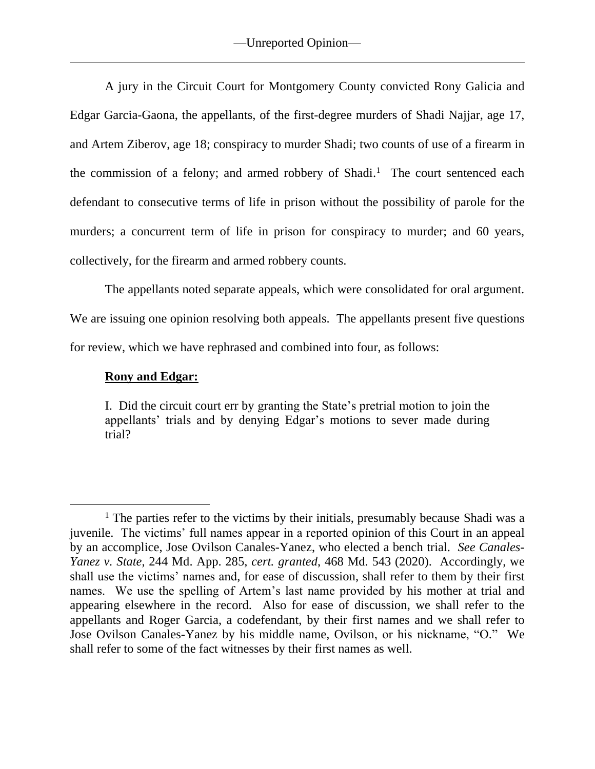A jury in the Circuit Court for Montgomery County convicted Rony Galicia and Edgar Garcia-Gaona, the appellants, of the first-degree murders of Shadi Najjar, age 17, and Artem Ziberov, age 18; conspiracy to murder Shadi; two counts of use of a firearm in the commission of a felony; and armed robbery of Shadi.<sup>1</sup> The court sentenced each defendant to consecutive terms of life in prison without the possibility of parole for the murders; a concurrent term of life in prison for conspiracy to murder; and 60 years, collectively, for the firearm and armed robbery counts.

The appellants noted separate appeals, which were consolidated for oral argument.

We are issuing one opinion resolving both appeals. The appellants present five questions for review, which we have rephrased and combined into four, as follows:

## **Rony and Edgar:**

I. Did the circuit court err by granting the State's pretrial motion to join the appellants' trials and by denying Edgar's motions to sever made during trial?

<sup>&</sup>lt;sup>1</sup> The parties refer to the victims by their initials, presumably because Shadi was a juvenile. The victims' full names appear in a reported opinion of this Court in an appeal by an accomplice, Jose Ovilson Canales-Yanez, who elected a bench trial. *See Canales-Yanez v. State*, 244 Md. App. 285, *cert. granted*, 468 Md. 543 (2020). Accordingly, we shall use the victims' names and, for ease of discussion, shall refer to them by their first names. We use the spelling of Artem's last name provided by his mother at trial and appearing elsewhere in the record. Also for ease of discussion, we shall refer to the appellants and Roger Garcia, a codefendant, by their first names and we shall refer to Jose Ovilson Canales-Yanez by his middle name, Ovilson, or his nickname, "O." We shall refer to some of the fact witnesses by their first names as well.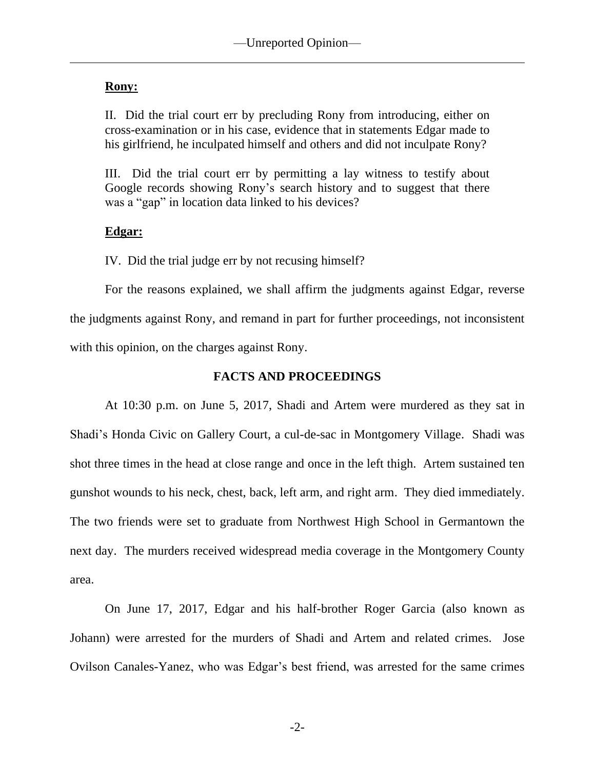# **Rony:**

II. Did the trial court err by precluding Rony from introducing, either on cross-examination or in his case, evidence that in statements Edgar made to his girlfriend, he inculpated himself and others and did not inculpate Rony?

III. Did the trial court err by permitting a lay witness to testify about Google records showing Rony's search history and to suggest that there was a "gap" in location data linked to his devices?

# **Edgar:**

IV. Did the trial judge err by not recusing himself?

For the reasons explained, we shall affirm the judgments against Edgar, reverse the judgments against Rony, and remand in part for further proceedings, not inconsistent with this opinion, on the charges against Rony.

# **FACTS AND PROCEEDINGS**

At 10:30 p.m. on June 5, 2017, Shadi and Artem were murdered as they sat in Shadi's Honda Civic on Gallery Court, a cul-de-sac in Montgomery Village. Shadi was shot three times in the head at close range and once in the left thigh. Artem sustained ten gunshot wounds to his neck, chest, back, left arm, and right arm. They died immediately. The two friends were set to graduate from Northwest High School in Germantown the next day. The murders received widespread media coverage in the Montgomery County area.

On June 17, 2017, Edgar and his half-brother Roger Garcia (also known as Johann) were arrested for the murders of Shadi and Artem and related crimes. Jose Ovilson Canales-Yanez, who was Edgar's best friend, was arrested for the same crimes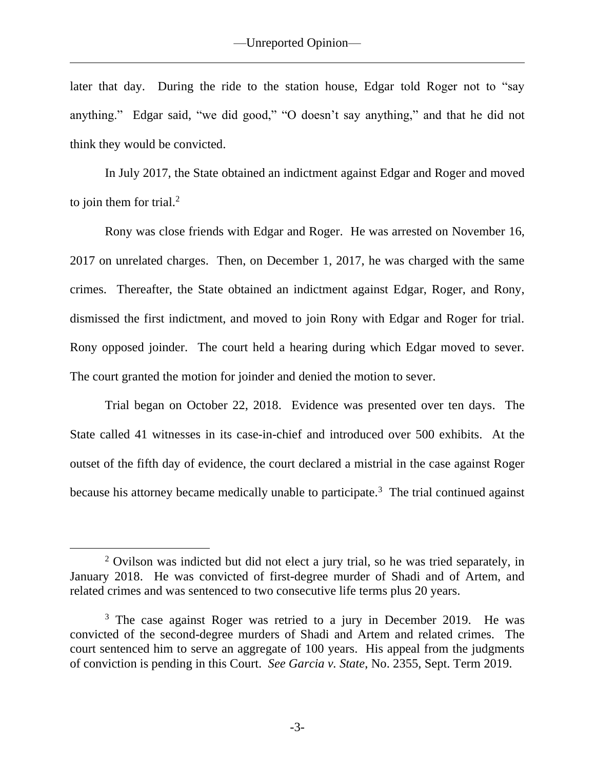later that day. During the ride to the station house, Edgar told Roger not to "say anything." Edgar said, "we did good," "O doesn't say anything," and that he did not think they would be convicted.

In July 2017, the State obtained an indictment against Edgar and Roger and moved to join them for trial. $<sup>2</sup>$ </sup>

Rony was close friends with Edgar and Roger. He was arrested on November 16, 2017 on unrelated charges. Then, on December 1, 2017, he was charged with the same crimes. Thereafter, the State obtained an indictment against Edgar, Roger, and Rony, dismissed the first indictment, and moved to join Rony with Edgar and Roger for trial. Rony opposed joinder. The court held a hearing during which Edgar moved to sever. The court granted the motion for joinder and denied the motion to sever.

Trial began on October 22, 2018. Evidence was presented over ten days. The State called 41 witnesses in its case-in-chief and introduced over 500 exhibits. At the outset of the fifth day of evidence, the court declared a mistrial in the case against Roger because his attorney became medically unable to participate.<sup>3</sup> The trial continued against

<sup>&</sup>lt;sup>2</sup> Ovilson was indicted but did not elect a jury trial, so he was tried separately, in January 2018. He was convicted of first-degree murder of Shadi and of Artem, and related crimes and was sentenced to two consecutive life terms plus 20 years.

<sup>&</sup>lt;sup>3</sup> The case against Roger was retried to a jury in December 2019. He was convicted of the second-degree murders of Shadi and Artem and related crimes. The court sentenced him to serve an aggregate of 100 years. His appeal from the judgments of conviction is pending in this Court. *See Garcia v. State*, No. 2355, Sept. Term 2019.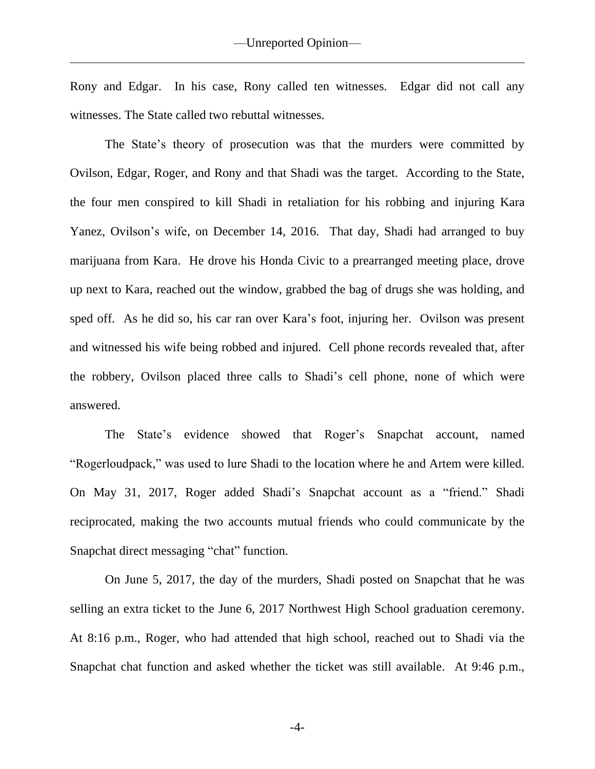Rony and Edgar. In his case, Rony called ten witnesses. Edgar did not call any witnesses. The State called two rebuttal witnesses.

The State's theory of prosecution was that the murders were committed by Ovilson, Edgar, Roger, and Rony and that Shadi was the target. According to the State, the four men conspired to kill Shadi in retaliation for his robbing and injuring Kara Yanez, Ovilson's wife, on December 14, 2016. That day, Shadi had arranged to buy marijuana from Kara. He drove his Honda Civic to a prearranged meeting place, drove up next to Kara, reached out the window, grabbed the bag of drugs she was holding, and sped off. As he did so, his car ran over Kara's foot, injuring her. Ovilson was present and witnessed his wife being robbed and injured. Cell phone records revealed that, after the robbery, Ovilson placed three calls to Shadi's cell phone, none of which were answered.

The State's evidence showed that Roger's Snapchat account, named "Rogerloudpack," was used to lure Shadi to the location where he and Artem were killed. On May 31, 2017, Roger added Shadi's Snapchat account as a "friend." Shadi reciprocated, making the two accounts mutual friends who could communicate by the Snapchat direct messaging "chat" function.

On June 5, 2017, the day of the murders, Shadi posted on Snapchat that he was selling an extra ticket to the June 6, 2017 Northwest High School graduation ceremony. At 8:16 p.m., Roger, who had attended that high school, reached out to Shadi via the Snapchat chat function and asked whether the ticket was still available. At 9:46 p.m.,

-4-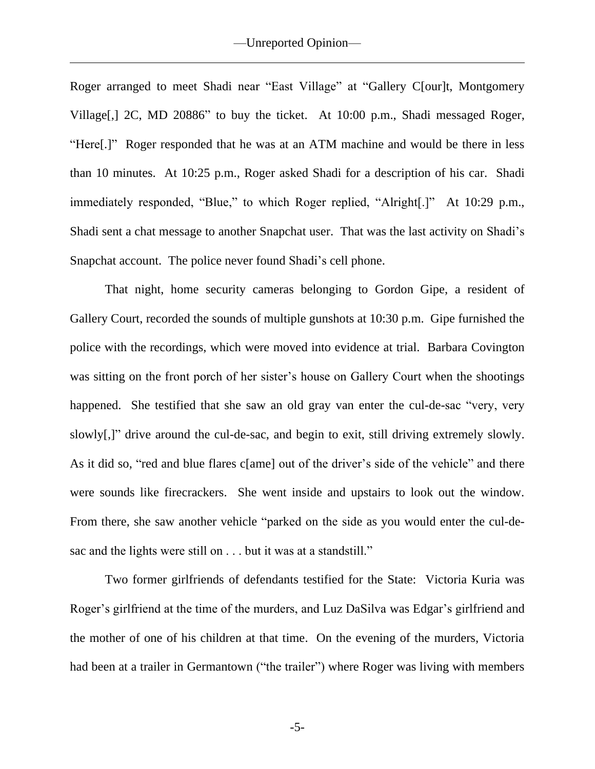Roger arranged to meet Shadi near "East Village" at "Gallery C[our]t, Montgomery Village[,] 2C, MD 20886" to buy the ticket. At 10:00 p.m., Shadi messaged Roger, "Here[.]" Roger responded that he was at an ATM machine and would be there in less than 10 minutes. At 10:25 p.m., Roger asked Shadi for a description of his car. Shadi immediately responded, "Blue," to which Roger replied, "Alright[.]" At 10:29 p.m., Shadi sent a chat message to another Snapchat user. That was the last activity on Shadi's Snapchat account. The police never found Shadi's cell phone.

That night, home security cameras belonging to Gordon Gipe, a resident of Gallery Court, recorded the sounds of multiple gunshots at 10:30 p.m. Gipe furnished the police with the recordings, which were moved into evidence at trial. Barbara Covington was sitting on the front porch of her sister's house on Gallery Court when the shootings happened. She testified that she saw an old gray van enter the cul-de-sac "very, very slowly[,]" drive around the cul-de-sac, and begin to exit, still driving extremely slowly. As it did so, "red and blue flares c[ame] out of the driver's side of the vehicle" and there were sounds like firecrackers. She went inside and upstairs to look out the window. From there, she saw another vehicle "parked on the side as you would enter the cul-desac and the lights were still on . . . but it was at a standstill."

Two former girlfriends of defendants testified for the State: Victoria Kuria was Roger's girlfriend at the time of the murders, and Luz DaSilva was Edgar's girlfriend and the mother of one of his children at that time. On the evening of the murders, Victoria had been at a trailer in Germantown ("the trailer") where Roger was living with members

-5-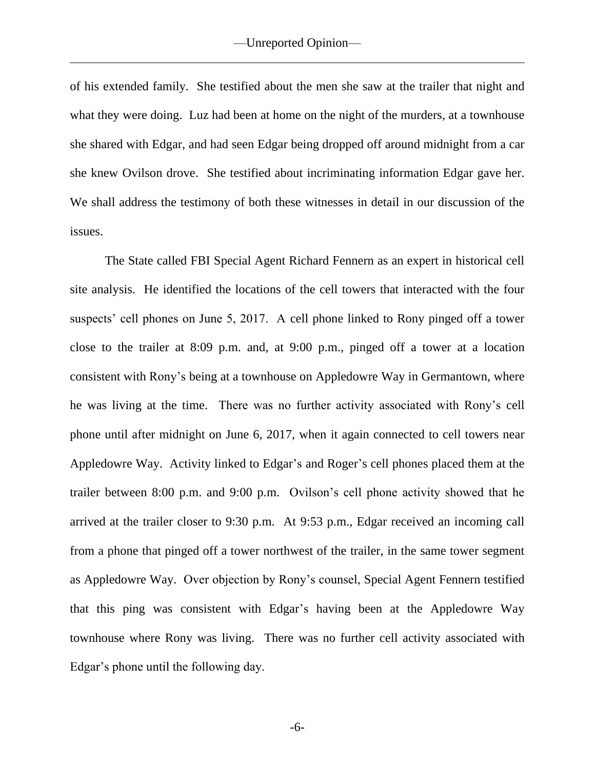of his extended family. She testified about the men she saw at the trailer that night and what they were doing. Luz had been at home on the night of the murders, at a townhouse she shared with Edgar, and had seen Edgar being dropped off around midnight from a car she knew Ovilson drove. She testified about incriminating information Edgar gave her. We shall address the testimony of both these witnesses in detail in our discussion of the issues.

The State called FBI Special Agent Richard Fennern as an expert in historical cell site analysis. He identified the locations of the cell towers that interacted with the four suspects' cell phones on June 5, 2017. A cell phone linked to Rony pinged off a tower close to the trailer at 8:09 p.m. and, at 9:00 p.m., pinged off a tower at a location consistent with Rony's being at a townhouse on Appledowre Way in Germantown, where he was living at the time. There was no further activity associated with Rony's cell phone until after midnight on June 6, 2017, when it again connected to cell towers near Appledowre Way. Activity linked to Edgar's and Roger's cell phones placed them at the trailer between 8:00 p.m. and 9:00 p.m. Ovilson's cell phone activity showed that he arrived at the trailer closer to 9:30 p.m. At 9:53 p.m., Edgar received an incoming call from a phone that pinged off a tower northwest of the trailer, in the same tower segment as Appledowre Way. Over objection by Rony's counsel, Special Agent Fennern testified that this ping was consistent with Edgar's having been at the Appledowre Way townhouse where Rony was living. There was no further cell activity associated with Edgar's phone until the following day.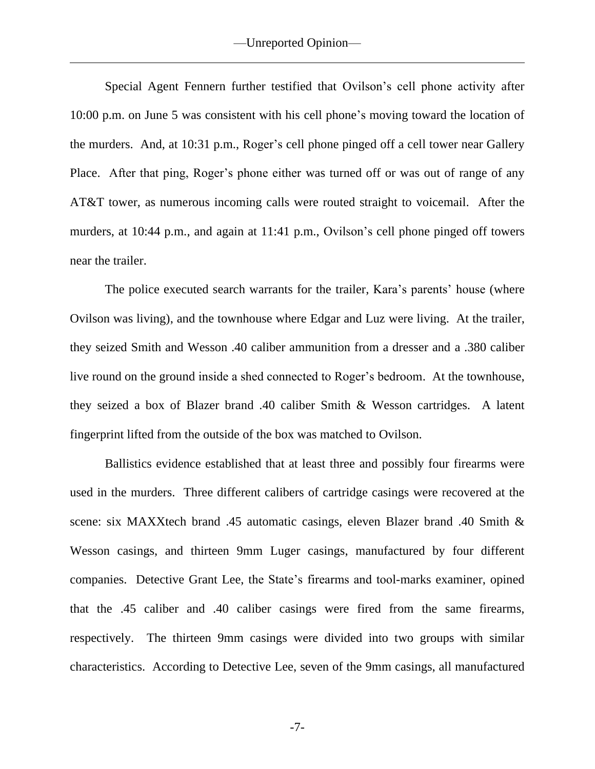Special Agent Fennern further testified that Ovilson's cell phone activity after 10:00 p.m. on June 5 was consistent with his cell phone's moving toward the location of the murders. And, at 10:31 p.m., Roger's cell phone pinged off a cell tower near Gallery Place. After that ping, Roger's phone either was turned off or was out of range of any AT&T tower, as numerous incoming calls were routed straight to voicemail. After the murders, at 10:44 p.m., and again at 11:41 p.m., Ovilson's cell phone pinged off towers near the trailer.

The police executed search warrants for the trailer, Kara's parents' house (where Ovilson was living), and the townhouse where Edgar and Luz were living. At the trailer, they seized Smith and Wesson .40 caliber ammunition from a dresser and a .380 caliber live round on the ground inside a shed connected to Roger's bedroom. At the townhouse, they seized a box of Blazer brand .40 caliber Smith & Wesson cartridges. A latent fingerprint lifted from the outside of the box was matched to Ovilson.

Ballistics evidence established that at least three and possibly four firearms were used in the murders. Three different calibers of cartridge casings were recovered at the scene: six MAXXtech brand .45 automatic casings, eleven Blazer brand .40 Smith & Wesson casings, and thirteen 9mm Luger casings, manufactured by four different companies. Detective Grant Lee, the State's firearms and tool-marks examiner, opined that the .45 caliber and .40 caliber casings were fired from the same firearms, respectively. The thirteen 9mm casings were divided into two groups with similar characteristics. According to Detective Lee, seven of the 9mm casings, all manufactured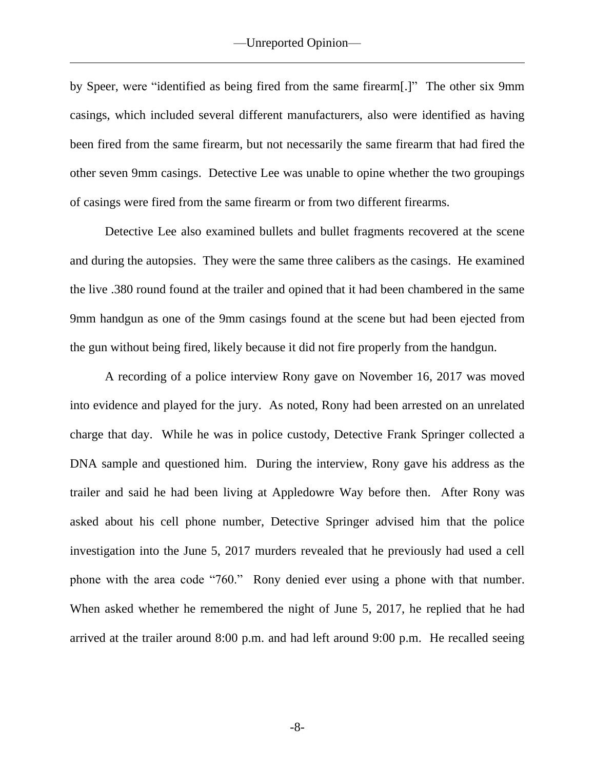by Speer, were "identified as being fired from the same firearm[.]" The other six 9mm casings, which included several different manufacturers, also were identified as having been fired from the same firearm, but not necessarily the same firearm that had fired the other seven 9mm casings. Detective Lee was unable to opine whether the two groupings of casings were fired from the same firearm or from two different firearms.

Detective Lee also examined bullets and bullet fragments recovered at the scene and during the autopsies. They were the same three calibers as the casings. He examined the live .380 round found at the trailer and opined that it had been chambered in the same 9mm handgun as one of the 9mm casings found at the scene but had been ejected from the gun without being fired, likely because it did not fire properly from the handgun.

A recording of a police interview Rony gave on November 16, 2017 was moved into evidence and played for the jury. As noted, Rony had been arrested on an unrelated charge that day. While he was in police custody, Detective Frank Springer collected a DNA sample and questioned him. During the interview, Rony gave his address as the trailer and said he had been living at Appledowre Way before then. After Rony was asked about his cell phone number, Detective Springer advised him that the police investigation into the June 5, 2017 murders revealed that he previously had used a cell phone with the area code "760." Rony denied ever using a phone with that number. When asked whether he remembered the night of June 5, 2017, he replied that he had arrived at the trailer around 8:00 p.m. and had left around 9:00 p.m. He recalled seeing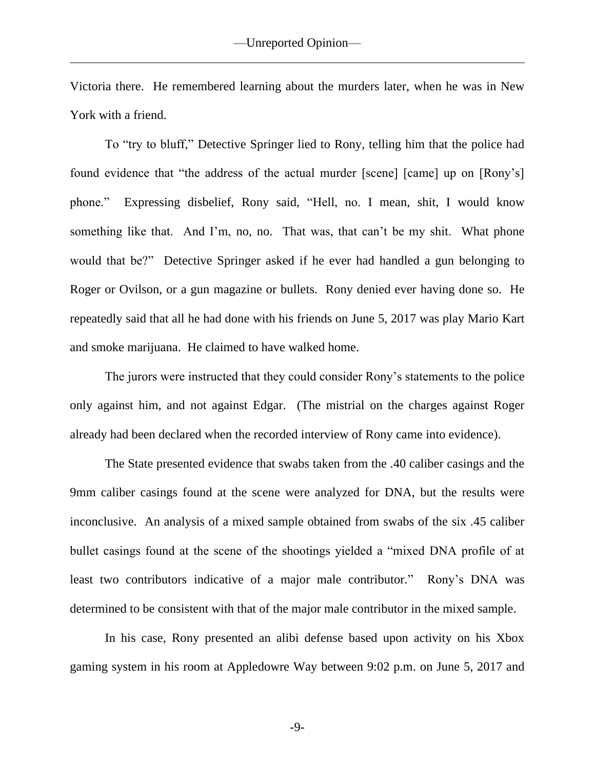Victoria there. He remembered learning about the murders later, when he was in New York with a friend.

To "try to bluff," Detective Springer lied to Rony, telling him that the police had found evidence that "the address of the actual murder [scene] [came] up on [Rony's] phone." Expressing disbelief, Rony said, "Hell, no. I mean, shit, I would know something like that. And I'm, no, no. That was, that can't be my shit. What phone would that be?" Detective Springer asked if he ever had handled a gun belonging to Roger or Ovilson, or a gun magazine or bullets. Rony denied ever having done so. He repeatedly said that all he had done with his friends on June 5, 2017 was play Mario Kart and smoke marijuana. He claimed to have walked home.

The jurors were instructed that they could consider Rony's statements to the police only against him, and not against Edgar. (The mistrial on the charges against Roger already had been declared when the recorded interview of Rony came into evidence).

The State presented evidence that swabs taken from the .40 caliber casings and the 9mm caliber casings found at the scene were analyzed for DNA, but the results were inconclusive. An analysis of a mixed sample obtained from swabs of the six .45 caliber bullet casings found at the scene of the shootings yielded a "mixed DNA profile of at least two contributors indicative of a major male contributor." Rony's DNA was determined to be consistent with that of the major male contributor in the mixed sample.

In his case, Rony presented an alibi defense based upon activity on his Xbox gaming system in his room at Appledowre Way between 9:02 p.m. on June 5, 2017 and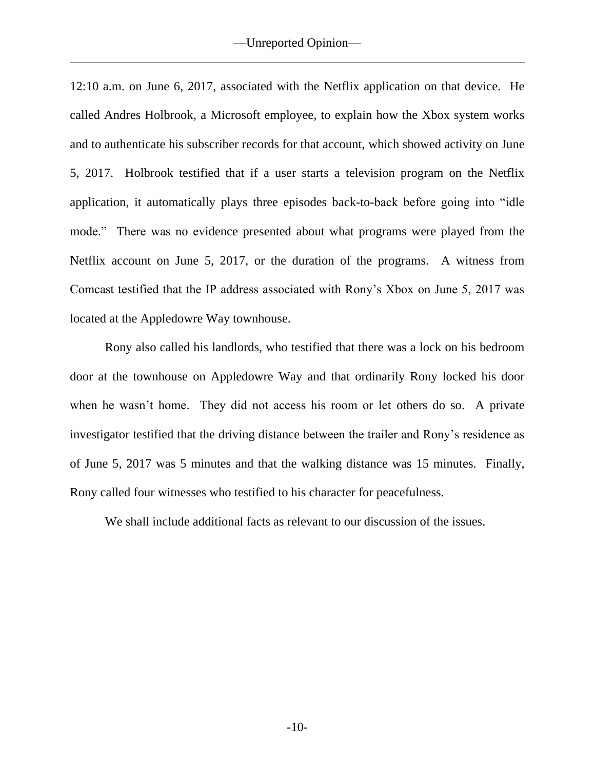12:10 a.m. on June 6, 2017, associated with the Netflix application on that device. He called Andres Holbrook, a Microsoft employee, to explain how the Xbox system works and to authenticate his subscriber records for that account, which showed activity on June 5, 2017. Holbrook testified that if a user starts a television program on the Netflix application, it automatically plays three episodes back-to-back before going into "idle mode." There was no evidence presented about what programs were played from the Netflix account on June 5, 2017, or the duration of the programs. A witness from Comcast testified that the IP address associated with Rony's Xbox on June 5, 2017 was located at the Appledowre Way townhouse.

Rony also called his landlords, who testified that there was a lock on his bedroom door at the townhouse on Appledowre Way and that ordinarily Rony locked his door when he wasn't home. They did not access his room or let others do so. A private investigator testified that the driving distance between the trailer and Rony's residence as of June 5, 2017 was 5 minutes and that the walking distance was 15 minutes. Finally, Rony called four witnesses who testified to his character for peacefulness.

We shall include additional facts as relevant to our discussion of the issues.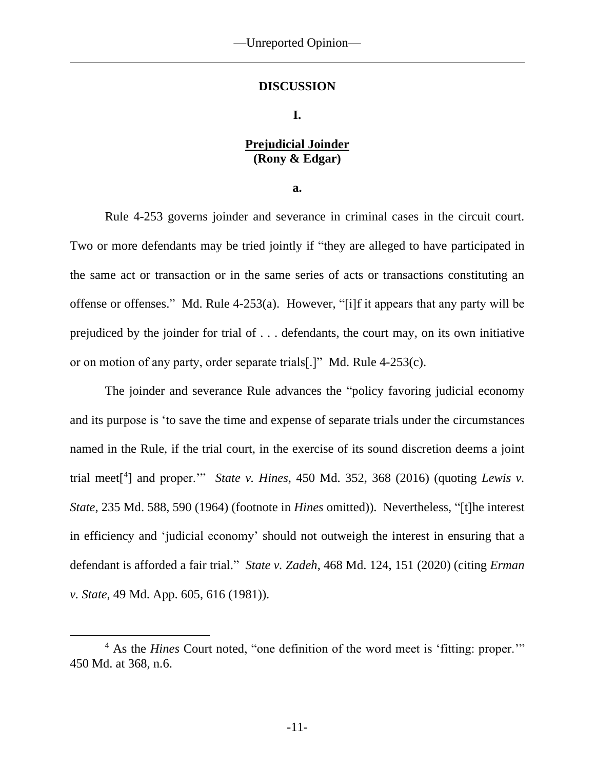### **DISCUSSION**

### **I.**

# **Prejudicial Joinder (Rony & Edgar)**

**a.**

Rule 4-253 governs joinder and severance in criminal cases in the circuit court. Two or more defendants may be tried jointly if "they are alleged to have participated in the same act or transaction or in the same series of acts or transactions constituting an offense or offenses." Md. Rule 4-253(a). However, "[i]f it appears that any party will be prejudiced by the joinder for trial of . . . defendants, the court may, on its own initiative or on motion of any party, order separate trials[.]" Md. Rule 4-253(c).

The joinder and severance Rule advances the "policy favoring judicial economy and its purpose is 'to save the time and expense of separate trials under the circumstances named in the Rule, if the trial court, in the exercise of its sound discretion deems a joint trial meet[ 4 ] and proper.'" *State v. Hines*, 450 Md. 352, 368 (2016) (quoting *Lewis v. State*, 235 Md. 588, 590 (1964) (footnote in *Hines* omitted)). Nevertheless, "[t]he interest in efficiency and 'judicial economy' should not outweigh the interest in ensuring that a defendant is afforded a fair trial." *State v. Zadeh*, 468 Md. 124, 151 (2020) (citing *Erman v. State*, 49 Md. App. 605, 616 (1981)).

<sup>4</sup> As the *Hines* Court noted, "one definition of the word meet is 'fitting: proper.'" 450 Md. at 368, n.6.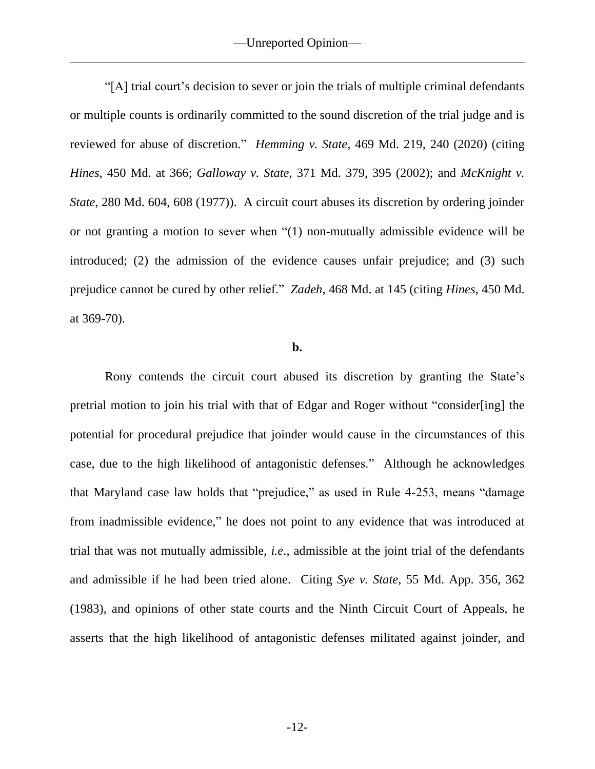"[A] trial court's decision to sever or join the trials of multiple criminal defendants or multiple counts is ordinarily committed to the sound discretion of the trial judge and is reviewed for abuse of discretion." *Hemming v. State*, 469 Md. 219, 240 (2020) (citing *Hines*, 450 Md. at 366; *Galloway v. State*, 371 Md. 379, 395 (2002); and *McKnight v. State*, 280 Md. 604, 608 (1977)). A circuit court abuses its discretion by ordering joinder or not granting a motion to sever when "(1) non-mutually admissible evidence will be introduced; (2) the admission of the evidence causes unfair prejudice; and (3) such prejudice cannot be cured by other relief." *Zadeh*, 468 Md. at 145 (citing *Hines*, 450 Md. at 369-70).

#### **b.**

Rony contends the circuit court abused its discretion by granting the State's pretrial motion to join his trial with that of Edgar and Roger without "consider[ing] the potential for procedural prejudice that joinder would cause in the circumstances of this case, due to the high likelihood of antagonistic defenses." Although he acknowledges that Maryland case law holds that "prejudice," as used in Rule 4-253, means "damage from inadmissible evidence," he does not point to any evidence that was introduced at trial that was not mutually admissible, *i.e*., admissible at the joint trial of the defendants and admissible if he had been tried alone. Citing *Sye v. State*, 55 Md. App. 356, 362 (1983), and opinions of other state courts and the Ninth Circuit Court of Appeals, he asserts that the high likelihood of antagonistic defenses militated against joinder, and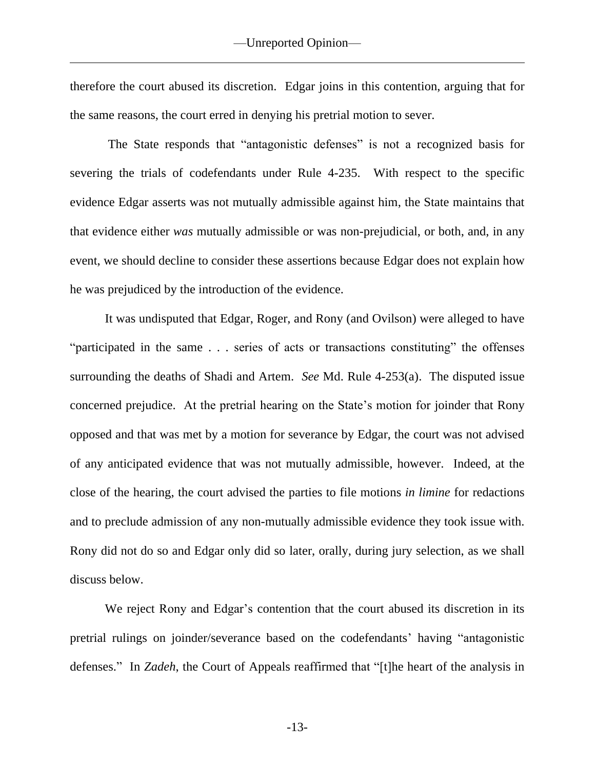therefore the court abused its discretion. Edgar joins in this contention, arguing that for the same reasons, the court erred in denying his pretrial motion to sever.

The State responds that "antagonistic defenses" is not a recognized basis for severing the trials of codefendants under Rule 4-235. With respect to the specific evidence Edgar asserts was not mutually admissible against him, the State maintains that that evidence either *was* mutually admissible or was non-prejudicial, or both, and, in any event, we should decline to consider these assertions because Edgar does not explain how he was prejudiced by the introduction of the evidence.

It was undisputed that Edgar, Roger, and Rony (and Ovilson) were alleged to have "participated in the same . . . series of acts or transactions constituting" the offenses surrounding the deaths of Shadi and Artem. *See* Md. Rule 4-253(a). The disputed issue concerned prejudice. At the pretrial hearing on the State's motion for joinder that Rony opposed and that was met by a motion for severance by Edgar, the court was not advised of any anticipated evidence that was not mutually admissible, however. Indeed, at the close of the hearing, the court advised the parties to file motions *in limine* for redactions and to preclude admission of any non-mutually admissible evidence they took issue with. Rony did not do so and Edgar only did so later, orally, during jury selection, as we shall discuss below.

We reject Rony and Edgar's contention that the court abused its discretion in its pretrial rulings on joinder/severance based on the codefendants' having "antagonistic defenses." In *Zadeh*, the Court of Appeals reaffirmed that "[t]he heart of the analysis in

-13-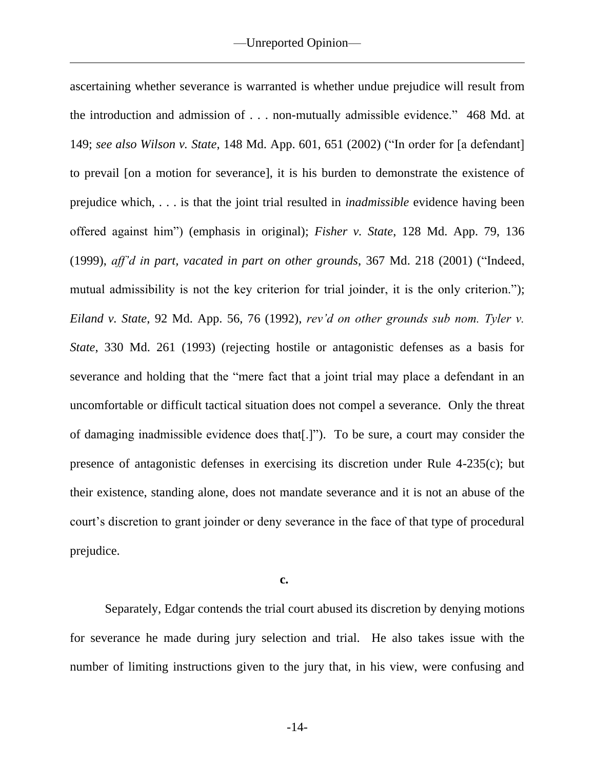ascertaining whether severance is warranted is whether undue prejudice will result from the introduction and admission of . . . non-mutually admissible evidence." 468 Md. at 149; *see also Wilson v. State*, 148 Md. App. 601, 651 (2002) ("In order for [a defendant] to prevail [on a motion for severance], it is his burden to demonstrate the existence of prejudice which, . . . is that the joint trial resulted in *inadmissible* evidence having been offered against him") (emphasis in original); *Fisher v. State*, 128 Md. App. 79, 136 (1999), *aff'd in part, vacated in part on other grounds*, 367 Md. 218 (2001) ("Indeed, mutual admissibility is not the key criterion for trial joinder, it is the only criterion."); *Eiland v. State*, 92 Md. App. 56, 76 (1992), *rev'd on other grounds sub nom. Tyler v. State*, 330 Md. 261 (1993) (rejecting hostile or antagonistic defenses as a basis for severance and holding that the "mere fact that a joint trial may place a defendant in an uncomfortable or difficult tactical situation does not compel a severance. Only the threat of damaging inadmissible evidence does that[.]"). To be sure, a court may consider the presence of antagonistic defenses in exercising its discretion under Rule 4-235(c); but their existence, standing alone, does not mandate severance and it is not an abuse of the court's discretion to grant joinder or deny severance in the face of that type of procedural prejudice.

**c.**

Separately, Edgar contends the trial court abused its discretion by denying motions for severance he made during jury selection and trial. He also takes issue with the number of limiting instructions given to the jury that, in his view, were confusing and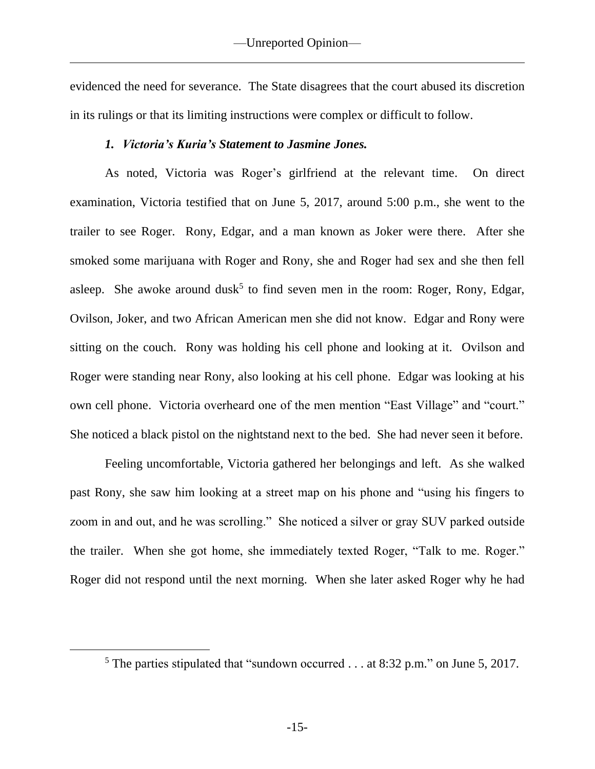evidenced the need for severance. The State disagrees that the court abused its discretion in its rulings or that its limiting instructions were complex or difficult to follow.

## *1. Victoria's Kuria's Statement to Jasmine Jones.*

As noted, Victoria was Roger's girlfriend at the relevant time. On direct examination, Victoria testified that on June 5, 2017, around 5:00 p.m., she went to the trailer to see Roger. Rony, Edgar, and a man known as Joker were there. After she smoked some marijuana with Roger and Rony, she and Roger had sex and she then fell asleep. She awoke around dusk<sup>5</sup> to find seven men in the room: Roger, Rony, Edgar, Ovilson, Joker, and two African American men she did not know. Edgar and Rony were sitting on the couch. Rony was holding his cell phone and looking at it. Ovilson and Roger were standing near Rony, also looking at his cell phone. Edgar was looking at his own cell phone. Victoria overheard one of the men mention "East Village" and "court." She noticed a black pistol on the nightstand next to the bed. She had never seen it before.

Feeling uncomfortable, Victoria gathered her belongings and left. As she walked past Rony, she saw him looking at a street map on his phone and "using his fingers to zoom in and out, and he was scrolling." She noticed a silver or gray SUV parked outside the trailer. When she got home, she immediately texted Roger, "Talk to me. Roger." Roger did not respond until the next morning. When she later asked Roger why he had

<sup>5</sup> The parties stipulated that "sundown occurred . . . at 8:32 p.m." on June 5, 2017.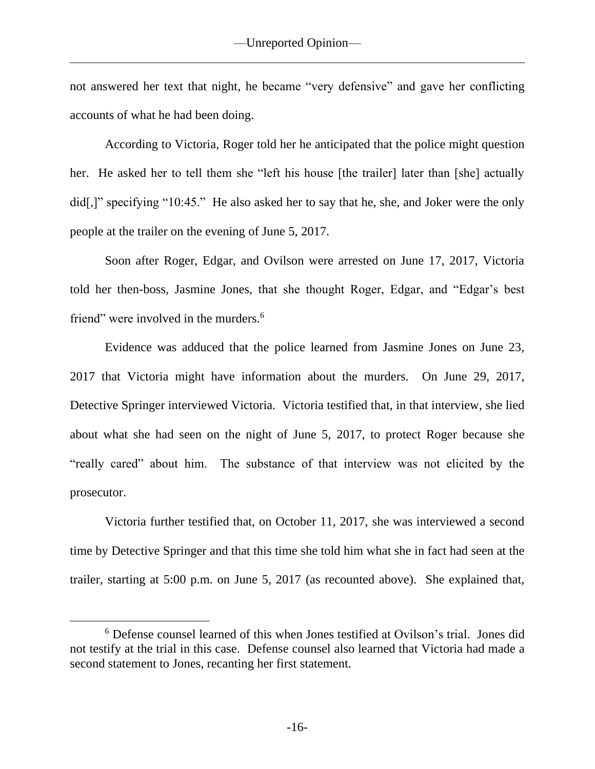not answered her text that night, he became "very defensive" and gave her conflicting accounts of what he had been doing.

According to Victoria, Roger told her he anticipated that the police might question her. He asked her to tell them she "left his house [the trailer] later than [she] actually did[,]" specifying "10:45." He also asked her to say that he, she, and Joker were the only people at the trailer on the evening of June 5, 2017.

Soon after Roger, Edgar, and Ovilson were arrested on June 17, 2017, Victoria told her then-boss, Jasmine Jones, that she thought Roger, Edgar, and "Edgar's best friend" were involved in the murders.<sup>6</sup>

Evidence was adduced that the police learned from Jasmine Jones on June 23, 2017 that Victoria might have information about the murders. On June 29, 2017, Detective Springer interviewed Victoria. Victoria testified that, in that interview, she lied about what she had seen on the night of June 5, 2017, to protect Roger because she "really cared" about him. The substance of that interview was not elicited by the prosecutor.

Victoria further testified that, on October 11, 2017, she was interviewed a second time by Detective Springer and that this time she told him what she in fact had seen at the trailer, starting at 5:00 p.m. on June 5, 2017 (as recounted above). She explained that,

<sup>6</sup> Defense counsel learned of this when Jones testified at Ovilson's trial. Jones did not testify at the trial in this case. Defense counsel also learned that Victoria had made a second statement to Jones, recanting her first statement.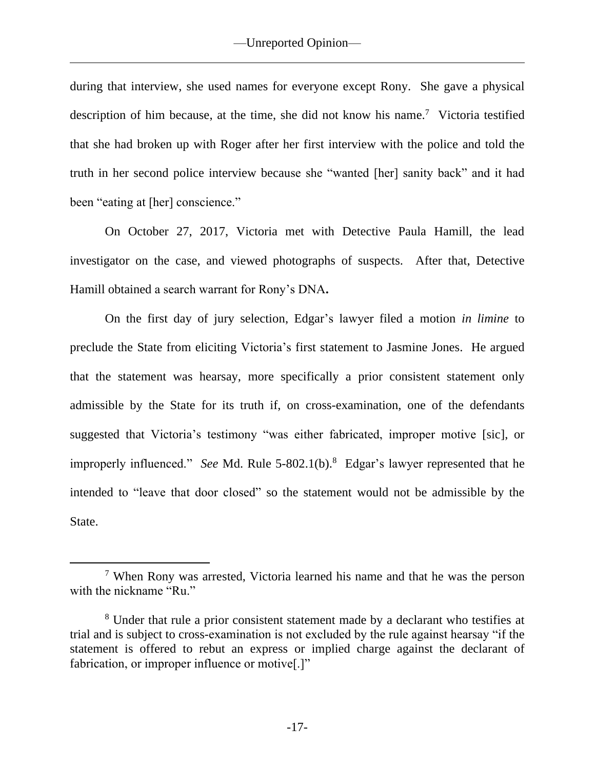during that interview, she used names for everyone except Rony. She gave a physical description of him because, at the time, she did not know his name.<sup>7</sup> Victoria testified that she had broken up with Roger after her first interview with the police and told the truth in her second police interview because she "wanted [her] sanity back" and it had been "eating at [her] conscience."

On October 27, 2017, Victoria met with Detective Paula Hamill, the lead investigator on the case, and viewed photographs of suspects. After that, Detective Hamill obtained a search warrant for Rony's DNA**.** 

On the first day of jury selection, Edgar's lawyer filed a motion *in limine* to preclude the State from eliciting Victoria's first statement to Jasmine Jones. He argued that the statement was hearsay, more specifically a prior consistent statement only admissible by the State for its truth if, on cross-examination, one of the defendants suggested that Victoria's testimony "was either fabricated, improper motive [sic], or improperly influenced." *See* Md. Rule 5-802.1(b).<sup>8</sup> Edgar's lawyer represented that he intended to "leave that door closed" so the statement would not be admissible by the State.

<sup>7</sup> When Rony was arrested, Victoria learned his name and that he was the person with the nickname "Ru."

<sup>8</sup> Under that rule a prior consistent statement made by a declarant who testifies at trial and is subject to cross-examination is not excluded by the rule against hearsay "if the statement is offered to rebut an express or implied charge against the declarant of fabrication, or improper influence or motive[.]"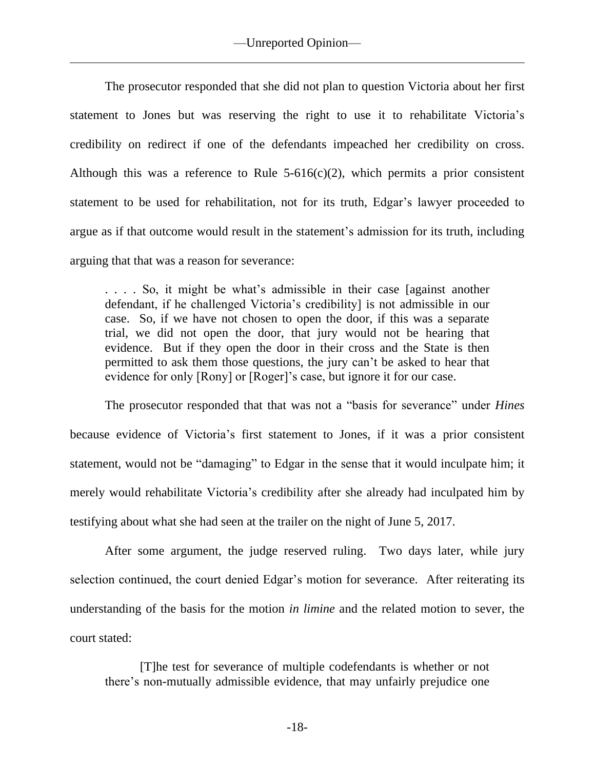The prosecutor responded that she did not plan to question Victoria about her first statement to Jones but was reserving the right to use it to rehabilitate Victoria's credibility on redirect if one of the defendants impeached her credibility on cross. Although this was a reference to Rule  $5-616(c)(2)$ , which permits a prior consistent statement to be used for rehabilitation, not for its truth, Edgar's lawyer proceeded to argue as if that outcome would result in the statement's admission for its truth, including arguing that that was a reason for severance:

. . . . So, it might be what's admissible in their case [against another defendant, if he challenged Victoria's credibility] is not admissible in our case. So, if we have not chosen to open the door, if this was a separate trial, we did not open the door, that jury would not be hearing that evidence. But if they open the door in their cross and the State is then permitted to ask them those questions, the jury can't be asked to hear that evidence for only [Rony] or [Roger]'s case, but ignore it for our case.

The prosecutor responded that that was not a "basis for severance" under *Hines* because evidence of Victoria's first statement to Jones, if it was a prior consistent statement, would not be "damaging" to Edgar in the sense that it would inculpate him; it merely would rehabilitate Victoria's credibility after she already had inculpated him by testifying about what she had seen at the trailer on the night of June 5, 2017.

After some argument, the judge reserved ruling. Two days later, while jury selection continued, the court denied Edgar's motion for severance. After reiterating its understanding of the basis for the motion *in limine* and the related motion to sever, the court stated:

[T]he test for severance of multiple codefendants is whether or not there's non-mutually admissible evidence, that may unfairly prejudice one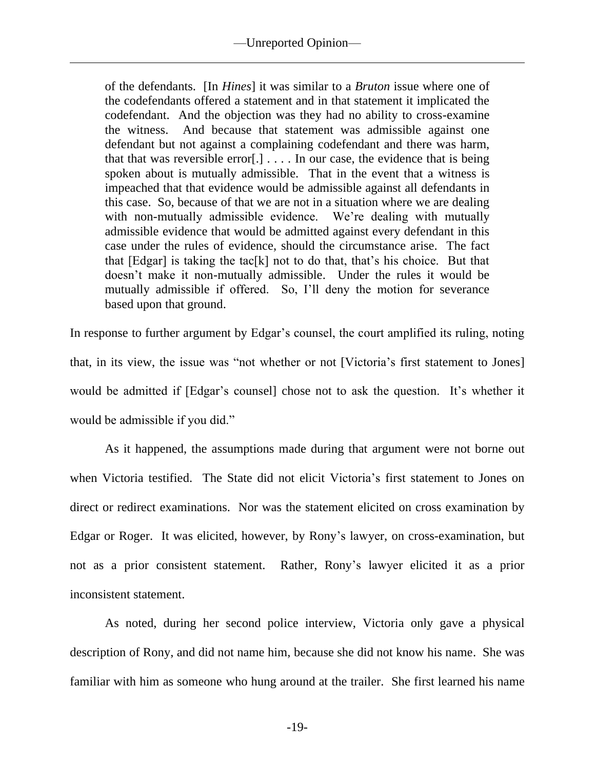of the defendants. [In *Hines*] it was similar to a *Bruton* issue where one of the codefendants offered a statement and in that statement it implicated the codefendant. And the objection was they had no ability to cross-examine the witness. And because that statement was admissible against one defendant but not against a complaining codefendant and there was harm, that that was reversible error $[.] \ldots$ . In our case, the evidence that is being spoken about is mutually admissible. That in the event that a witness is impeached that that evidence would be admissible against all defendants in this case. So, because of that we are not in a situation where we are dealing with non-mutually admissible evidence. We're dealing with mutually admissible evidence that would be admitted against every defendant in this case under the rules of evidence, should the circumstance arise. The fact that  $[Edgar]$  is taking the tac $[k]$  not to do that, that's his choice. But that doesn't make it non-mutually admissible. Under the rules it would be mutually admissible if offered. So, I'll deny the motion for severance based upon that ground.

In response to further argument by Edgar's counsel, the court amplified its ruling, noting that, in its view, the issue was "not whether or not [Victoria's first statement to Jones] would be admitted if [Edgar's counsel] chose not to ask the question. It's whether it would be admissible if you did."

As it happened, the assumptions made during that argument were not borne out when Victoria testified. The State did not elicit Victoria's first statement to Jones on direct or redirect examinations. Nor was the statement elicited on cross examination by Edgar or Roger. It was elicited, however, by Rony's lawyer, on cross-examination, but not as a prior consistent statement. Rather, Rony's lawyer elicited it as a prior inconsistent statement.

As noted, during her second police interview, Victoria only gave a physical description of Rony, and did not name him, because she did not know his name. She was familiar with him as someone who hung around at the trailer. She first learned his name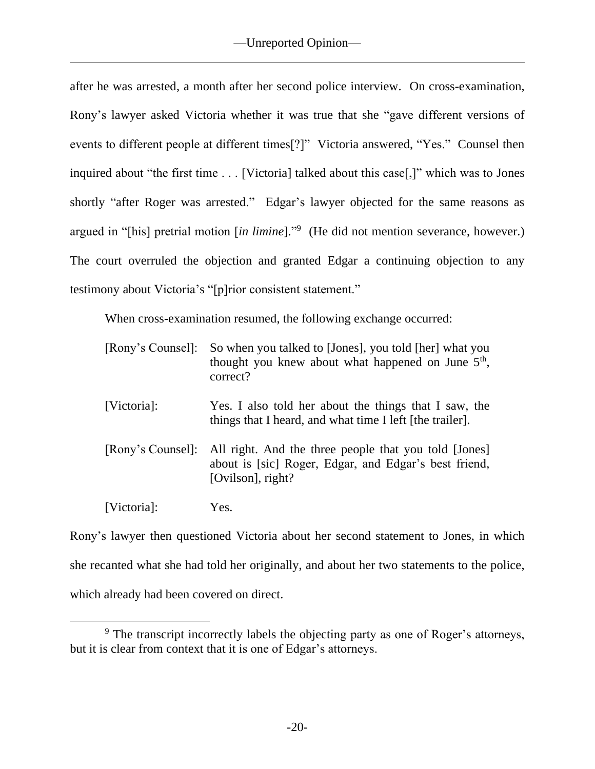after he was arrested, a month after her second police interview. On cross-examination, Rony's lawyer asked Victoria whether it was true that she "gave different versions of events to different people at different times[?]" Victoria answered, "Yes." Counsel then inquired about "the first time . . . [Victoria] talked about this case[,]" which was to Jones shortly "after Roger was arrested." Edgar's lawyer objected for the same reasons as argued in "[his] pretrial motion [*in limine*]." 9 (He did not mention severance, however.) The court overruled the objection and granted Edgar a continuing objection to any testimony about Victoria's "[p]rior consistent statement."

When cross-examination resumed, the following exchange occurred:

| [Rony's Counsel]: | So when you talked to [Jones], you told [her] what you<br>thought you knew about what happened on June $5th$ ,<br>correct?          |
|-------------------|-------------------------------------------------------------------------------------------------------------------------------------|
| [Victoria]:       | Yes. I also told her about the things that I saw, the<br>things that I heard, and what time I left [the trailer].                   |
| [Rony's Counsel]: | All right. And the three people that you told [Jones]<br>about is [sic] Roger, Edgar, and Edgar's best friend,<br>[Ovilson], right? |
| [Victoria]:       | Yes.                                                                                                                                |

Rony's lawyer then questioned Victoria about her second statement to Jones, in which she recanted what she had told her originally, and about her two statements to the police, which already had been covered on direct.

<sup>&</sup>lt;sup>9</sup> The transcript incorrectly labels the objecting party as one of Roger's attorneys, but it is clear from context that it is one of Edgar's attorneys.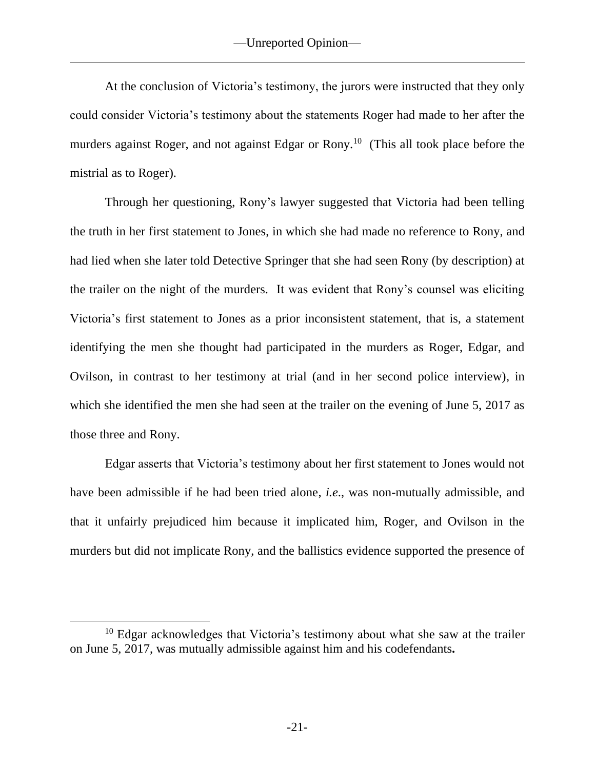At the conclusion of Victoria's testimony, the jurors were instructed that they only could consider Victoria's testimony about the statements Roger had made to her after the murders against Roger, and not against Edgar or Rony.<sup>10</sup> (This all took place before the mistrial as to Roger).

Through her questioning, Rony's lawyer suggested that Victoria had been telling the truth in her first statement to Jones, in which she had made no reference to Rony, and had lied when she later told Detective Springer that she had seen Rony (by description) at the trailer on the night of the murders. It was evident that Rony's counsel was eliciting Victoria's first statement to Jones as a prior inconsistent statement, that is, a statement identifying the men she thought had participated in the murders as Roger, Edgar, and Ovilson, in contrast to her testimony at trial (and in her second police interview), in which she identified the men she had seen at the trailer on the evening of June 5, 2017 as those three and Rony.

Edgar asserts that Victoria's testimony about her first statement to Jones would not have been admissible if he had been tried alone, *i.e*., was non-mutually admissible, and that it unfairly prejudiced him because it implicated him, Roger, and Ovilson in the murders but did not implicate Rony, and the ballistics evidence supported the presence of

 $10$  Edgar acknowledges that Victoria's testimony about what she saw at the trailer on June 5, 2017, was mutually admissible against him and his codefendants**.**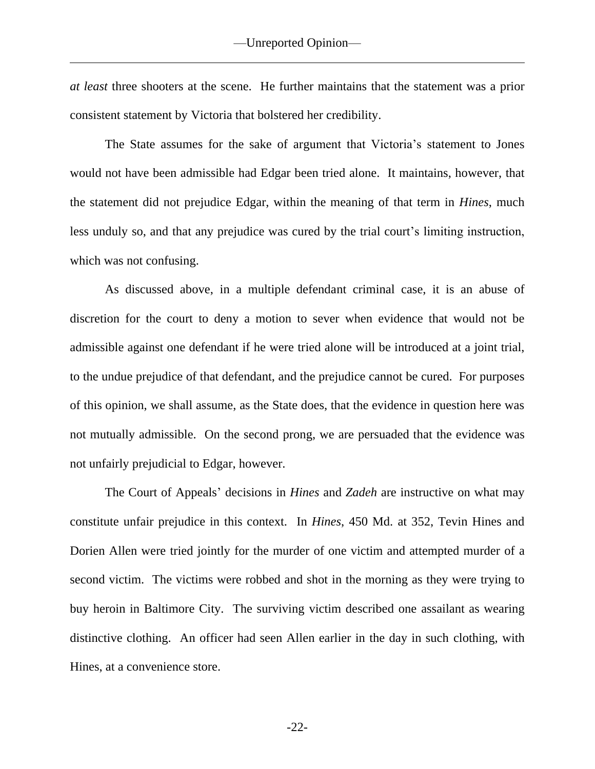*at least* three shooters at the scene. He further maintains that the statement was a prior consistent statement by Victoria that bolstered her credibility.

The State assumes for the sake of argument that Victoria's statement to Jones would not have been admissible had Edgar been tried alone. It maintains, however, that the statement did not prejudice Edgar, within the meaning of that term in *Hines*, much less unduly so, and that any prejudice was cured by the trial court's limiting instruction, which was not confusing.

As discussed above, in a multiple defendant criminal case, it is an abuse of discretion for the court to deny a motion to sever when evidence that would not be admissible against one defendant if he were tried alone will be introduced at a joint trial, to the undue prejudice of that defendant, and the prejudice cannot be cured. For purposes of this opinion, we shall assume, as the State does, that the evidence in question here was not mutually admissible. On the second prong, we are persuaded that the evidence was not unfairly prejudicial to Edgar, however.

The Court of Appeals' decisions in *Hines* and *Zadeh* are instructive on what may constitute unfair prejudice in this context. In *Hines*, 450 Md. at 352, Tevin Hines and Dorien Allen were tried jointly for the murder of one victim and attempted murder of a second victim. The victims were robbed and shot in the morning as they were trying to buy heroin in Baltimore City. The surviving victim described one assailant as wearing distinctive clothing. An officer had seen Allen earlier in the day in such clothing, with Hines, at a convenience store.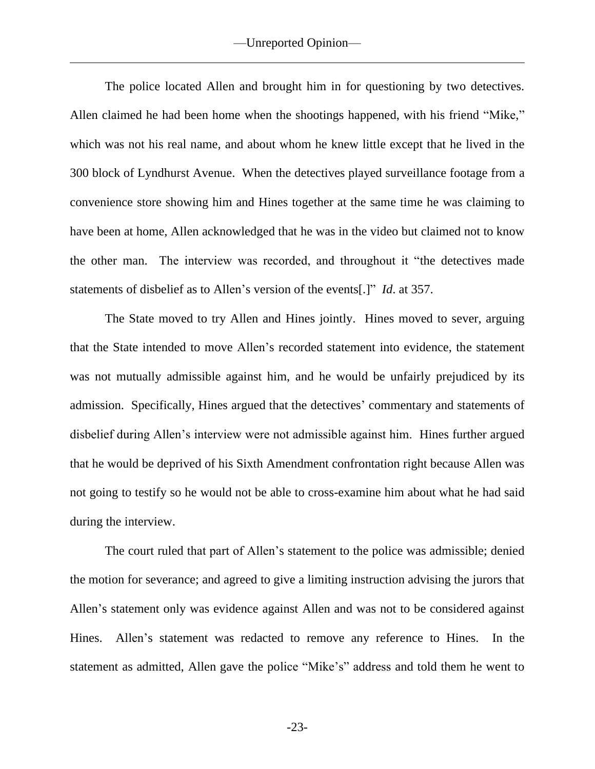The police located Allen and brought him in for questioning by two detectives. Allen claimed he had been home when the shootings happened, with his friend "Mike," which was not his real name, and about whom he knew little except that he lived in the 300 block of Lyndhurst Avenue. When the detectives played surveillance footage from a convenience store showing him and Hines together at the same time he was claiming to have been at home, Allen acknowledged that he was in the video but claimed not to know the other man. The interview was recorded, and throughout it "the detectives made statements of disbelief as to Allen's version of the events[.]" *Id*. at 357.

The State moved to try Allen and Hines jointly. Hines moved to sever, arguing that the State intended to move Allen's recorded statement into evidence, the statement was not mutually admissible against him, and he would be unfairly prejudiced by its admission. Specifically, Hines argued that the detectives' commentary and statements of disbelief during Allen's interview were not admissible against him. Hines further argued that he would be deprived of his Sixth Amendment confrontation right because Allen was not going to testify so he would not be able to cross-examine him about what he had said during the interview.

The court ruled that part of Allen's statement to the police was admissible; denied the motion for severance; and agreed to give a limiting instruction advising the jurors that Allen's statement only was evidence against Allen and was not to be considered against Hines. Allen's statement was redacted to remove any reference to Hines. In the statement as admitted, Allen gave the police "Mike's" address and told them he went to

-23-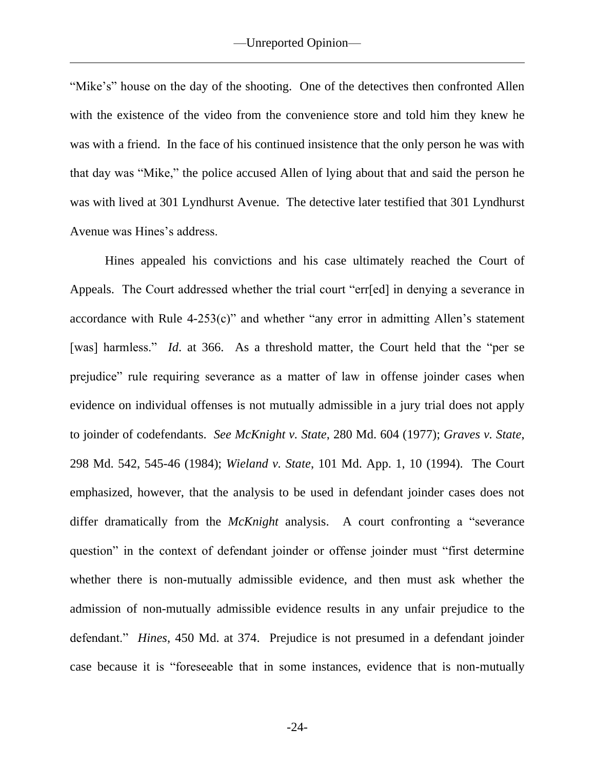"Mike's" house on the day of the shooting. One of the detectives then confronted Allen with the existence of the video from the convenience store and told him they knew he was with a friend. In the face of his continued insistence that the only person he was with that day was "Mike," the police accused Allen of lying about that and said the person he was with lived at 301 Lyndhurst Avenue. The detective later testified that 301 Lyndhurst Avenue was Hines's address.

Hines appealed his convictions and his case ultimately reached the Court of Appeals. The Court addressed whether the trial court "err[ed] in denying a severance in accordance with Rule  $4-253(c)$ " and whether "any error in admitting Allen's statement [was] harmless." *Id.* at 366. As a threshold matter, the Court held that the "per se prejudice" rule requiring severance as a matter of law in offense joinder cases when evidence on individual offenses is not mutually admissible in a jury trial does not apply to joinder of codefendants. *See McKnight v. State*, 280 Md. 604 (1977); *Graves v. State*, 298 Md. 542, 545-46 (1984); *Wieland v. State*, 101 Md. App. 1, 10 (1994). The Court emphasized, however, that the analysis to be used in defendant joinder cases does not differ dramatically from the *McKnight* analysis. A court confronting a "severance question" in the context of defendant joinder or offense joinder must "first determine whether there is non-mutually admissible evidence, and then must ask whether the admission of non-mutually admissible evidence results in any unfair prejudice to the defendant." *Hines*, 450 Md. at 374. Prejudice is not presumed in a defendant joinder case because it is "foreseeable that in some instances, evidence that is non-mutually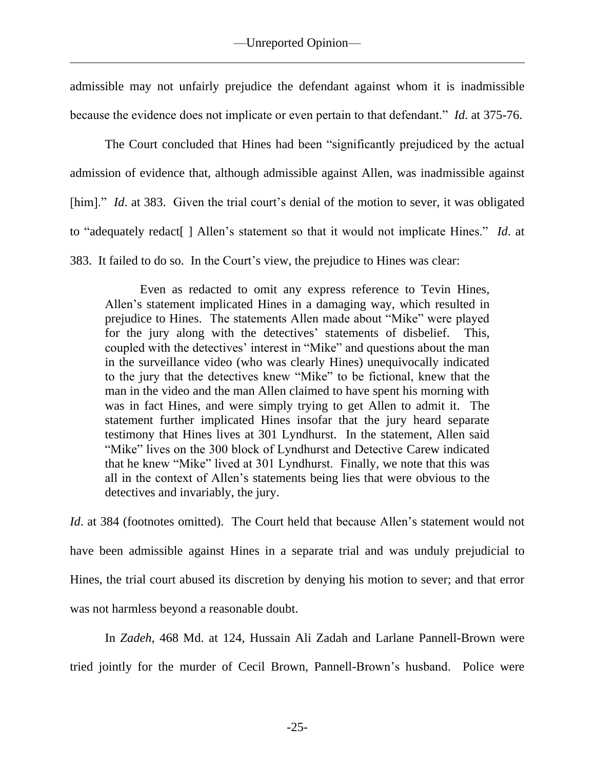admissible may not unfairly prejudice the defendant against whom it is inadmissible because the evidence does not implicate or even pertain to that defendant." *Id*. at 375-76.

The Court concluded that Hines had been "significantly prejudiced by the actual admission of evidence that, although admissible against Allen, was inadmissible against [him]." *Id.* at 383. Given the trial court's denial of the motion to sever, it was obligated to "adequately redact[ ] Allen's statement so that it would not implicate Hines." *Id*. at 383. It failed to do so. In the Court's view, the prejudice to Hines was clear:

Even as redacted to omit any express reference to Tevin Hines, Allen's statement implicated Hines in a damaging way, which resulted in prejudice to Hines. The statements Allen made about "Mike" were played for the jury along with the detectives' statements of disbelief. This, coupled with the detectives' interest in "Mike" and questions about the man in the surveillance video (who was clearly Hines) unequivocally indicated to the jury that the detectives knew "Mike" to be fictional, knew that the man in the video and the man Allen claimed to have spent his morning with was in fact Hines, and were simply trying to get Allen to admit it. The statement further implicated Hines insofar that the jury heard separate testimony that Hines lives at 301 Lyndhurst. In the statement, Allen said "Mike" lives on the 300 block of Lyndhurst and Detective Carew indicated that he knew "Mike" lived at 301 Lyndhurst. Finally, we note that this was all in the context of Allen's statements being lies that were obvious to the detectives and invariably, the jury.

*Id.* at 384 (footnotes omitted). The Court held that because Allen's statement would not have been admissible against Hines in a separate trial and was unduly prejudicial to Hines, the trial court abused its discretion by denying his motion to sever; and that error was not harmless beyond a reasonable doubt.

In *Zadeh*, 468 Md. at 124, Hussain Ali Zadah and Larlane Pannell-Brown were tried jointly for the murder of Cecil Brown, Pannell-Brown's husband. Police were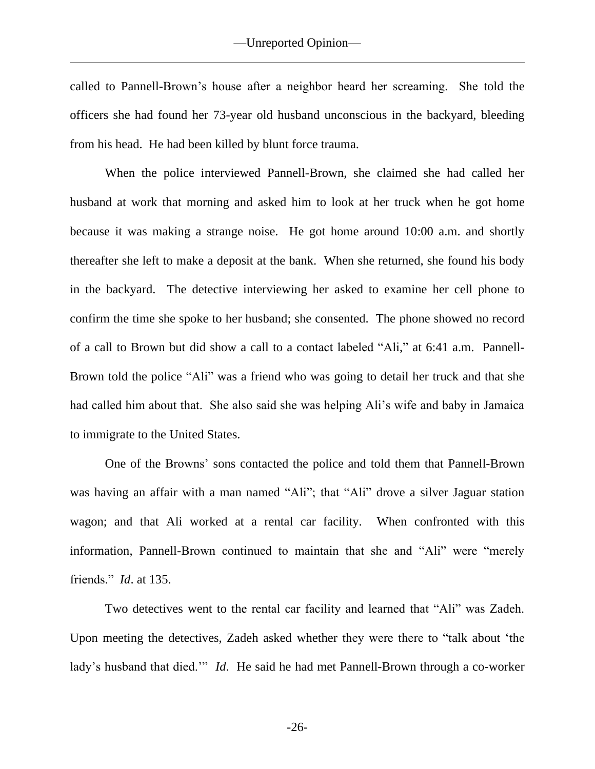called to Pannell-Brown's house after a neighbor heard her screaming. She told the officers she had found her 73-year old husband unconscious in the backyard, bleeding from his head. He had been killed by blunt force trauma.

When the police interviewed Pannell-Brown, she claimed she had called her husband at work that morning and asked him to look at her truck when he got home because it was making a strange noise. He got home around 10:00 a.m. and shortly thereafter she left to make a deposit at the bank. When she returned, she found his body in the backyard. The detective interviewing her asked to examine her cell phone to confirm the time she spoke to her husband; she consented. The phone showed no record of a call to Brown but did show a call to a contact labeled "Ali," at 6:41 a.m. Pannell-Brown told the police "Ali" was a friend who was going to detail her truck and that she had called him about that. She also said she was helping Ali's wife and baby in Jamaica to immigrate to the United States.

One of the Browns' sons contacted the police and told them that Pannell-Brown was having an affair with a man named "Ali"; that "Ali" drove a silver Jaguar station wagon; and that Ali worked at a rental car facility. When confronted with this information, Pannell-Brown continued to maintain that she and "Ali" were "merely friends." *Id*. at 135.

Two detectives went to the rental car facility and learned that "Ali" was Zadeh. Upon meeting the detectives, Zadeh asked whether they were there to "talk about 'the lady's husband that died.'" *Id*. He said he had met Pannell-Brown through a co-worker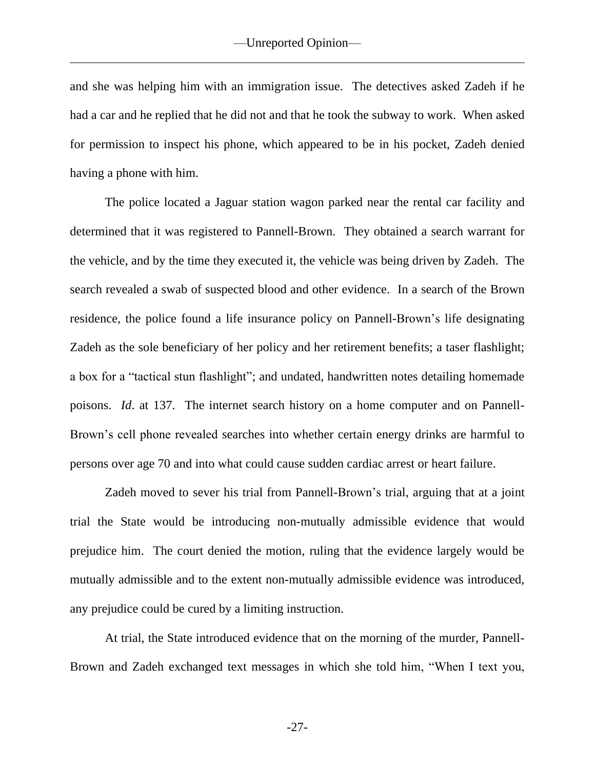and she was helping him with an immigration issue. The detectives asked Zadeh if he had a car and he replied that he did not and that he took the subway to work. When asked for permission to inspect his phone, which appeared to be in his pocket, Zadeh denied having a phone with him.

The police located a Jaguar station wagon parked near the rental car facility and determined that it was registered to Pannell-Brown. They obtained a search warrant for the vehicle, and by the time they executed it, the vehicle was being driven by Zadeh. The search revealed a swab of suspected blood and other evidence. In a search of the Brown residence, the police found a life insurance policy on Pannell-Brown's life designating Zadeh as the sole beneficiary of her policy and her retirement benefits; a taser flashlight; a box for a "tactical stun flashlight"; and undated, handwritten notes detailing homemade poisons. *Id*. at 137. The internet search history on a home computer and on Pannell-Brown's cell phone revealed searches into whether certain energy drinks are harmful to persons over age 70 and into what could cause sudden cardiac arrest or heart failure.

Zadeh moved to sever his trial from Pannell-Brown's trial, arguing that at a joint trial the State would be introducing non-mutually admissible evidence that would prejudice him. The court denied the motion, ruling that the evidence largely would be mutually admissible and to the extent non-mutually admissible evidence was introduced, any prejudice could be cured by a limiting instruction.

At trial, the State introduced evidence that on the morning of the murder, Pannell-Brown and Zadeh exchanged text messages in which she told him, "When I text you,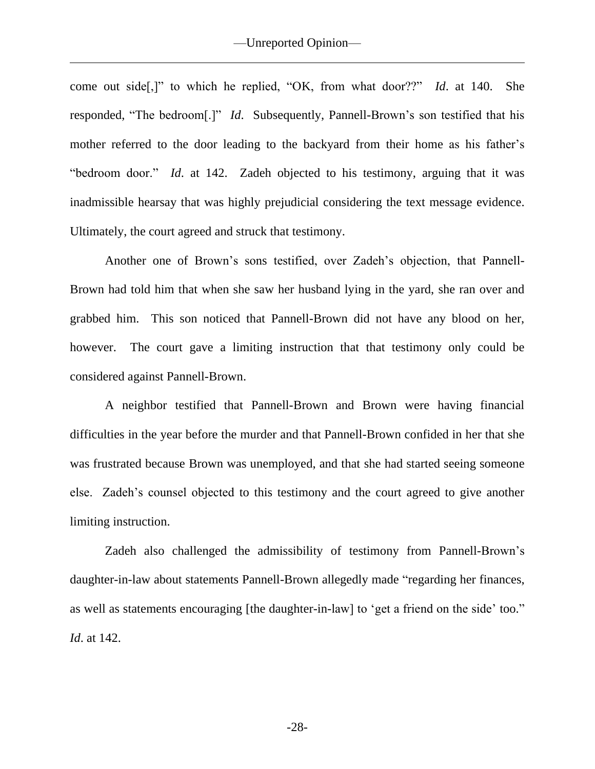come out side[,]" to which he replied, "OK, from what door??" *Id*. at 140. She responded, "The bedroom[.]" *Id*. Subsequently, Pannell-Brown's son testified that his mother referred to the door leading to the backyard from their home as his father's "bedroom door." *Id*. at 142. Zadeh objected to his testimony, arguing that it was inadmissible hearsay that was highly prejudicial considering the text message evidence. Ultimately, the court agreed and struck that testimony.

Another one of Brown's sons testified, over Zadeh's objection, that Pannell-Brown had told him that when she saw her husband lying in the yard, she ran over and grabbed him. This son noticed that Pannell-Brown did not have any blood on her, however. The court gave a limiting instruction that that testimony only could be considered against Pannell-Brown.

A neighbor testified that Pannell-Brown and Brown were having financial difficulties in the year before the murder and that Pannell-Brown confided in her that she was frustrated because Brown was unemployed, and that she had started seeing someone else. Zadeh's counsel objected to this testimony and the court agreed to give another limiting instruction.

Zadeh also challenged the admissibility of testimony from Pannell-Brown's daughter-in-law about statements Pannell-Brown allegedly made "regarding her finances, as well as statements encouraging [the daughter-in-law] to 'get a friend on the side' too." *Id*. at 142.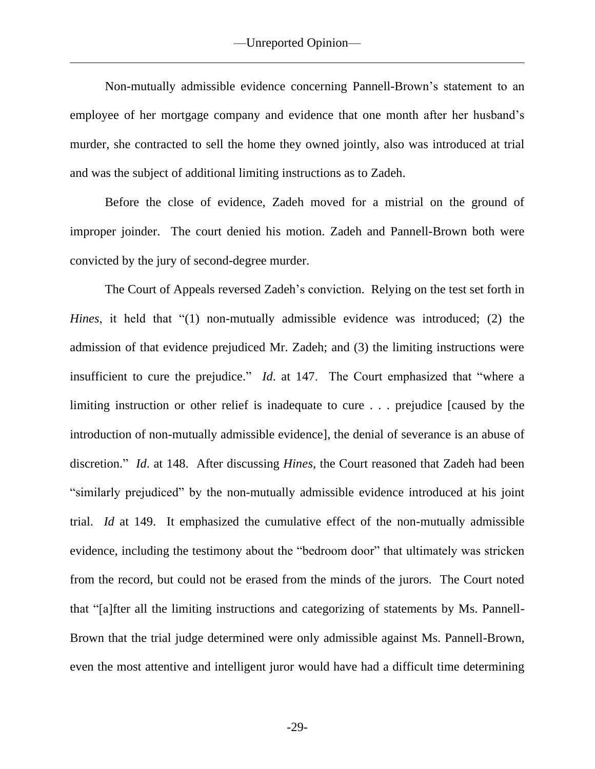Non-mutually admissible evidence concerning Pannell-Brown's statement to an employee of her mortgage company and evidence that one month after her husband's murder, she contracted to sell the home they owned jointly, also was introduced at trial and was the subject of additional limiting instructions as to Zadeh.

Before the close of evidence, Zadeh moved for a mistrial on the ground of improper joinder. The court denied his motion. Zadeh and Pannell-Brown both were convicted by the jury of second-degree murder.

The Court of Appeals reversed Zadeh's conviction. Relying on the test set forth in *Hines*, it held that "(1) non-mutually admissible evidence was introduced; (2) the admission of that evidence prejudiced Mr. Zadeh; and (3) the limiting instructions were insufficient to cure the prejudice." *Id*. at 147. The Court emphasized that "where a limiting instruction or other relief is inadequate to cure . . . prejudice [caused by the introduction of non-mutually admissible evidence], the denial of severance is an abuse of discretion." *Id*. at 148. After discussing *Hines*, the Court reasoned that Zadeh had been "similarly prejudiced" by the non-mutually admissible evidence introduced at his joint trial. *Id* at 149. It emphasized the cumulative effect of the non-mutually admissible evidence, including the testimony about the "bedroom door" that ultimately was stricken from the record, but could not be erased from the minds of the jurors. The Court noted that "[a]fter all the limiting instructions and categorizing of statements by Ms. Pannell-Brown that the trial judge determined were only admissible against Ms. Pannell-Brown, even the most attentive and intelligent juror would have had a difficult time determining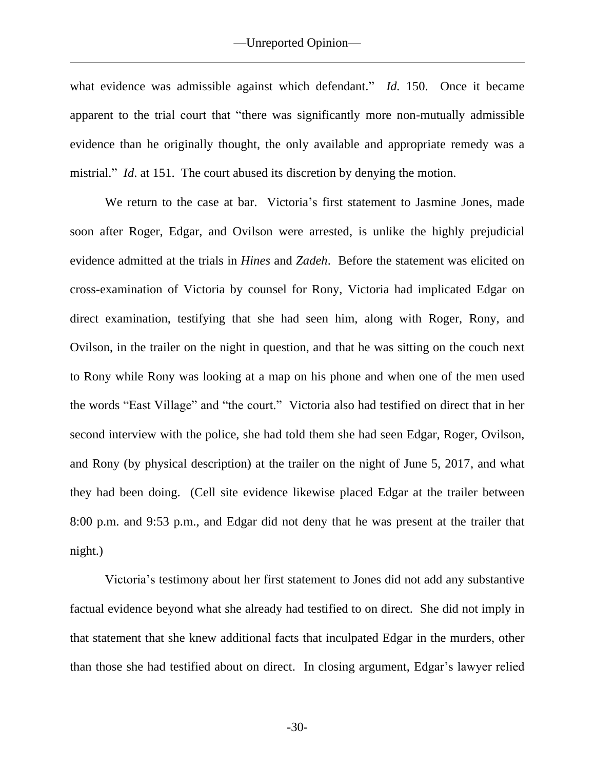what evidence was admissible against which defendant." *Id.* 150. Once it became apparent to the trial court that "there was significantly more non-mutually admissible evidence than he originally thought, the only available and appropriate remedy was a mistrial." *Id.* at 151. The court abused its discretion by denying the motion.

We return to the case at bar. Victoria's first statement to Jasmine Jones, made soon after Roger, Edgar, and Ovilson were arrested, is unlike the highly prejudicial evidence admitted at the trials in *Hines* and *Zadeh*. Before the statement was elicited on cross-examination of Victoria by counsel for Rony, Victoria had implicated Edgar on direct examination, testifying that she had seen him, along with Roger, Rony, and Ovilson, in the trailer on the night in question, and that he was sitting on the couch next to Rony while Rony was looking at a map on his phone and when one of the men used the words "East Village" and "the court." Victoria also had testified on direct that in her second interview with the police, she had told them she had seen Edgar, Roger, Ovilson, and Rony (by physical description) at the trailer on the night of June 5, 2017, and what they had been doing. (Cell site evidence likewise placed Edgar at the trailer between 8:00 p.m. and 9:53 p.m., and Edgar did not deny that he was present at the trailer that night.)

Victoria's testimony about her first statement to Jones did not add any substantive factual evidence beyond what she already had testified to on direct. She did not imply in that statement that she knew additional facts that inculpated Edgar in the murders, other than those she had testified about on direct. In closing argument, Edgar's lawyer relied

-30-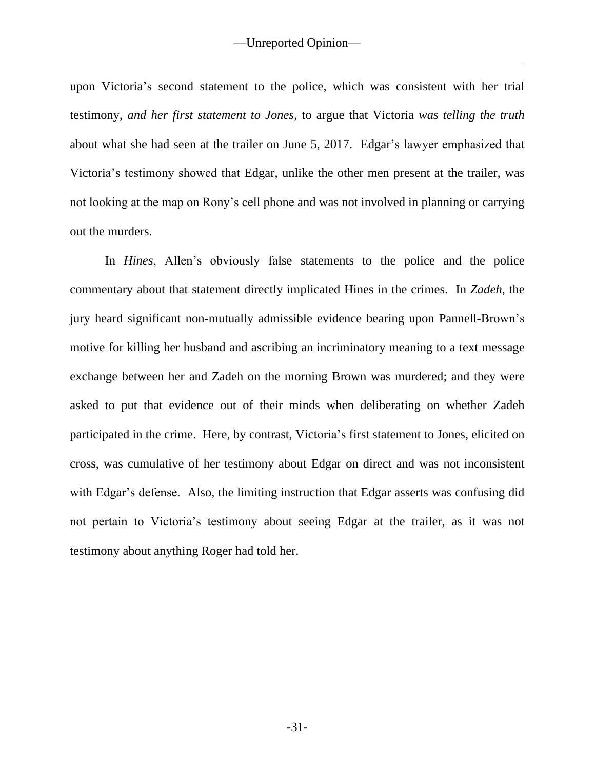upon Victoria's second statement to the police, which was consistent with her trial testimony, *and her first statement to Jones*, to argue that Victoria *was telling the truth* about what she had seen at the trailer on June 5, 2017. Edgar's lawyer emphasized that Victoria's testimony showed that Edgar, unlike the other men present at the trailer, was not looking at the map on Rony's cell phone and was not involved in planning or carrying out the murders.

In *Hines*, Allen's obviously false statements to the police and the police commentary about that statement directly implicated Hines in the crimes. In *Zadeh*, the jury heard significant non-mutually admissible evidence bearing upon Pannell-Brown's motive for killing her husband and ascribing an incriminatory meaning to a text message exchange between her and Zadeh on the morning Brown was murdered; and they were asked to put that evidence out of their minds when deliberating on whether Zadeh participated in the crime. Here, by contrast, Victoria's first statement to Jones, elicited on cross, was cumulative of her testimony about Edgar on direct and was not inconsistent with Edgar's defense. Also, the limiting instruction that Edgar asserts was confusing did not pertain to Victoria's testimony about seeing Edgar at the trailer, as it was not testimony about anything Roger had told her.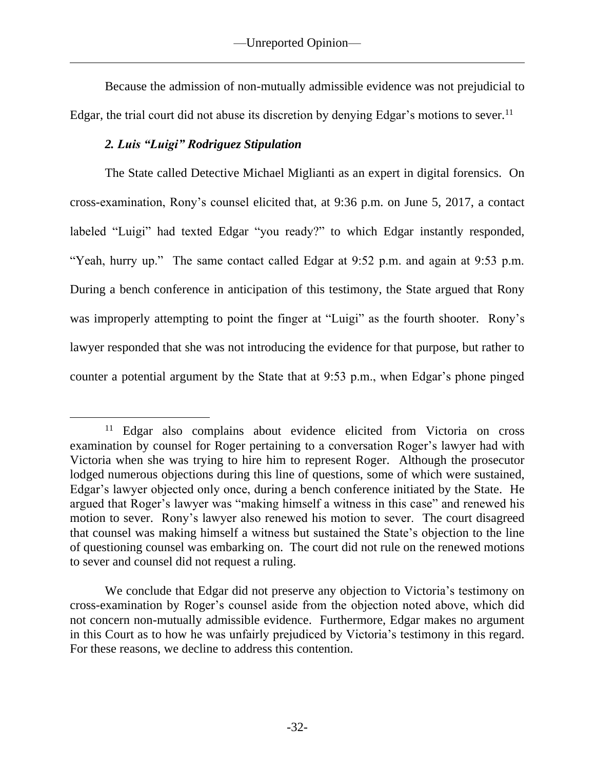Because the admission of non-mutually admissible evidence was not prejudicial to Edgar, the trial court did not abuse its discretion by denying Edgar's motions to sever.<sup>11</sup>

# *2. Luis "Luigi" Rodriguez Stipulation*

The State called Detective Michael Miglianti as an expert in digital forensics. On cross-examination, Rony's counsel elicited that, at 9:36 p.m. on June 5, 2017, a contact labeled "Luigi" had texted Edgar "you ready?" to which Edgar instantly responded, "Yeah, hurry up." The same contact called Edgar at 9:52 p.m. and again at 9:53 p.m. During a bench conference in anticipation of this testimony, the State argued that Rony was improperly attempting to point the finger at "Luigi" as the fourth shooter. Rony's lawyer responded that she was not introducing the evidence for that purpose, but rather to counter a potential argument by the State that at 9:53 p.m., when Edgar's phone pinged

<sup>&</sup>lt;sup>11</sup> Edgar also complains about evidence elicited from Victoria on cross examination by counsel for Roger pertaining to a conversation Roger's lawyer had with Victoria when she was trying to hire him to represent Roger. Although the prosecutor lodged numerous objections during this line of questions, some of which were sustained, Edgar's lawyer objected only once, during a bench conference initiated by the State. He argued that Roger's lawyer was "making himself a witness in this case" and renewed his motion to sever. Rony's lawyer also renewed his motion to sever. The court disagreed that counsel was making himself a witness but sustained the State's objection to the line of questioning counsel was embarking on. The court did not rule on the renewed motions to sever and counsel did not request a ruling.

We conclude that Edgar did not preserve any objection to Victoria's testimony on cross-examination by Roger's counsel aside from the objection noted above, which did not concern non-mutually admissible evidence. Furthermore, Edgar makes no argument in this Court as to how he was unfairly prejudiced by Victoria's testimony in this regard. For these reasons, we decline to address this contention.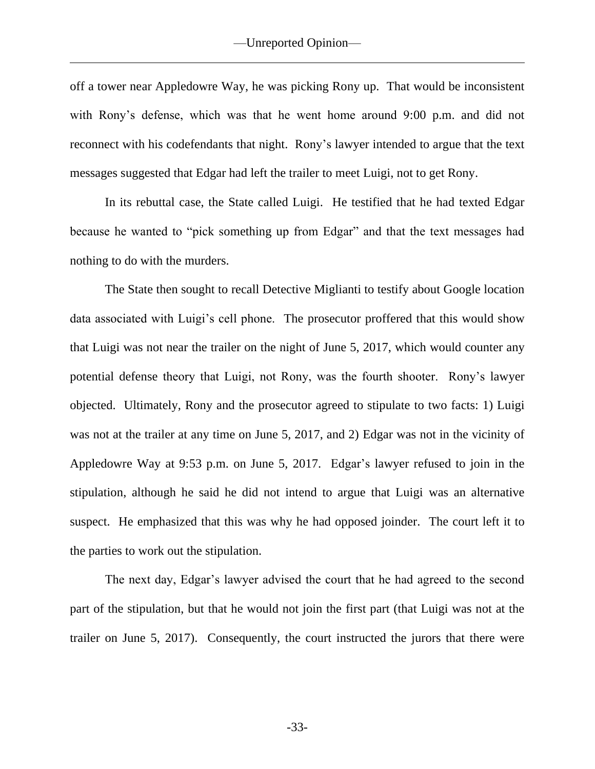off a tower near Appledowre Way, he was picking Rony up. That would be inconsistent with Rony's defense, which was that he went home around 9:00 p.m. and did not reconnect with his codefendants that night. Rony's lawyer intended to argue that the text messages suggested that Edgar had left the trailer to meet Luigi, not to get Rony.

In its rebuttal case, the State called Luigi. He testified that he had texted Edgar because he wanted to "pick something up from Edgar" and that the text messages had nothing to do with the murders.

The State then sought to recall Detective Miglianti to testify about Google location data associated with Luigi's cell phone. The prosecutor proffered that this would show that Luigi was not near the trailer on the night of June 5, 2017, which would counter any potential defense theory that Luigi, not Rony, was the fourth shooter. Rony's lawyer objected. Ultimately, Rony and the prosecutor agreed to stipulate to two facts: 1) Luigi was not at the trailer at any time on June 5, 2017, and 2) Edgar was not in the vicinity of Appledowre Way at 9:53 p.m. on June 5, 2017. Edgar's lawyer refused to join in the stipulation, although he said he did not intend to argue that Luigi was an alternative suspect. He emphasized that this was why he had opposed joinder. The court left it to the parties to work out the stipulation.

The next day, Edgar's lawyer advised the court that he had agreed to the second part of the stipulation, but that he would not join the first part (that Luigi was not at the trailer on June 5, 2017). Consequently, the court instructed the jurors that there were

-33-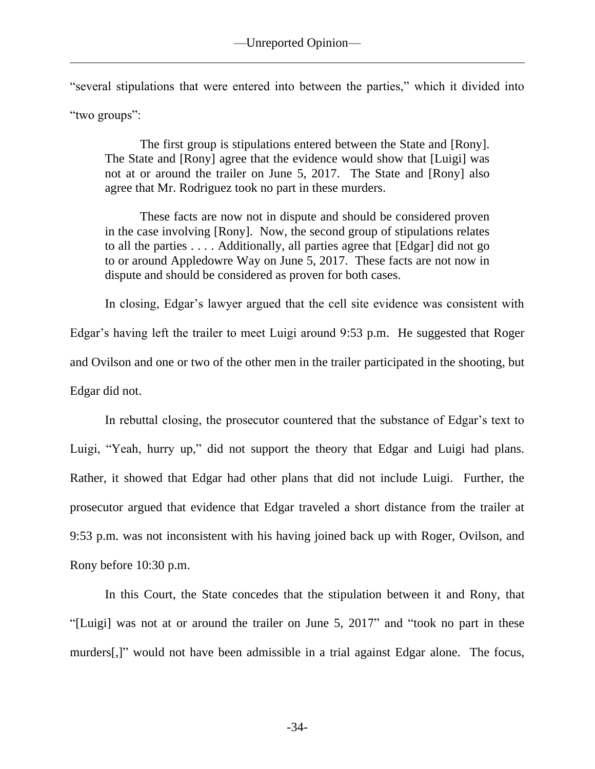"several stipulations that were entered into between the parties," which it divided into "two groups":

The first group is stipulations entered between the State and [Rony]. The State and [Rony] agree that the evidence would show that [Luigi] was not at or around the trailer on June 5, 2017. The State and [Rony] also agree that Mr. Rodriguez took no part in these murders.

These facts are now not in dispute and should be considered proven in the case involving [Rony]. Now, the second group of stipulations relates to all the parties . . . . Additionally, all parties agree that [Edgar] did not go to or around Appledowre Way on June 5, 2017. These facts are not now in dispute and should be considered as proven for both cases.

In closing, Edgar's lawyer argued that the cell site evidence was consistent with Edgar's having left the trailer to meet Luigi around 9:53 p.m. He suggested that Roger and Ovilson and one or two of the other men in the trailer participated in the shooting, but Edgar did not.

In rebuttal closing, the prosecutor countered that the substance of Edgar's text to Luigi, "Yeah, hurry up," did not support the theory that Edgar and Luigi had plans. Rather, it showed that Edgar had other plans that did not include Luigi. Further, the prosecutor argued that evidence that Edgar traveled a short distance from the trailer at 9:53 p.m. was not inconsistent with his having joined back up with Roger, Ovilson, and Rony before 10:30 p.m.

In this Court, the State concedes that the stipulation between it and Rony, that "[Luigi] was not at or around the trailer on June 5, 2017" and "took no part in these murders[,]" would not have been admissible in a trial against Edgar alone. The focus,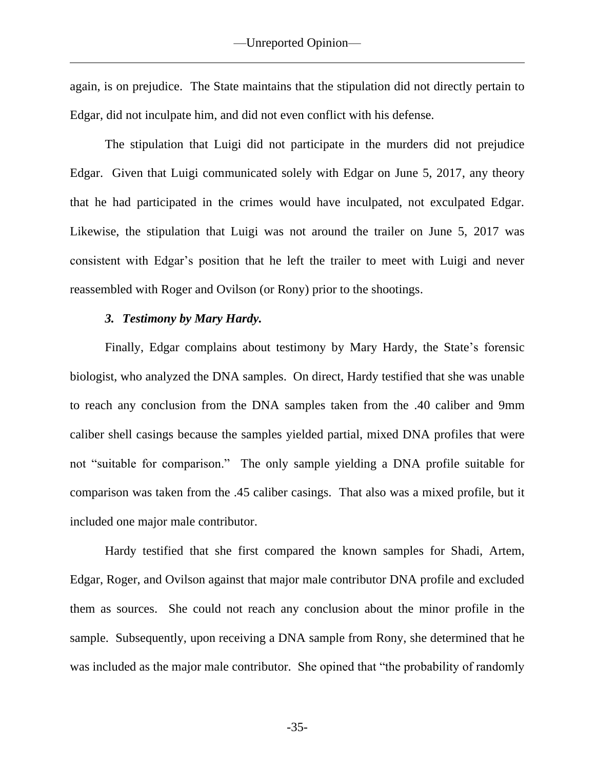again, is on prejudice. The State maintains that the stipulation did not directly pertain to Edgar, did not inculpate him, and did not even conflict with his defense.

The stipulation that Luigi did not participate in the murders did not prejudice Edgar. Given that Luigi communicated solely with Edgar on June 5, 2017, any theory that he had participated in the crimes would have inculpated, not exculpated Edgar. Likewise, the stipulation that Luigi was not around the trailer on June 5, 2017 was consistent with Edgar's position that he left the trailer to meet with Luigi and never reassembled with Roger and Ovilson (or Rony) prior to the shootings.

#### *3. Testimony by Mary Hardy.*

Finally, Edgar complains about testimony by Mary Hardy, the State's forensic biologist, who analyzed the DNA samples. On direct, Hardy testified that she was unable to reach any conclusion from the DNA samples taken from the .40 caliber and 9mm caliber shell casings because the samples yielded partial, mixed DNA profiles that were not "suitable for comparison." The only sample yielding a DNA profile suitable for comparison was taken from the .45 caliber casings. That also was a mixed profile, but it included one major male contributor.

Hardy testified that she first compared the known samples for Shadi, Artem, Edgar, Roger, and Ovilson against that major male contributor DNA profile and excluded them as sources. She could not reach any conclusion about the minor profile in the sample. Subsequently, upon receiving a DNA sample from Rony, she determined that he was included as the major male contributor. She opined that "the probability of randomly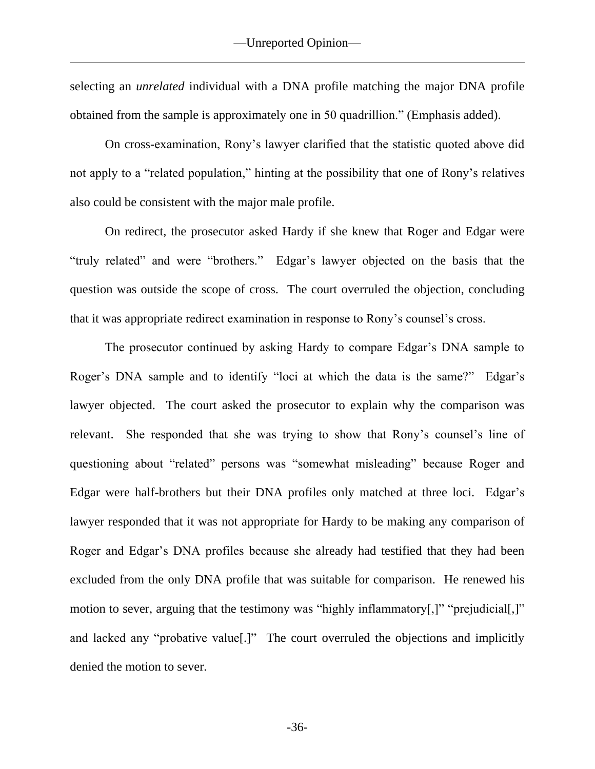selecting an *unrelated* individual with a DNA profile matching the major DNA profile obtained from the sample is approximately one in 50 quadrillion." (Emphasis added).

On cross-examination, Rony's lawyer clarified that the statistic quoted above did not apply to a "related population," hinting at the possibility that one of Rony's relatives also could be consistent with the major male profile.

On redirect, the prosecutor asked Hardy if she knew that Roger and Edgar were "truly related" and were "brothers." Edgar's lawyer objected on the basis that the question was outside the scope of cross. The court overruled the objection, concluding that it was appropriate redirect examination in response to Rony's counsel's cross.

The prosecutor continued by asking Hardy to compare Edgar's DNA sample to Roger's DNA sample and to identify "loci at which the data is the same?" Edgar's lawyer objected. The court asked the prosecutor to explain why the comparison was relevant. She responded that she was trying to show that Rony's counsel's line of questioning about "related" persons was "somewhat misleading" because Roger and Edgar were half-brothers but their DNA profiles only matched at three loci. Edgar's lawyer responded that it was not appropriate for Hardy to be making any comparison of Roger and Edgar's DNA profiles because she already had testified that they had been excluded from the only DNA profile that was suitable for comparison. He renewed his motion to sever, arguing that the testimony was "highly inflammatory[,]" "prejudicial[,]" and lacked any "probative value[.]" The court overruled the objections and implicitly denied the motion to sever.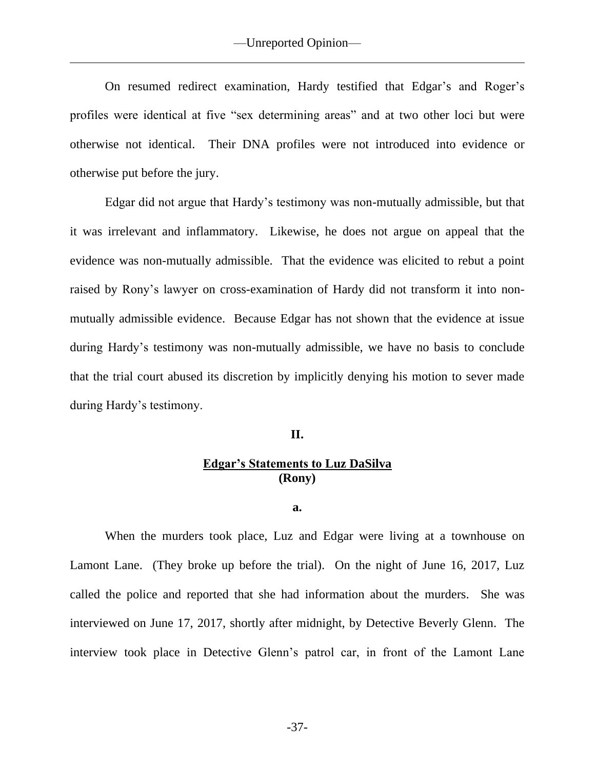On resumed redirect examination, Hardy testified that Edgar's and Roger's profiles were identical at five "sex determining areas" and at two other loci but were otherwise not identical. Their DNA profiles were not introduced into evidence or otherwise put before the jury.

Edgar did not argue that Hardy's testimony was non-mutually admissible, but that it was irrelevant and inflammatory. Likewise, he does not argue on appeal that the evidence was non-mutually admissible. That the evidence was elicited to rebut a point raised by Rony's lawyer on cross-examination of Hardy did not transform it into nonmutually admissible evidence. Because Edgar has not shown that the evidence at issue during Hardy's testimony was non-mutually admissible, we have no basis to conclude that the trial court abused its discretion by implicitly denying his motion to sever made during Hardy's testimony.

## **II.**

# **Edgar's Statements to Luz DaSilva (Rony)**

**a.**

When the murders took place, Luz and Edgar were living at a townhouse on Lamont Lane. (They broke up before the trial). On the night of June 16, 2017, Luz called the police and reported that she had information about the murders. She was interviewed on June 17, 2017, shortly after midnight, by Detective Beverly Glenn. The interview took place in Detective Glenn's patrol car, in front of the Lamont Lane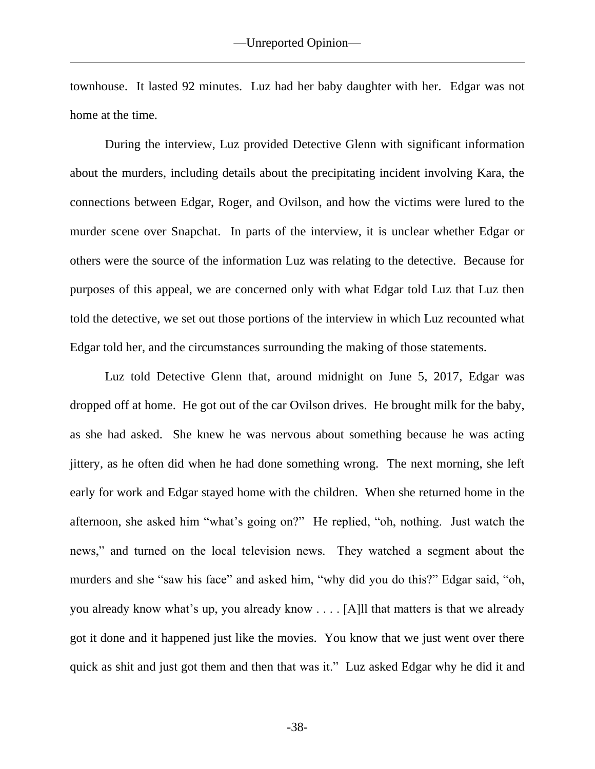townhouse. It lasted 92 minutes. Luz had her baby daughter with her. Edgar was not home at the time.

During the interview, Luz provided Detective Glenn with significant information about the murders, including details about the precipitating incident involving Kara, the connections between Edgar, Roger, and Ovilson, and how the victims were lured to the murder scene over Snapchat. In parts of the interview, it is unclear whether Edgar or others were the source of the information Luz was relating to the detective. Because for purposes of this appeal, we are concerned only with what Edgar told Luz that Luz then told the detective, we set out those portions of the interview in which Luz recounted what Edgar told her, and the circumstances surrounding the making of those statements.

Luz told Detective Glenn that, around midnight on June 5, 2017, Edgar was dropped off at home. He got out of the car Ovilson drives. He brought milk for the baby, as she had asked. She knew he was nervous about something because he was acting jittery, as he often did when he had done something wrong. The next morning, she left early for work and Edgar stayed home with the children. When she returned home in the afternoon, she asked him "what's going on?" He replied, "oh, nothing. Just watch the news," and turned on the local television news. They watched a segment about the murders and she "saw his face" and asked him, "why did you do this?" Edgar said, "oh, you already know what's up, you already know . . . . [A]ll that matters is that we already got it done and it happened just like the movies. You know that we just went over there quick as shit and just got them and then that was it." Luz asked Edgar why he did it and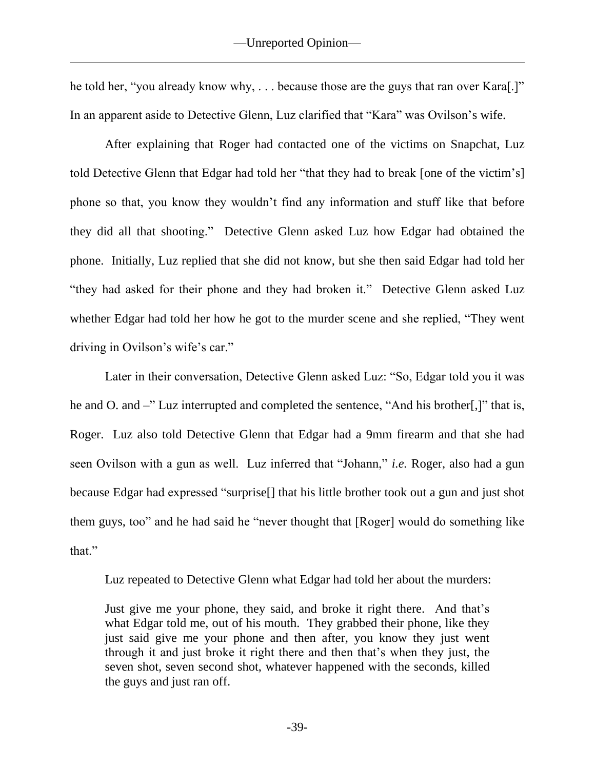he told her, "you already know why, ... because those are the guys that ran over Kara[.]" In an apparent aside to Detective Glenn, Luz clarified that "Kara" was Ovilson's wife.

After explaining that Roger had contacted one of the victims on Snapchat, Luz told Detective Glenn that Edgar had told her "that they had to break [one of the victim's] phone so that, you know they wouldn't find any information and stuff like that before they did all that shooting." Detective Glenn asked Luz how Edgar had obtained the phone. Initially, Luz replied that she did not know, but she then said Edgar had told her "they had asked for their phone and they had broken it." Detective Glenn asked Luz whether Edgar had told her how he got to the murder scene and she replied, "They went driving in Ovilson's wife's car."

Later in their conversation, Detective Glenn asked Luz: "So, Edgar told you it was he and O. and –" Luz interrupted and completed the sentence, "And his brother.]" that is, Roger. Luz also told Detective Glenn that Edgar had a 9mm firearm and that she had seen Ovilson with a gun as well. Luz inferred that "Johann," *i.e.* Roger, also had a gun because Edgar had expressed "surprise[] that his little brother took out a gun and just shot them guys, too" and he had said he "never thought that [Roger] would do something like that."

Luz repeated to Detective Glenn what Edgar had told her about the murders:

Just give me your phone, they said, and broke it right there. And that's what Edgar told me, out of his mouth. They grabbed their phone, like they just said give me your phone and then after, you know they just went through it and just broke it right there and then that's when they just, the seven shot, seven second shot, whatever happened with the seconds, killed the guys and just ran off.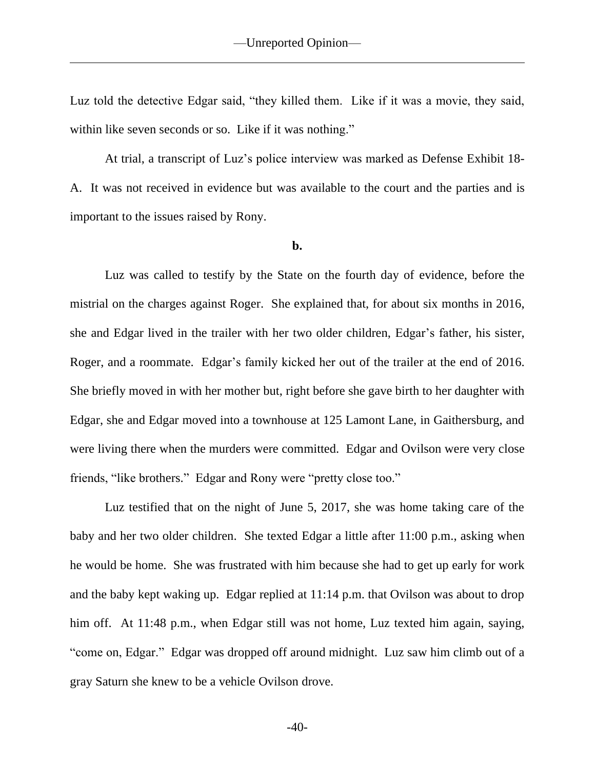Luz told the detective Edgar said, "they killed them. Like if it was a movie, they said, within like seven seconds or so. Like if it was nothing."

At trial, a transcript of Luz's police interview was marked as Defense Exhibit 18- A. It was not received in evidence but was available to the court and the parties and is important to the issues raised by Rony.

### **b.**

Luz was called to testify by the State on the fourth day of evidence, before the mistrial on the charges against Roger. She explained that, for about six months in 2016, she and Edgar lived in the trailer with her two older children, Edgar's father, his sister, Roger, and a roommate. Edgar's family kicked her out of the trailer at the end of 2016. She briefly moved in with her mother but, right before she gave birth to her daughter with Edgar, she and Edgar moved into a townhouse at 125 Lamont Lane, in Gaithersburg, and were living there when the murders were committed. Edgar and Ovilson were very close friends, "like brothers." Edgar and Rony were "pretty close too."

Luz testified that on the night of June 5, 2017, she was home taking care of the baby and her two older children. She texted Edgar a little after 11:00 p.m., asking when he would be home. She was frustrated with him because she had to get up early for work and the baby kept waking up. Edgar replied at 11:14 p.m. that Ovilson was about to drop him off. At 11:48 p.m., when Edgar still was not home, Luz texted him again, saying, "come on, Edgar." Edgar was dropped off around midnight. Luz saw him climb out of a gray Saturn she knew to be a vehicle Ovilson drove.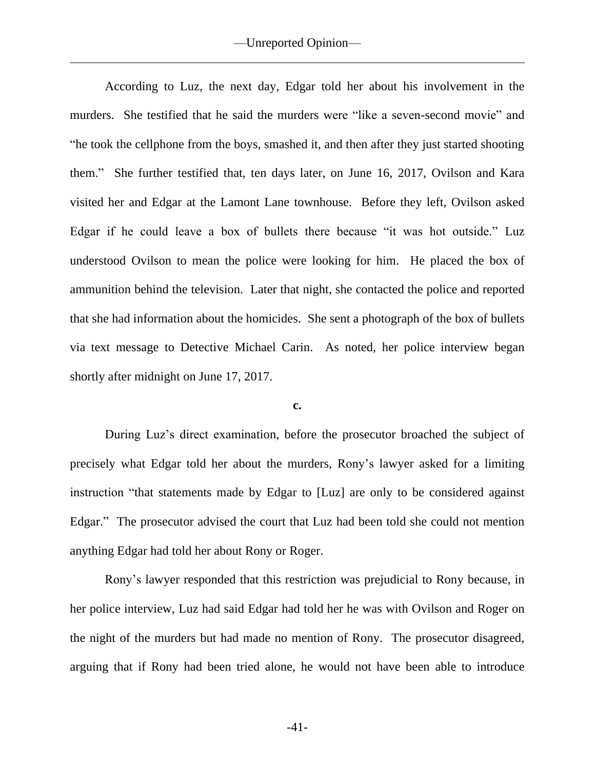According to Luz, the next day, Edgar told her about his involvement in the murders. She testified that he said the murders were "like a seven-second movie" and "he took the cellphone from the boys, smashed it, and then after they just started shooting them." She further testified that, ten days later, on June 16, 2017, Ovilson and Kara visited her and Edgar at the Lamont Lane townhouse. Before they left, Ovilson asked Edgar if he could leave a box of bullets there because "it was hot outside." Luz understood Ovilson to mean the police were looking for him. He placed the box of ammunition behind the television. Later that night, she contacted the police and reported that she had information about the homicides. She sent a photograph of the box of bullets via text message to Detective Michael Carin. As noted, her police interview began shortly after midnight on June 17, 2017.

#### **c.**

During Luz's direct examination, before the prosecutor broached the subject of precisely what Edgar told her about the murders, Rony's lawyer asked for a limiting instruction "that statements made by Edgar to [Luz] are only to be considered against Edgar." The prosecutor advised the court that Luz had been told she could not mention anything Edgar had told her about Rony or Roger.

Rony's lawyer responded that this restriction was prejudicial to Rony because, in her police interview, Luz had said Edgar had told her he was with Ovilson and Roger on the night of the murders but had made no mention of Rony. The prosecutor disagreed, arguing that if Rony had been tried alone, he would not have been able to introduce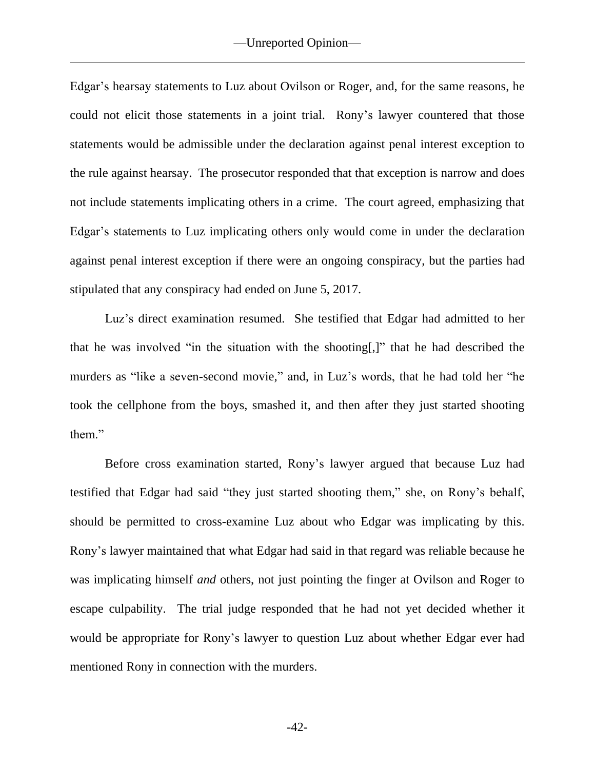Edgar's hearsay statements to Luz about Ovilson or Roger, and, for the same reasons, he could not elicit those statements in a joint trial. Rony's lawyer countered that those statements would be admissible under the declaration against penal interest exception to the rule against hearsay. The prosecutor responded that that exception is narrow and does not include statements implicating others in a crime. The court agreed, emphasizing that Edgar's statements to Luz implicating others only would come in under the declaration against penal interest exception if there were an ongoing conspiracy, but the parties had stipulated that any conspiracy had ended on June 5, 2017.

Luz's direct examination resumed. She testified that Edgar had admitted to her that he was involved "in the situation with the shooting[,]" that he had described the murders as "like a seven-second movie," and, in Luz's words, that he had told her "he took the cellphone from the boys, smashed it, and then after they just started shooting them."

Before cross examination started, Rony's lawyer argued that because Luz had testified that Edgar had said "they just started shooting them," she, on Rony's behalf, should be permitted to cross-examine Luz about who Edgar was implicating by this. Rony's lawyer maintained that what Edgar had said in that regard was reliable because he was implicating himself *and* others, not just pointing the finger at Ovilson and Roger to escape culpability. The trial judge responded that he had not yet decided whether it would be appropriate for Rony's lawyer to question Luz about whether Edgar ever had mentioned Rony in connection with the murders.

-42-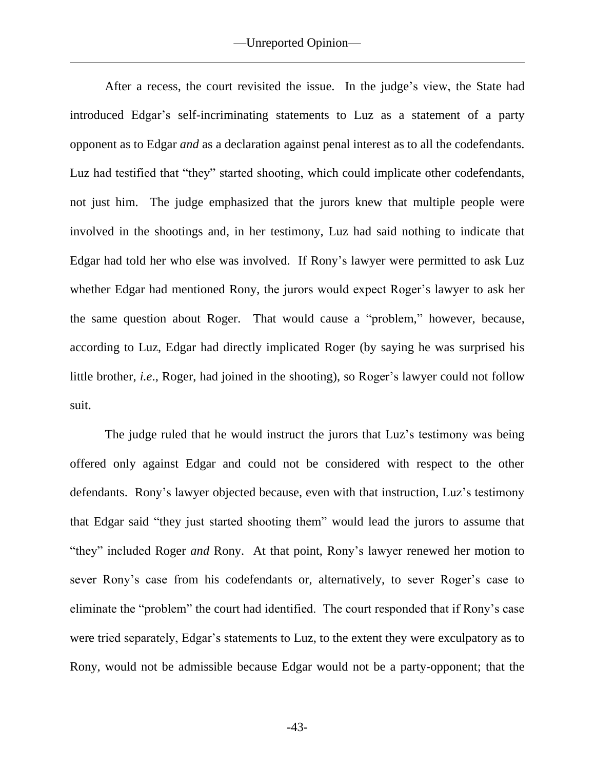After a recess, the court revisited the issue. In the judge's view, the State had introduced Edgar's self-incriminating statements to Luz as a statement of a party opponent as to Edgar *and* as a declaration against penal interest as to all the codefendants. Luz had testified that "they" started shooting, which could implicate other codefendants, not just him. The judge emphasized that the jurors knew that multiple people were involved in the shootings and, in her testimony, Luz had said nothing to indicate that Edgar had told her who else was involved. If Rony's lawyer were permitted to ask Luz whether Edgar had mentioned Rony, the jurors would expect Roger's lawyer to ask her the same question about Roger. That would cause a "problem," however, because, according to Luz, Edgar had directly implicated Roger (by saying he was surprised his little brother, *i.e*., Roger, had joined in the shooting), so Roger's lawyer could not follow suit.

The judge ruled that he would instruct the jurors that Luz's testimony was being offered only against Edgar and could not be considered with respect to the other defendants. Rony's lawyer objected because, even with that instruction, Luz's testimony that Edgar said "they just started shooting them" would lead the jurors to assume that "they" included Roger *and* Rony. At that point, Rony's lawyer renewed her motion to sever Rony's case from his codefendants or, alternatively, to sever Roger's case to eliminate the "problem" the court had identified. The court responded that if Rony's case were tried separately, Edgar's statements to Luz, to the extent they were exculpatory as to Rony, would not be admissible because Edgar would not be a party-opponent; that the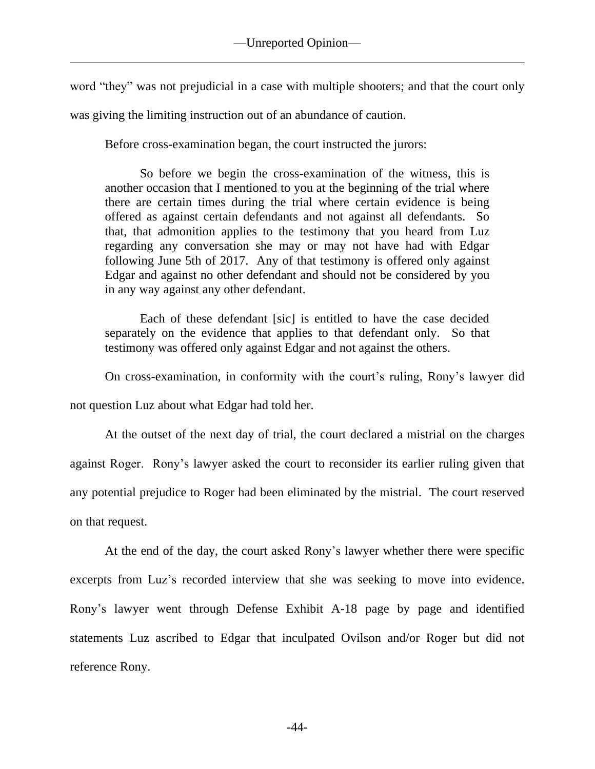word "they" was not prejudicial in a case with multiple shooters; and that the court only was giving the limiting instruction out of an abundance of caution.

Before cross-examination began, the court instructed the jurors:

So before we begin the cross-examination of the witness, this is another occasion that I mentioned to you at the beginning of the trial where there are certain times during the trial where certain evidence is being offered as against certain defendants and not against all defendants. So that, that admonition applies to the testimony that you heard from Luz regarding any conversation she may or may not have had with Edgar following June 5th of 2017. Any of that testimony is offered only against Edgar and against no other defendant and should not be considered by you in any way against any other defendant.

Each of these defendant [sic] is entitled to have the case decided separately on the evidence that applies to that defendant only. So that testimony was offered only against Edgar and not against the others.

On cross-examination, in conformity with the court's ruling, Rony's lawyer did

not question Luz about what Edgar had told her.

At the outset of the next day of trial, the court declared a mistrial on the charges against Roger. Rony's lawyer asked the court to reconsider its earlier ruling given that any potential prejudice to Roger had been eliminated by the mistrial. The court reserved on that request.

At the end of the day, the court asked Rony's lawyer whether there were specific excerpts from Luz's recorded interview that she was seeking to move into evidence. Rony's lawyer went through Defense Exhibit A-18 page by page and identified statements Luz ascribed to Edgar that inculpated Ovilson and/or Roger but did not reference Rony.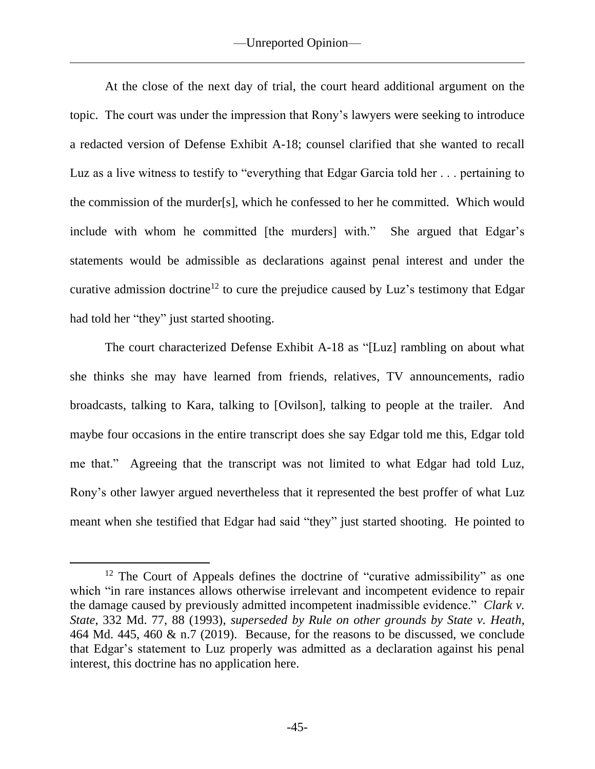At the close of the next day of trial, the court heard additional argument on the topic. The court was under the impression that Rony's lawyers were seeking to introduce a redacted version of Defense Exhibit A-18; counsel clarified that she wanted to recall Luz as a live witness to testify to "everything that Edgar Garcia told her . . . pertaining to the commission of the murder[s], which he confessed to her he committed. Which would include with whom he committed [the murders] with." She argued that Edgar's statements would be admissible as declarations against penal interest and under the curative admission doctrine<sup>12</sup> to cure the prejudice caused by Luz's testimony that Edgar had told her "they" just started shooting.

The court characterized Defense Exhibit A-18 as "[Luz] rambling on about what she thinks she may have learned from friends, relatives, TV announcements, radio broadcasts, talking to Kara, talking to [Ovilson], talking to people at the trailer. And maybe four occasions in the entire transcript does she say Edgar told me this, Edgar told me that." Agreeing that the transcript was not limited to what Edgar had told Luz, Rony's other lawyer argued nevertheless that it represented the best proffer of what Luz meant when she testified that Edgar had said "they" just started shooting. He pointed to

<sup>&</sup>lt;sup>12</sup> The Court of Appeals defines the doctrine of "curative admissibility" as one which "in rare instances allows otherwise irrelevant and incompetent evidence to repair the damage caused by previously admitted incompetent inadmissible evidence." *Clark v. State*, 332 Md. 77, 88 (1993), *superseded by Rule on other grounds by State v. Heath*, 464 Md. 445, 460 & n.7 (2019). Because, for the reasons to be discussed, we conclude that Edgar's statement to Luz properly was admitted as a declaration against his penal interest, this doctrine has no application here.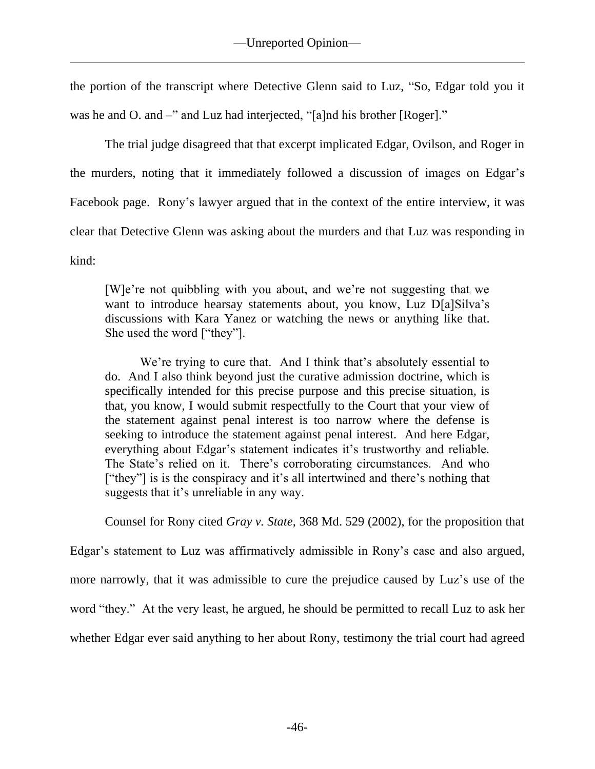the portion of the transcript where Detective Glenn said to Luz, "So, Edgar told you it was he and O. and –" and Luz had interjected, "[a]nd his brother [Roger]."

The trial judge disagreed that that excerpt implicated Edgar, Ovilson, and Roger in the murders, noting that it immediately followed a discussion of images on Edgar's Facebook page. Rony's lawyer argued that in the context of the entire interview, it was clear that Detective Glenn was asking about the murders and that Luz was responding in kind:

[W]e're not quibbling with you about, and we're not suggesting that we want to introduce hearsay statements about, you know, Luz D[a]Silva's discussions with Kara Yanez or watching the news or anything like that. She used the word ["they"].

We're trying to cure that. And I think that's absolutely essential to do. And I also think beyond just the curative admission doctrine, which is specifically intended for this precise purpose and this precise situation, is that, you know, I would submit respectfully to the Court that your view of the statement against penal interest is too narrow where the defense is seeking to introduce the statement against penal interest. And here Edgar, everything about Edgar's statement indicates it's trustworthy and reliable. The State's relied on it. There's corroborating circumstances. And who ["they"] is is the conspiracy and it's all intertwined and there's nothing that suggests that it's unreliable in any way.

Counsel for Rony cited *Gray v. State*, 368 Md. 529 (2002), for the proposition that

Edgar's statement to Luz was affirmatively admissible in Rony's case and also argued, more narrowly, that it was admissible to cure the prejudice caused by Luz's use of the word "they." At the very least, he argued, he should be permitted to recall Luz to ask her whether Edgar ever said anything to her about Rony, testimony the trial court had agreed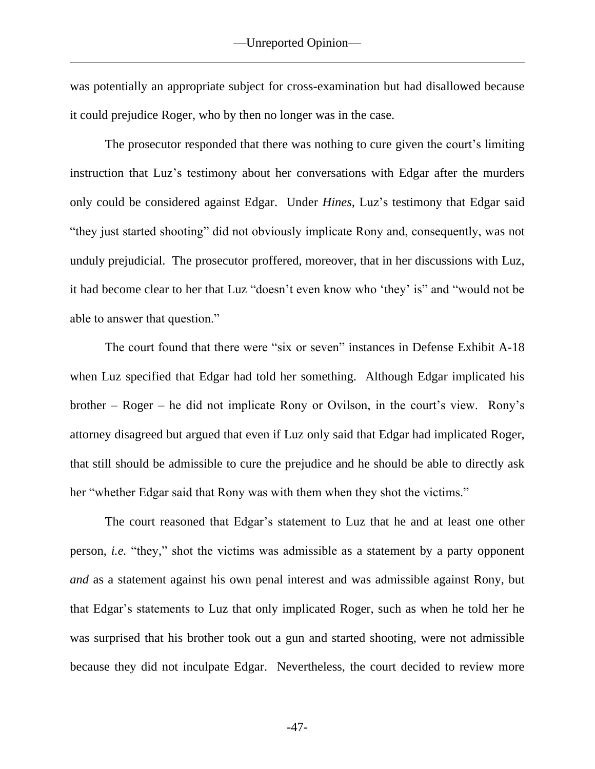was potentially an appropriate subject for cross-examination but had disallowed because it could prejudice Roger, who by then no longer was in the case.

The prosecutor responded that there was nothing to cure given the court's limiting instruction that Luz's testimony about her conversations with Edgar after the murders only could be considered against Edgar. Under *Hines*, Luz's testimony that Edgar said "they just started shooting" did not obviously implicate Rony and, consequently, was not unduly prejudicial. The prosecutor proffered, moreover, that in her discussions with Luz, it had become clear to her that Luz "doesn't even know who 'they' is" and "would not be able to answer that question."

The court found that there were "six or seven" instances in Defense Exhibit A-18 when Luz specified that Edgar had told her something. Although Edgar implicated his brother – Roger – he did not implicate Rony or Ovilson, in the court's view. Rony's attorney disagreed but argued that even if Luz only said that Edgar had implicated Roger, that still should be admissible to cure the prejudice and he should be able to directly ask her "whether Edgar said that Rony was with them when they shot the victims."

The court reasoned that Edgar's statement to Luz that he and at least one other person, *i.e.* "they," shot the victims was admissible as a statement by a party opponent *and* as a statement against his own penal interest and was admissible against Rony, but that Edgar's statements to Luz that only implicated Roger, such as when he told her he was surprised that his brother took out a gun and started shooting, were not admissible because they did not inculpate Edgar. Nevertheless, the court decided to review more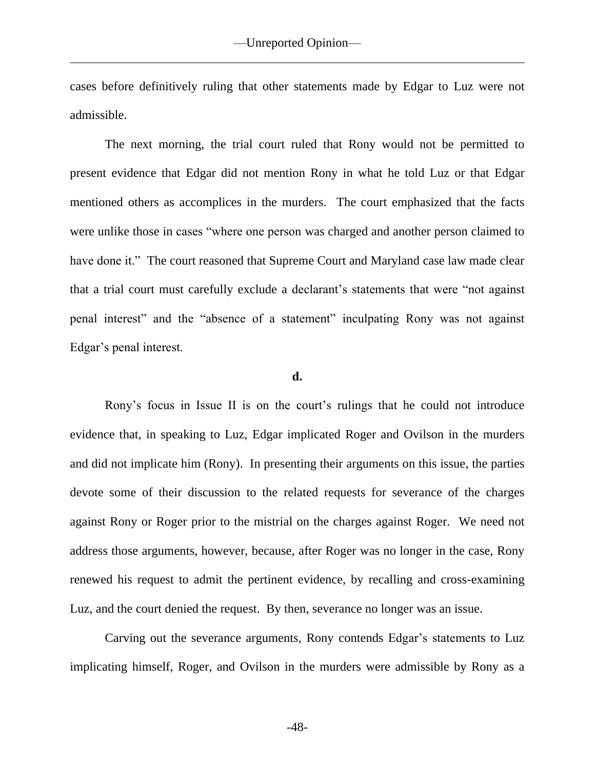cases before definitively ruling that other statements made by Edgar to Luz were not admissible.

The next morning, the trial court ruled that Rony would not be permitted to present evidence that Edgar did not mention Rony in what he told Luz or that Edgar mentioned others as accomplices in the murders. The court emphasized that the facts were unlike those in cases "where one person was charged and another person claimed to have done it." The court reasoned that Supreme Court and Maryland case law made clear that a trial court must carefully exclude a declarant's statements that were "not against penal interest" and the "absence of a statement" inculpating Rony was not against Edgar's penal interest.

## **d.**

Rony's focus in Issue II is on the court's rulings that he could not introduce evidence that, in speaking to Luz, Edgar implicated Roger and Ovilson in the murders and did not implicate him (Rony). In presenting their arguments on this issue, the parties devote some of their discussion to the related requests for severance of the charges against Rony or Roger prior to the mistrial on the charges against Roger. We need not address those arguments, however, because, after Roger was no longer in the case, Rony renewed his request to admit the pertinent evidence, by recalling and cross-examining Luz, and the court denied the request. By then, severance no longer was an issue.

Carving out the severance arguments, Rony contends Edgar's statements to Luz implicating himself, Roger, and Ovilson in the murders were admissible by Rony as a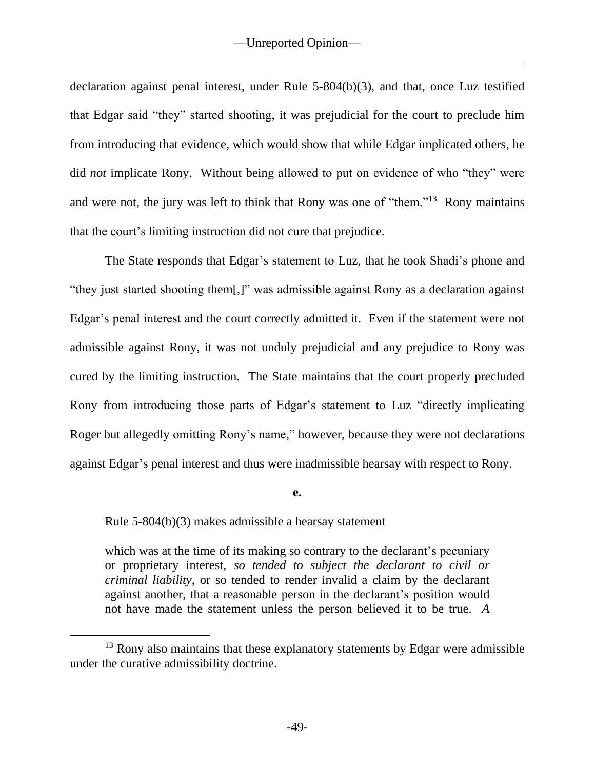declaration against penal interest, under Rule 5-804(b)(3), and that, once Luz testified that Edgar said "they" started shooting, it was prejudicial for the court to preclude him from introducing that evidence, which would show that while Edgar implicated others, he did *not* implicate Rony. Without being allowed to put on evidence of who "they" were and were not, the jury was left to think that Rony was one of "them."<sup>13</sup> Rony maintains that the court's limiting instruction did not cure that prejudice.

The State responds that Edgar's statement to Luz, that he took Shadi's phone and "they just started shooting them[,]" was admissible against Rony as a declaration against Edgar's penal interest and the court correctly admitted it. Even if the statement were not admissible against Rony, it was not unduly prejudicial and any prejudice to Rony was cured by the limiting instruction. The State maintains that the court properly precluded Rony from introducing those parts of Edgar's statement to Luz "directly implicating Roger but allegedly omitting Rony's name," however, because they were not declarations against Edgar's penal interest and thus were inadmissible hearsay with respect to Rony.

**e.**

Rule 5-804(b)(3) makes admissible a hearsay statement

which was at the time of its making so contrary to the declarant's pecuniary or proprietary interest, *so tended to subject the declarant to civil or criminal liability*, or so tended to render invalid a claim by the declarant against another, that a reasonable person in the declarant's position would not have made the statement unless the person believed it to be true. *A* 

 $13$  Rony also maintains that these explanatory statements by Edgar were admissible under the curative admissibility doctrine.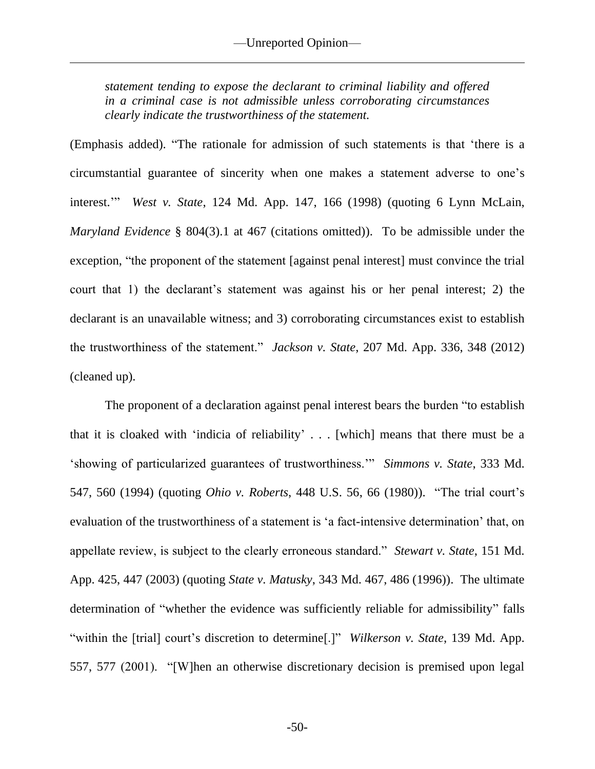*statement tending to expose the declarant to criminal liability and offered in a criminal case is not admissible unless corroborating circumstances clearly indicate the trustworthiness of the statement.*

(Emphasis added). "The rationale for admission of such statements is that 'there is a circumstantial guarantee of sincerity when one makes a statement adverse to one's interest.'" *West v. State*, 124 Md. App. 147, 166 (1998) (quoting 6 Lynn McLain, *Maryland Evidence* § 804(3).1 at 467 (citations omitted)). To be admissible under the exception, "the proponent of the statement [against penal interest] must convince the trial court that 1) the declarant's statement was against his or her penal interest; 2) the declarant is an unavailable witness; and 3) corroborating circumstances exist to establish the trustworthiness of the statement." *Jackson v. State*, 207 Md. App. 336, 348 (2012) (cleaned up).

The proponent of a declaration against penal interest bears the burden "to establish that it is cloaked with 'indicia of reliability' . . . [which] means that there must be a 'showing of particularized guarantees of trustworthiness.'" *Simmons v. State*, 333 Md. 547, 560 (1994) (quoting *Ohio v. Roberts*, 448 U.S. 56, 66 (1980)). "The trial court's evaluation of the trustworthiness of a statement is 'a fact-intensive determination' that, on appellate review, is subject to the clearly erroneous standard." *Stewart v. State*, 151 Md. App. 425, 447 (2003) (quoting *State v. Matusky*, 343 Md. 467, 486 (1996)). The ultimate determination of "whether the evidence was sufficiently reliable for admissibility" falls "within the [trial] court's discretion to determine[.]" *Wilkerson v. State*, 139 Md. App. 557, 577 (2001). "[W]hen an otherwise discretionary decision is premised upon legal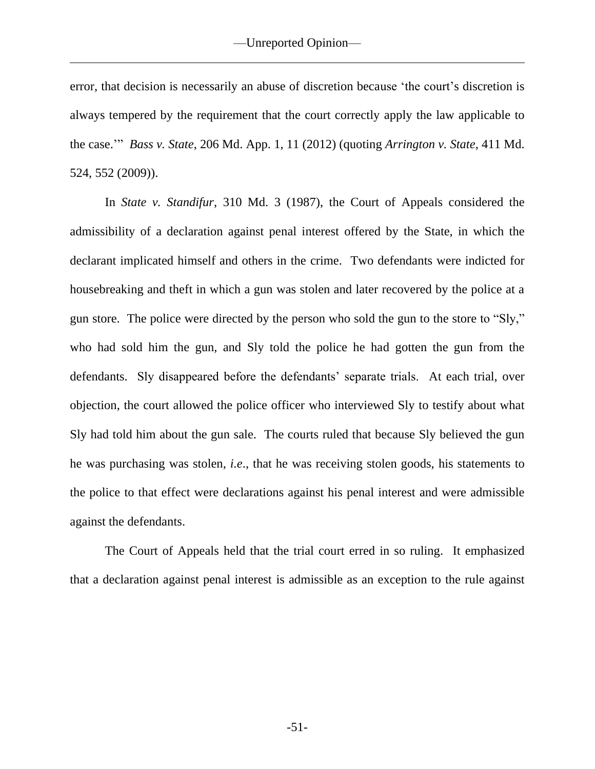error, that decision is necessarily an abuse of discretion because 'the court's discretion is always tempered by the requirement that the court correctly apply the law applicable to the case.'" *Bass v. State*, 206 Md. App. 1, 11 (2012) (quoting *Arrington v. State*, 411 Md. 524, 552 (2009)).

In *State v. Standifur*, 310 Md. 3 (1987), the Court of Appeals considered the admissibility of a declaration against penal interest offered by the State, in which the declarant implicated himself and others in the crime. Two defendants were indicted for housebreaking and theft in which a gun was stolen and later recovered by the police at a gun store. The police were directed by the person who sold the gun to the store to "Sly," who had sold him the gun, and Sly told the police he had gotten the gun from the defendants. Sly disappeared before the defendants' separate trials. At each trial, over objection, the court allowed the police officer who interviewed Sly to testify about what Sly had told him about the gun sale. The courts ruled that because Sly believed the gun he was purchasing was stolen, *i.e*., that he was receiving stolen goods, his statements to the police to that effect were declarations against his penal interest and were admissible against the defendants.

The Court of Appeals held that the trial court erred in so ruling. It emphasized that a declaration against penal interest is admissible as an exception to the rule against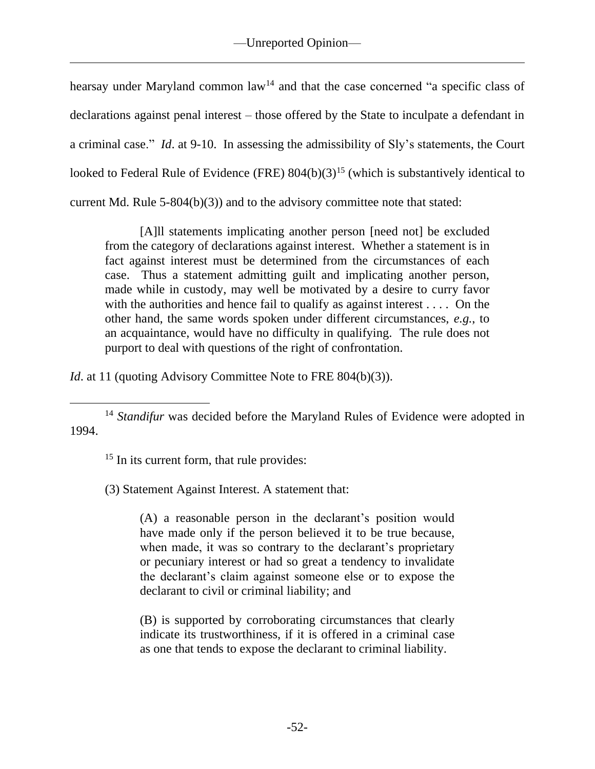hearsay under Maryland common  $law<sup>14</sup>$  and that the case concerned "a specific class of declarations against penal interest – those offered by the State to inculpate a defendant in a criminal case." *Id*. at 9-10. In assessing the admissibility of Sly's statements, the Court looked to Federal Rule of Evidence (FRE)  $804(b)(3)^{15}$  (which is substantively identical to current Md. Rule 5-804(b)(3)) and to the advisory committee note that stated:

[A]ll statements implicating another person [need not] be excluded from the category of declarations against interest. Whether a statement is in fact against interest must be determined from the circumstances of each case. Thus a statement admitting guilt and implicating another person, made while in custody, may well be motivated by a desire to curry favor with the authorities and hence fail to qualify as against interest . . . . On the other hand, the same words spoken under different circumstances, *e.g.*, to an acquaintance, would have no difficulty in qualifying. The rule does not purport to deal with questions of the right of confrontation.

*Id.* at 11 (quoting Advisory Committee Note to FRE 804(b)(3)).

<sup>14</sup> *Standifur* was decided before the Maryland Rules of Evidence were adopted in 1994.

<sup>15</sup> In its current form, that rule provides:

(3) Statement Against Interest. A statement that:

(A) a reasonable person in the declarant's position would have made only if the person believed it to be true because, when made, it was so contrary to the declarant's proprietary or pecuniary interest or had so great a tendency to invalidate the declarant's claim against someone else or to expose the declarant to civil or criminal liability; and

(B) is supported by corroborating circumstances that clearly indicate its trustworthiness, if it is offered in a criminal case as one that tends to expose the declarant to criminal liability.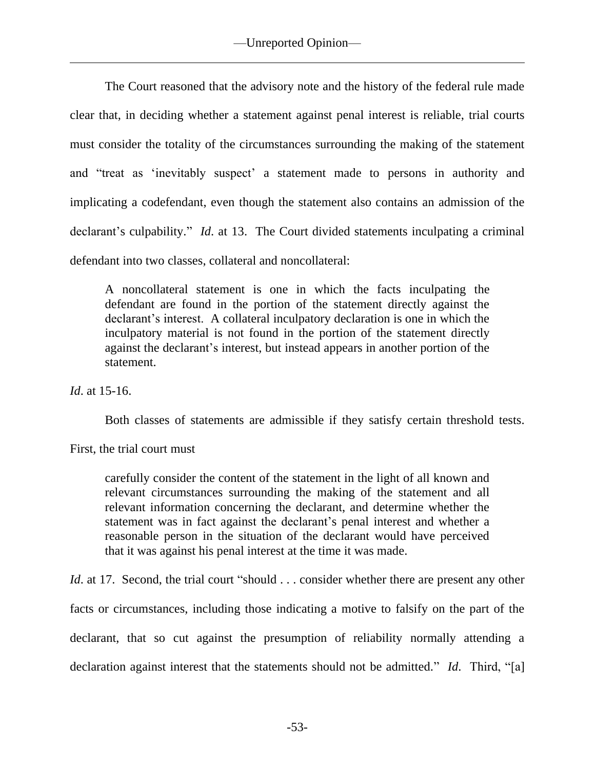The Court reasoned that the advisory note and the history of the federal rule made clear that, in deciding whether a statement against penal interest is reliable, trial courts must consider the totality of the circumstances surrounding the making of the statement and "treat as 'inevitably suspect' a statement made to persons in authority and implicating a codefendant, even though the statement also contains an admission of the declarant's culpability." *Id*. at 13. The Court divided statements inculpating a criminal defendant into two classes, collateral and noncollateral:

A noncollateral statement is one in which the facts inculpating the defendant are found in the portion of the statement directly against the declarant's interest. A collateral inculpatory declaration is one in which the inculpatory material is not found in the portion of the statement directly against the declarant's interest, but instead appears in another portion of the statement.

*Id*. at 15-16.

Both classes of statements are admissible if they satisfy certain threshold tests.

First, the trial court must

carefully consider the content of the statement in the light of all known and relevant circumstances surrounding the making of the statement and all relevant information concerning the declarant, and determine whether the statement was in fact against the declarant's penal interest and whether a reasonable person in the situation of the declarant would have perceived that it was against his penal interest at the time it was made.

*Id.* at 17. Second, the trial court "should . . . consider whether there are present any other facts or circumstances, including those indicating a motive to falsify on the part of the declarant, that so cut against the presumption of reliability normally attending a declaration against interest that the statements should not be admitted." *Id*. Third, "[a]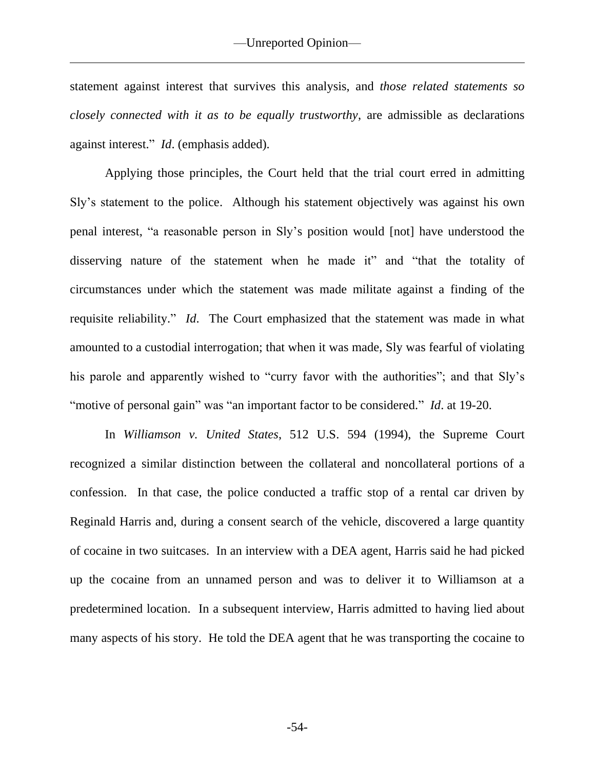statement against interest that survives this analysis, and *those related statements so closely connected with it as to be equally trustworthy*, are admissible as declarations against interest." *Id*. (emphasis added).

Applying those principles, the Court held that the trial court erred in admitting Sly's statement to the police. Although his statement objectively was against his own penal interest, "a reasonable person in Sly's position would [not] have understood the disserving nature of the statement when he made it" and "that the totality of circumstances under which the statement was made militate against a finding of the requisite reliability." *Id*. The Court emphasized that the statement was made in what amounted to a custodial interrogation; that when it was made, Sly was fearful of violating his parole and apparently wished to "curry favor with the authorities"; and that Sly's "motive of personal gain" was "an important factor to be considered." *Id*. at 19-20.

In *Williamson v. United States*, 512 U.S. 594 (1994), the Supreme Court recognized a similar distinction between the collateral and noncollateral portions of a confession. In that case, the police conducted a traffic stop of a rental car driven by Reginald Harris and, during a consent search of the vehicle, discovered a large quantity of cocaine in two suitcases. In an interview with a DEA agent, Harris said he had picked up the cocaine from an unnamed person and was to deliver it to Williamson at a predetermined location. In a subsequent interview, Harris admitted to having lied about many aspects of his story. He told the DEA agent that he was transporting the cocaine to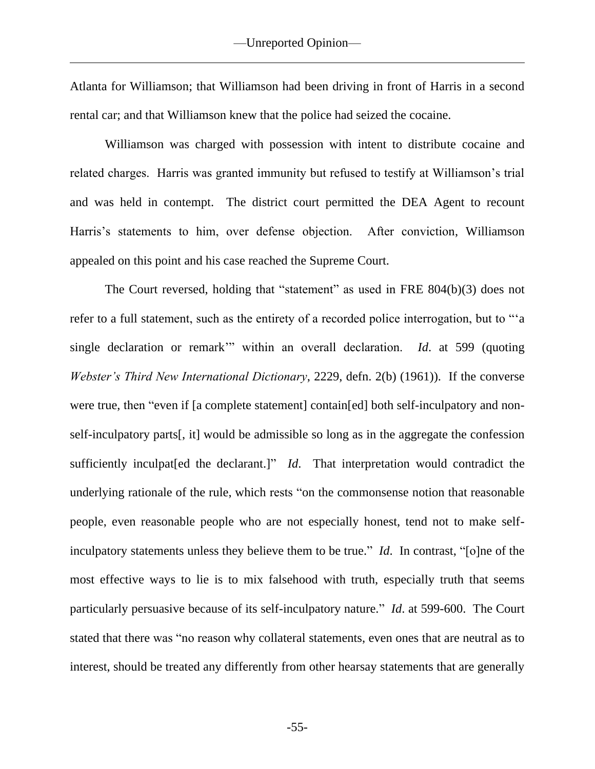Atlanta for Williamson; that Williamson had been driving in front of Harris in a second rental car; and that Williamson knew that the police had seized the cocaine.

Williamson was charged with possession with intent to distribute cocaine and related charges. Harris was granted immunity but refused to testify at Williamson's trial and was held in contempt. The district court permitted the DEA Agent to recount Harris's statements to him, over defense objection. After conviction, Williamson appealed on this point and his case reached the Supreme Court.

The Court reversed, holding that "statement" as used in FRE 804(b)(3) does not refer to a full statement, such as the entirety of a recorded police interrogation, but to "'a single declaration or remark'" within an overall declaration. *Id*. at 599 (quoting *Webster's Third New International Dictionary*, 2229, defn. 2(b) (1961)). If the converse were true, then "even if [a complete statement] contain[ed] both self-inculpatory and nonself-inculpatory parts[, it] would be admissible so long as in the aggregate the confession sufficiently inculpat[ed the declarant.]" *Id*. That interpretation would contradict the underlying rationale of the rule, which rests "on the commonsense notion that reasonable people, even reasonable people who are not especially honest, tend not to make selfinculpatory statements unless they believe them to be true." *Id*. In contrast, "[o]ne of the most effective ways to lie is to mix falsehood with truth, especially truth that seems particularly persuasive because of its self-inculpatory nature." *Id*. at 599-600. The Court stated that there was "no reason why collateral statements, even ones that are neutral as to interest, should be treated any differently from other hearsay statements that are generally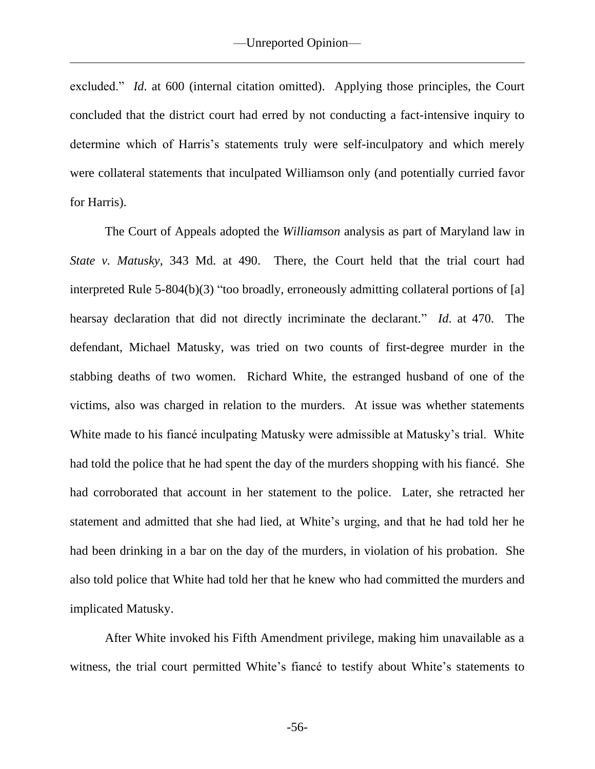excluded." *Id*. at 600 (internal citation omitted). Applying those principles, the Court concluded that the district court had erred by not conducting a fact-intensive inquiry to determine which of Harris's statements truly were self-inculpatory and which merely were collateral statements that inculpated Williamson only (and potentially curried favor for Harris).

The Court of Appeals adopted the *Williamson* analysis as part of Maryland law in *State v. Matusky*, 343 Md. at 490. There, the Court held that the trial court had interpreted Rule 5-804(b)(3) "too broadly, erroneously admitting collateral portions of [a] hearsay declaration that did not directly incriminate the declarant." *Id*. at 470. The defendant, Michael Matusky, was tried on two counts of first-degree murder in the stabbing deaths of two women. Richard White, the estranged husband of one of the victims, also was charged in relation to the murders. At issue was whether statements White made to his fiancé inculpating Matusky were admissible at Matusky's trial. White had told the police that he had spent the day of the murders shopping with his fiancé. She had corroborated that account in her statement to the police. Later, she retracted her statement and admitted that she had lied, at White's urging, and that he had told her he had been drinking in a bar on the day of the murders, in violation of his probation. She also told police that White had told her that he knew who had committed the murders and implicated Matusky.

After White invoked his Fifth Amendment privilege, making him unavailable as a witness, the trial court permitted White's fiancé to testify about White's statements to

-56-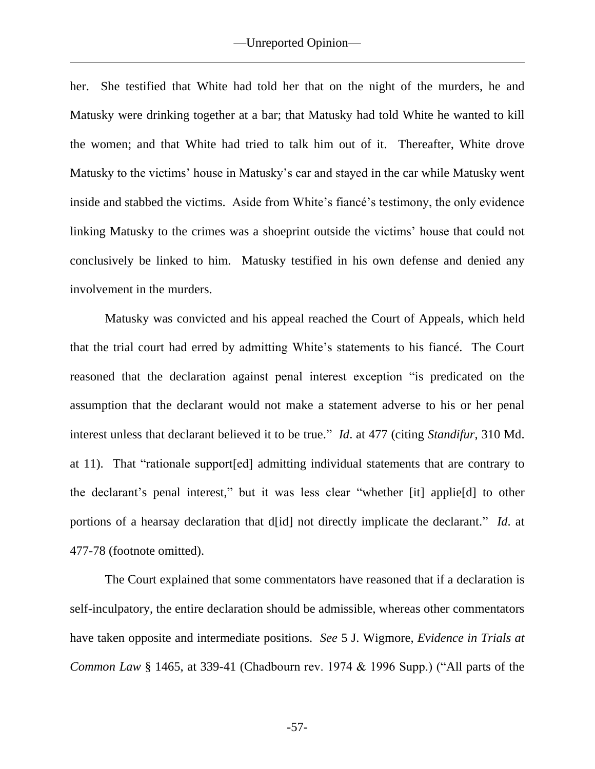her. She testified that White had told her that on the night of the murders, he and Matusky were drinking together at a bar; that Matusky had told White he wanted to kill the women; and that White had tried to talk him out of it. Thereafter, White drove Matusky to the victims' house in Matusky's car and stayed in the car while Matusky went inside and stabbed the victims. Aside from White's fiancé's testimony, the only evidence linking Matusky to the crimes was a shoeprint outside the victims' house that could not conclusively be linked to him. Matusky testified in his own defense and denied any involvement in the murders.

Matusky was convicted and his appeal reached the Court of Appeals, which held that the trial court had erred by admitting White's statements to his fiancé. The Court reasoned that the declaration against penal interest exception "is predicated on the assumption that the declarant would not make a statement adverse to his or her penal interest unless that declarant believed it to be true." *Id*. at 477 (citing *Standifur*, 310 Md. at 11). That "rationale support[ed] admitting individual statements that are contrary to the declarant's penal interest," but it was less clear "whether [it] applie[d] to other portions of a hearsay declaration that d[id] not directly implicate the declarant." *Id*. at 477-78 (footnote omitted).

The Court explained that some commentators have reasoned that if a declaration is self-inculpatory, the entire declaration should be admissible, whereas other commentators have taken opposite and intermediate positions. *See* 5 J. Wigmore, *Evidence in Trials at Common Law* § 1465, at 339-41 (Chadbourn rev. 1974 & 1996 Supp.) ("All parts of the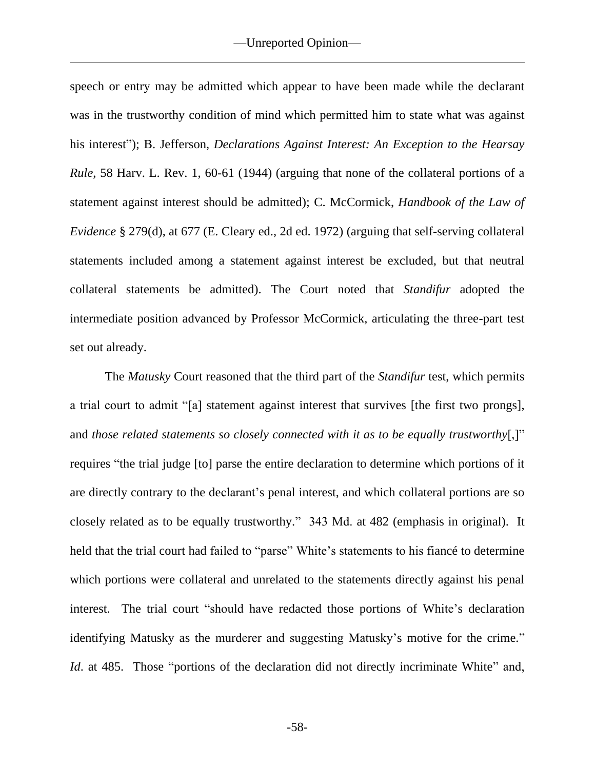speech or entry may be admitted which appear to have been made while the declarant was in the trustworthy condition of mind which permitted him to state what was against his interest"); B. Jefferson, *Declarations Against Interest: An Exception to the Hearsay Rule*, 58 Harv. L. Rev. 1, 60-61 (1944) (arguing that none of the collateral portions of a statement against interest should be admitted); C. McCormick, *Handbook of the Law of Evidence* § 279(d), at 677 (E. Cleary ed., 2d ed. 1972) (arguing that self-serving collateral statements included among a statement against interest be excluded, but that neutral collateral statements be admitted). The Court noted that *Standifur* adopted the intermediate position advanced by Professor McCormick, articulating the three-part test set out already.

The *Matusky* Court reasoned that the third part of the *Standifur* test, which permits a trial court to admit "[a] statement against interest that survives [the first two prongs], and *those related statements so closely connected with it as to be equally trustworthy*[,]" requires "the trial judge [to] parse the entire declaration to determine which portions of it are directly contrary to the declarant's penal interest, and which collateral portions are so closely related as to be equally trustworthy." 343 Md. at 482 (emphasis in original). It held that the trial court had failed to "parse" White's statements to his fiancé to determine which portions were collateral and unrelated to the statements directly against his penal interest. The trial court "should have redacted those portions of White's declaration identifying Matusky as the murderer and suggesting Matusky's motive for the crime." *Id.* at 485. Those "portions of the declaration did not directly incriminate White" and,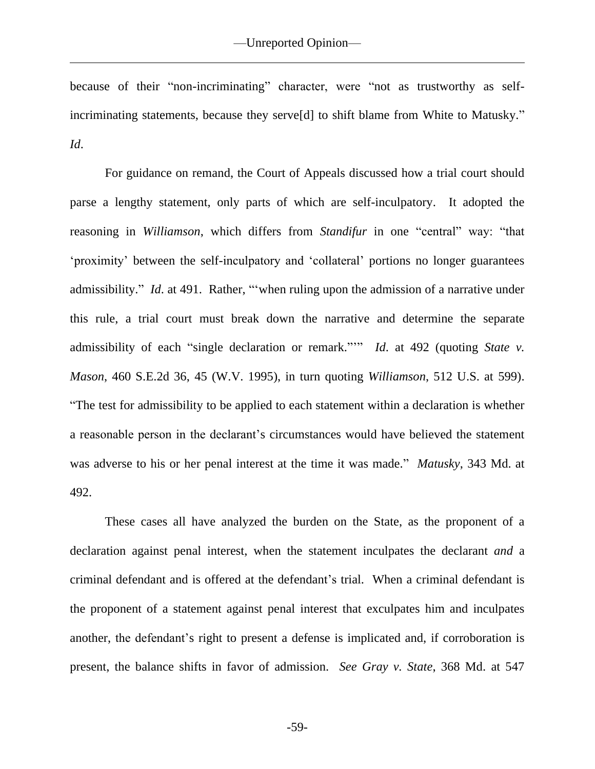because of their "non-incriminating" character, were "not as trustworthy as selfincriminating statements, because they serve[d] to shift blame from White to Matusky." *Id*.

For guidance on remand, the Court of Appeals discussed how a trial court should parse a lengthy statement, only parts of which are self-inculpatory. It adopted the reasoning in *Williamson*, which differs from *Standifur* in one "central" way: "that 'proximity' between the self-inculpatory and 'collateral' portions no longer guarantees admissibility." *Id*. at 491. Rather, "'when ruling upon the admission of a narrative under this rule, a trial court must break down the narrative and determine the separate admissibility of each "single declaration or remark."" *Id.* at 492 (quoting *State v. Mason*, 460 S.E.2d 36, 45 (W.V. 1995), in turn quoting *Williamson*, 512 U.S. at 599). "The test for admissibility to be applied to each statement within a declaration is whether a reasonable person in the declarant's circumstances would have believed the statement was adverse to his or her penal interest at the time it was made." *Matusky*, 343 Md. at 492.

These cases all have analyzed the burden on the State, as the proponent of a declaration against penal interest, when the statement inculpates the declarant *and* a criminal defendant and is offered at the defendant's trial. When a criminal defendant is the proponent of a statement against penal interest that exculpates him and inculpates another, the defendant's right to present a defense is implicated and, if corroboration is present, the balance shifts in favor of admission. *See Gray v. State*, 368 Md. at 547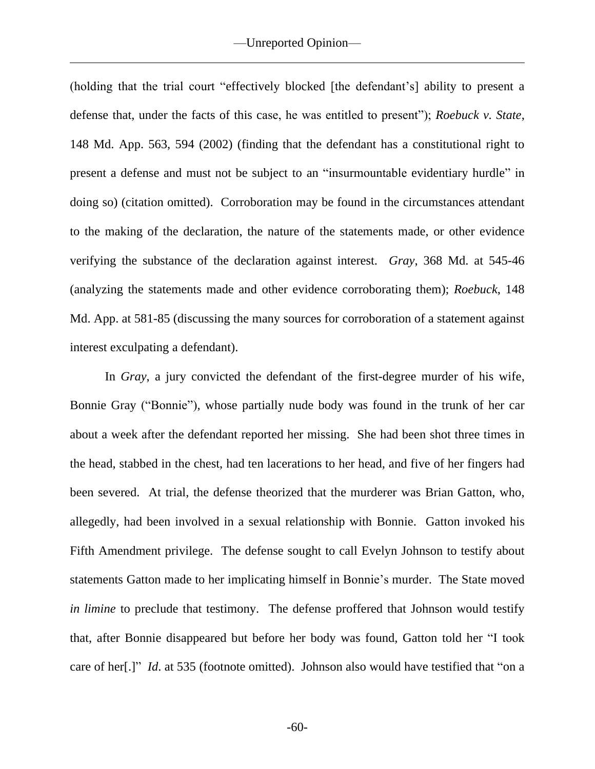(holding that the trial court "effectively blocked [the defendant's] ability to present a defense that, under the facts of this case, he was entitled to present"); *Roebuck v. State*, 148 Md. App. 563, 594 (2002) (finding that the defendant has a constitutional right to present a defense and must not be subject to an "insurmountable evidentiary hurdle" in doing so) (citation omitted). Corroboration may be found in the circumstances attendant to the making of the declaration, the nature of the statements made, or other evidence verifying the substance of the declaration against interest. *Gray*, 368 Md. at 545-46 (analyzing the statements made and other evidence corroborating them); *Roebuck*, 148 Md. App. at 581-85 (discussing the many sources for corroboration of a statement against interest exculpating a defendant).

In *Gray*, a jury convicted the defendant of the first-degree murder of his wife, Bonnie Gray ("Bonnie"), whose partially nude body was found in the trunk of her car about a week after the defendant reported her missing. She had been shot three times in the head, stabbed in the chest, had ten lacerations to her head, and five of her fingers had been severed. At trial, the defense theorized that the murderer was Brian Gatton, who, allegedly, had been involved in a sexual relationship with Bonnie. Gatton invoked his Fifth Amendment privilege. The defense sought to call Evelyn Johnson to testify about statements Gatton made to her implicating himself in Bonnie's murder. The State moved *in limine* to preclude that testimony. The defense proffered that Johnson would testify that, after Bonnie disappeared but before her body was found, Gatton told her "I took care of her[.]" *Id*. at 535 (footnote omitted). Johnson also would have testified that "on a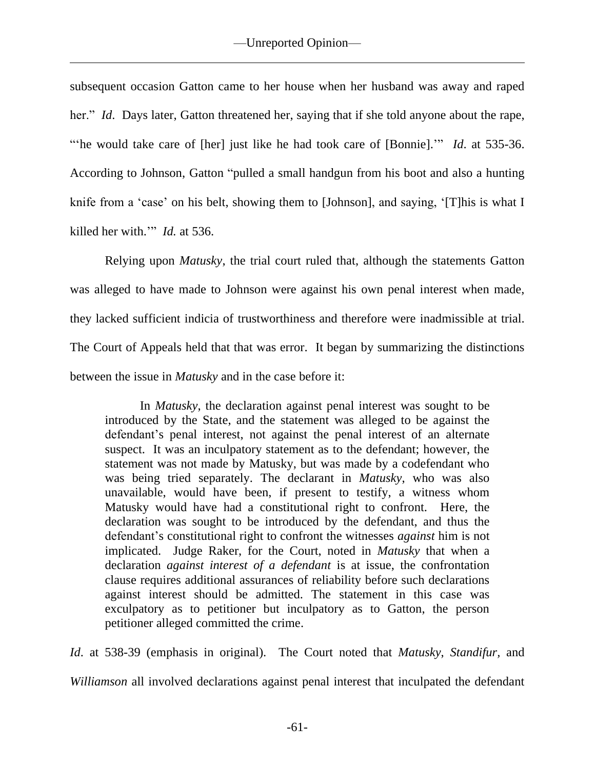subsequent occasion Gatton came to her house when her husband was away and raped her." *Id.* Days later, Gatton threatened her, saying that if she told anyone about the rape, "he would take care of [her] just like he had took care of [Bonnie]." *Id.* at 535-36. According to Johnson, Gatton "pulled a small handgun from his boot and also a hunting knife from a 'case' on his belt, showing them to [Johnson], and saying, '[T]his is what I killed her with.'" *Id.* at 536.

Relying upon *Matusky*, the trial court ruled that, although the statements Gatton was alleged to have made to Johnson were against his own penal interest when made, they lacked sufficient indicia of trustworthiness and therefore were inadmissible at trial. The Court of Appeals held that that was error. It began by summarizing the distinctions between the issue in *Matusky* and in the case before it:

In *Matusky*, the declaration against penal interest was sought to be introduced by the State, and the statement was alleged to be against the defendant's penal interest, not against the penal interest of an alternate suspect. It was an inculpatory statement as to the defendant; however, the statement was not made by Matusky, but was made by a codefendant who was being tried separately. The declarant in *Matusky*, who was also unavailable, would have been, if present to testify, a witness whom Matusky would have had a constitutional right to confront. Here, the declaration was sought to be introduced by the defendant, and thus the defendant's constitutional right to confront the witnesses *against* him is not implicated. Judge Raker, for the Court, noted in *Matusky* that when a declaration *against interest of a defendant* is at issue, the confrontation clause requires additional assurances of reliability before such declarations against interest should be admitted. The statement in this case was exculpatory as to petitioner but inculpatory as to Gatton, the person petitioner alleged committed the crime.

*Id*. at 538-39 (emphasis in original). The Court noted that *Matusky*, *Standifur,* and *Williamson* all involved declarations against penal interest that inculpated the defendant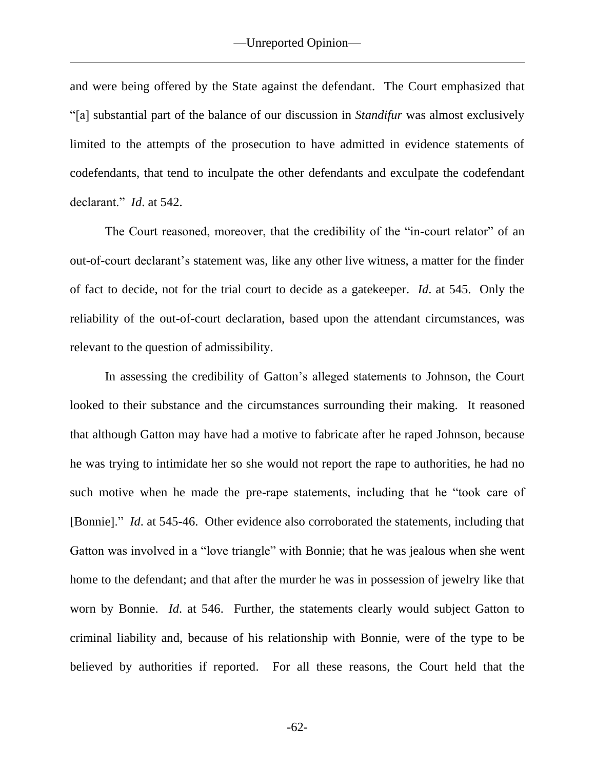and were being offered by the State against the defendant. The Court emphasized that "[a] substantial part of the balance of our discussion in *Standifur* was almost exclusively limited to the attempts of the prosecution to have admitted in evidence statements of codefendants, that tend to inculpate the other defendants and exculpate the codefendant declarant." *Id*. at 542.

The Court reasoned, moreover, that the credibility of the "in-court relator" of an out-of-court declarant's statement was, like any other live witness, a matter for the finder of fact to decide, not for the trial court to decide as a gatekeeper. *Id*. at 545. Only the reliability of the out-of-court declaration, based upon the attendant circumstances, was relevant to the question of admissibility.

In assessing the credibility of Gatton's alleged statements to Johnson, the Court looked to their substance and the circumstances surrounding their making. It reasoned that although Gatton may have had a motive to fabricate after he raped Johnson, because he was trying to intimidate her so she would not report the rape to authorities, he had no such motive when he made the pre-rape statements, including that he "took care of [Bonnie]." *Id*. at 545-46. Other evidence also corroborated the statements, including that Gatton was involved in a "love triangle" with Bonnie; that he was jealous when she went home to the defendant; and that after the murder he was in possession of jewelry like that worn by Bonnie. *Id*. at 546. Further, the statements clearly would subject Gatton to criminal liability and, because of his relationship with Bonnie, were of the type to be believed by authorities if reported. For all these reasons, the Court held that the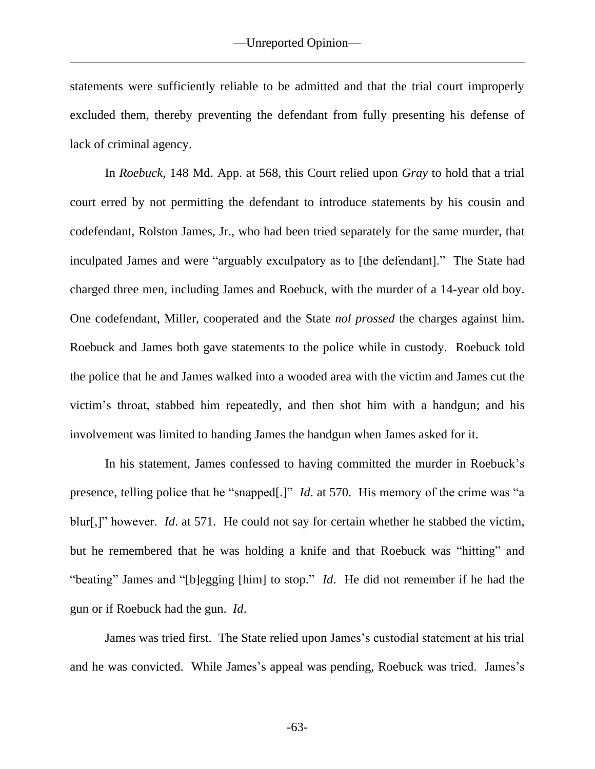statements were sufficiently reliable to be admitted and that the trial court improperly excluded them, thereby preventing the defendant from fully presenting his defense of lack of criminal agency.

In *Roebuck*, 148 Md. App. at 568, this Court relied upon *Gray* to hold that a trial court erred by not permitting the defendant to introduce statements by his cousin and codefendant, Rolston James, Jr., who had been tried separately for the same murder, that inculpated James and were "arguably exculpatory as to [the defendant]." The State had charged three men, including James and Roebuck, with the murder of a 14-year old boy. One codefendant, Miller, cooperated and the State *nol prossed* the charges against him. Roebuck and James both gave statements to the police while in custody. Roebuck told the police that he and James walked into a wooded area with the victim and James cut the victim's throat, stabbed him repeatedly, and then shot him with a handgun; and his involvement was limited to handing James the handgun when James asked for it.

In his statement, James confessed to having committed the murder in Roebuck's presence, telling police that he "snapped[.]" *Id*. at 570. His memory of the crime was "a blur[,]" however. *Id*. at 571. He could not say for certain whether he stabbed the victim, but he remembered that he was holding a knife and that Roebuck was "hitting" and "beating" James and "[b]egging [him] to stop." *Id*. He did not remember if he had the gun or if Roebuck had the gun. *Id*.

James was tried first. The State relied upon James's custodial statement at his trial and he was convicted. While James's appeal was pending, Roebuck was tried. James's

-63-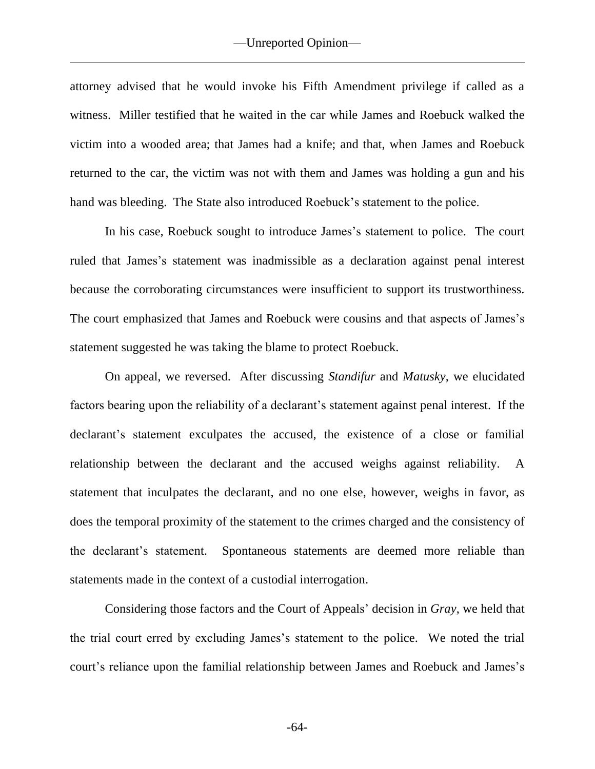attorney advised that he would invoke his Fifth Amendment privilege if called as a witness. Miller testified that he waited in the car while James and Roebuck walked the victim into a wooded area; that James had a knife; and that, when James and Roebuck returned to the car, the victim was not with them and James was holding a gun and his hand was bleeding. The State also introduced Roebuck's statement to the police.

In his case, Roebuck sought to introduce James's statement to police. The court ruled that James's statement was inadmissible as a declaration against penal interest because the corroborating circumstances were insufficient to support its trustworthiness. The court emphasized that James and Roebuck were cousins and that aspects of James's statement suggested he was taking the blame to protect Roebuck.

On appeal, we reversed. After discussing *Standifur* and *Matusky*, we elucidated factors bearing upon the reliability of a declarant's statement against penal interest. If the declarant's statement exculpates the accused, the existence of a close or familial relationship between the declarant and the accused weighs against reliability. A statement that inculpates the declarant, and no one else, however, weighs in favor, as does the temporal proximity of the statement to the crimes charged and the consistency of the declarant's statement. Spontaneous statements are deemed more reliable than statements made in the context of a custodial interrogation.

Considering those factors and the Court of Appeals' decision in *Gray*, we held that the trial court erred by excluding James's statement to the police. We noted the trial court's reliance upon the familial relationship between James and Roebuck and James's

-64-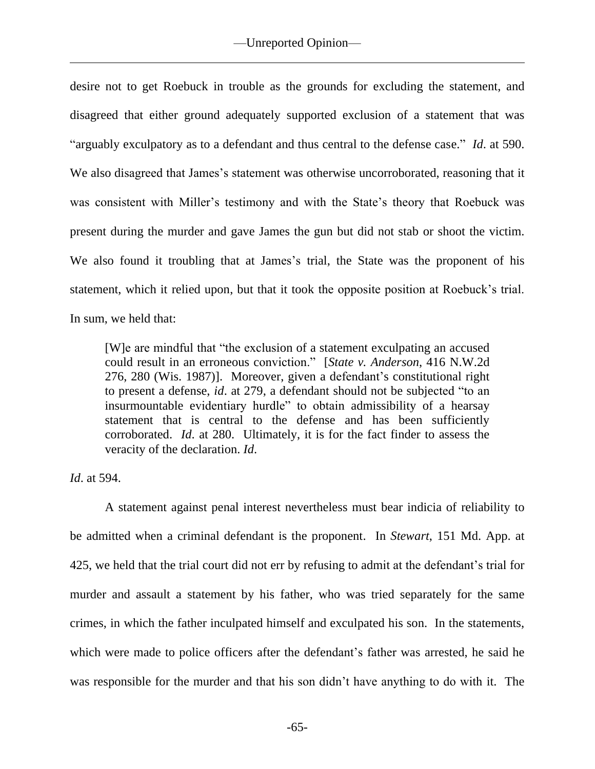desire not to get Roebuck in trouble as the grounds for excluding the statement, and disagreed that either ground adequately supported exclusion of a statement that was "arguably exculpatory as to a defendant and thus central to the defense case." *Id*. at 590. We also disagreed that James's statement was otherwise uncorroborated, reasoning that it was consistent with Miller's testimony and with the State's theory that Roebuck was present during the murder and gave James the gun but did not stab or shoot the victim. We also found it troubling that at James's trial, the State was the proponent of his statement, which it relied upon, but that it took the opposite position at Roebuck's trial. In sum, we held that:

[W]e are mindful that "the exclusion of a statement exculpating an accused could result in an erroneous conviction." [*State v. Anderson*, 416 N.W.2d 276, 280 (Wis. 1987)]. Moreover, given a defendant's constitutional right to present a defense, *id*. at 279, a defendant should not be subjected "to an insurmountable evidentiary hurdle" to obtain admissibility of a hearsay statement that is central to the defense and has been sufficiently corroborated. *Id*. at 280. Ultimately, it is for the fact finder to assess the veracity of the declaration. *Id*.

*Id*. at 594.

A statement against penal interest nevertheless must bear indicia of reliability to be admitted when a criminal defendant is the proponent. In *Stewart*, 151 Md. App. at 425, we held that the trial court did not err by refusing to admit at the defendant's trial for murder and assault a statement by his father, who was tried separately for the same crimes, in which the father inculpated himself and exculpated his son. In the statements, which were made to police officers after the defendant's father was arrested, he said he was responsible for the murder and that his son didn't have anything to do with it. The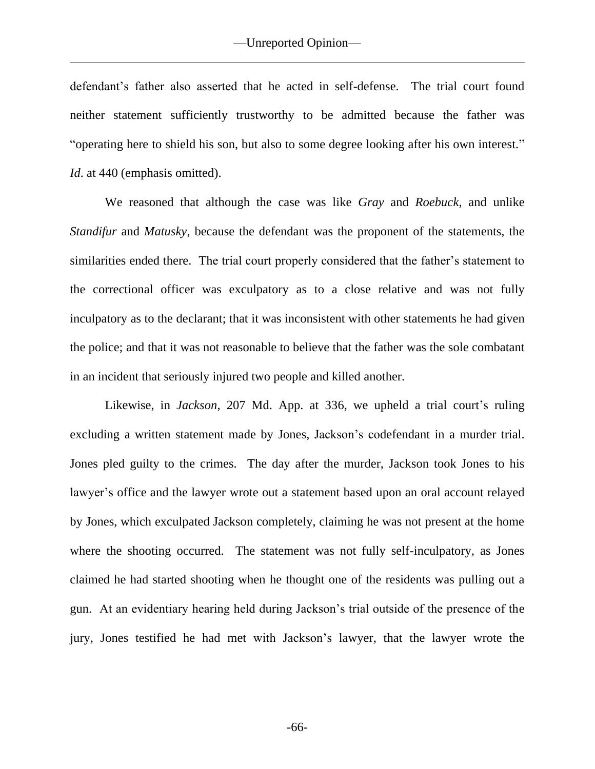defendant's father also asserted that he acted in self-defense. The trial court found neither statement sufficiently trustworthy to be admitted because the father was "operating here to shield his son, but also to some degree looking after his own interest." *Id.* at 440 (emphasis omitted).

We reasoned that although the case was like *Gray* and *Roebuck*, and unlike *Standifur* and *Matusky*, because the defendant was the proponent of the statements, the similarities ended there. The trial court properly considered that the father's statement to the correctional officer was exculpatory as to a close relative and was not fully inculpatory as to the declarant; that it was inconsistent with other statements he had given the police; and that it was not reasonable to believe that the father was the sole combatant in an incident that seriously injured two people and killed another.

Likewise, in *Jackson*, 207 Md. App. at 336, we upheld a trial court's ruling excluding a written statement made by Jones, Jackson's codefendant in a murder trial. Jones pled guilty to the crimes. The day after the murder, Jackson took Jones to his lawyer's office and the lawyer wrote out a statement based upon an oral account relayed by Jones, which exculpated Jackson completely, claiming he was not present at the home where the shooting occurred. The statement was not fully self-inculpatory, as Jones claimed he had started shooting when he thought one of the residents was pulling out a gun. At an evidentiary hearing held during Jackson's trial outside of the presence of the jury, Jones testified he had met with Jackson's lawyer, that the lawyer wrote the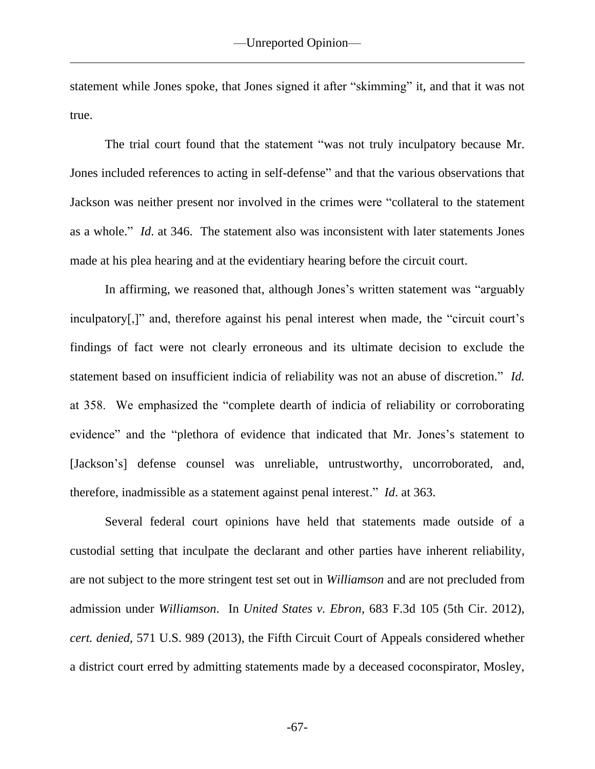statement while Jones spoke, that Jones signed it after "skimming" it, and that it was not true.

The trial court found that the statement "was not truly inculpatory because Mr. Jones included references to acting in self-defense" and that the various observations that Jackson was neither present nor involved in the crimes were "collateral to the statement as a whole." *Id*. at 346. The statement also was inconsistent with later statements Jones made at his plea hearing and at the evidentiary hearing before the circuit court.

In affirming, we reasoned that, although Jones's written statement was "arguably inculpatory[,]" and, therefore against his penal interest when made, the "circuit court's findings of fact were not clearly erroneous and its ultimate decision to exclude the statement based on insufficient indicia of reliability was not an abuse of discretion." *Id.* at 358. We emphasized the "complete dearth of indicia of reliability or corroborating evidence" and the "plethora of evidence that indicated that Mr. Jones's statement to [Jackson's] defense counsel was unreliable, untrustworthy, uncorroborated, and, therefore, inadmissible as a statement against penal interest." *Id*. at 363.

Several federal court opinions have held that statements made outside of a custodial setting that inculpate the declarant and other parties have inherent reliability, are not subject to the more stringent test set out in *Williamson* and are not precluded from admission under *Williamson*. In *United States v. Ebron*, 683 F.3d 105 (5th Cir. 2012), *cert. denied*, 571 U.S. 989 (2013), the Fifth Circuit Court of Appeals considered whether a district court erred by admitting statements made by a deceased coconspirator, Mosley,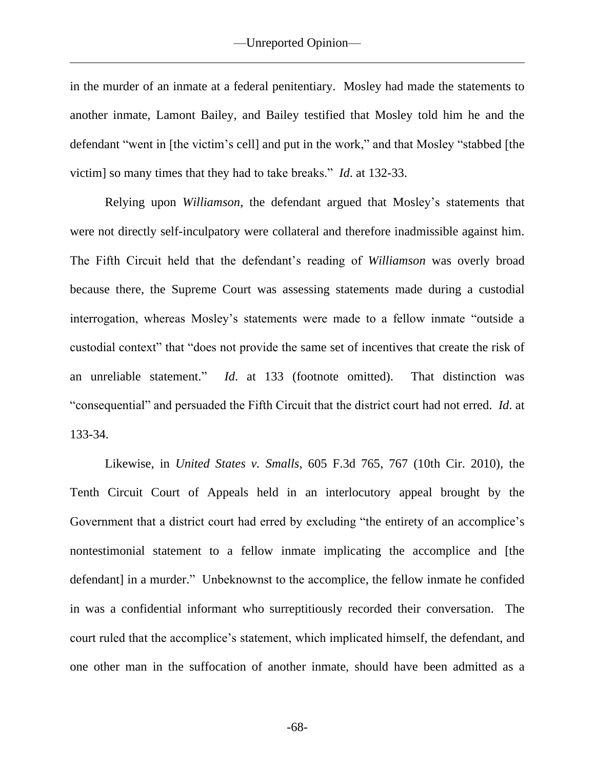in the murder of an inmate at a federal penitentiary. Mosley had made the statements to another inmate, Lamont Bailey, and Bailey testified that Mosley told him he and the defendant "went in [the victim's cell] and put in the work," and that Mosley "stabbed [the victim] so many times that they had to take breaks." *Id*. at 132-33.

Relying upon *Williamson*, the defendant argued that Mosley's statements that were not directly self-inculpatory were collateral and therefore inadmissible against him. The Fifth Circuit held that the defendant's reading of *Williamson* was overly broad because there, the Supreme Court was assessing statements made during a custodial interrogation, whereas Mosley's statements were made to a fellow inmate "outside a custodial context" that "does not provide the same set of incentives that create the risk of an unreliable statement." *Id*. at 133 (footnote omitted). That distinction was "consequential" and persuaded the Fifth Circuit that the district court had not erred. *Id*. at 133-34.

Likewise, in *United States v. Smalls*, 605 F.3d 765, 767 (10th Cir. 2010), the Tenth Circuit Court of Appeals held in an interlocutory appeal brought by the Government that a district court had erred by excluding "the entirety of an accomplice's nontestimonial statement to a fellow inmate implicating the accomplice and [the defendant] in a murder." Unbeknownst to the accomplice, the fellow inmate he confided in was a confidential informant who surreptitiously recorded their conversation. The court ruled that the accomplice's statement, which implicated himself, the defendant, and one other man in the suffocation of another inmate, should have been admitted as a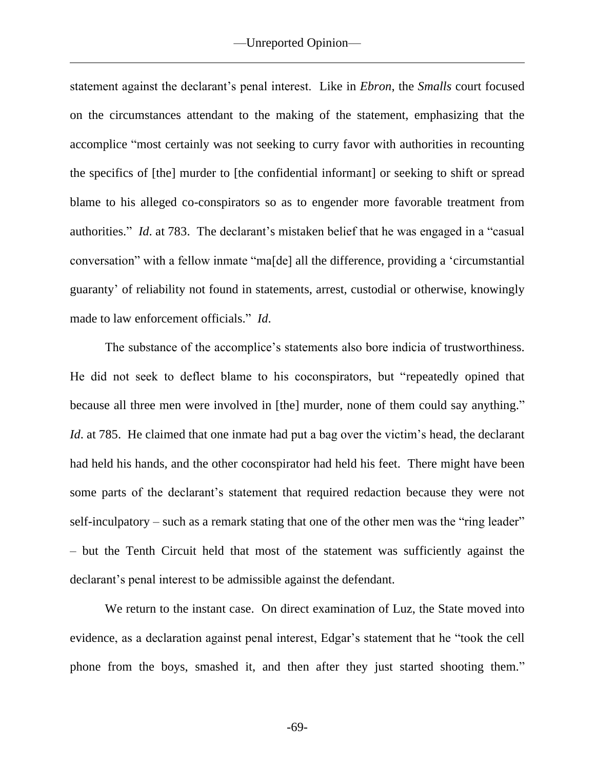statement against the declarant's penal interest. Like in *Ebron*, the *Smalls* court focused on the circumstances attendant to the making of the statement, emphasizing that the accomplice "most certainly was not seeking to curry favor with authorities in recounting the specifics of [the] murder to [the confidential informant] or seeking to shift or spread blame to his alleged co-conspirators so as to engender more favorable treatment from authorities." *Id*. at 783. The declarant's mistaken belief that he was engaged in a "casual conversation" with a fellow inmate "ma[de] all the difference, providing a 'circumstantial guaranty' of reliability not found in statements, arrest, custodial or otherwise, knowingly made to law enforcement officials." *Id*.

The substance of the accomplice's statements also bore indicia of trustworthiness. He did not seek to deflect blame to his coconspirators, but "repeatedly opined that because all three men were involved in [the] murder, none of them could say anything." *Id.* at 785. He claimed that one inmate had put a bag over the victim's head, the declarant had held his hands, and the other coconspirator had held his feet. There might have been some parts of the declarant's statement that required redaction because they were not self-inculpatory – such as a remark stating that one of the other men was the "ring leader" – but the Tenth Circuit held that most of the statement was sufficiently against the declarant's penal interest to be admissible against the defendant.

We return to the instant case. On direct examination of Luz, the State moved into evidence, as a declaration against penal interest, Edgar's statement that he "took the cell phone from the boys, smashed it, and then after they just started shooting them."

-69-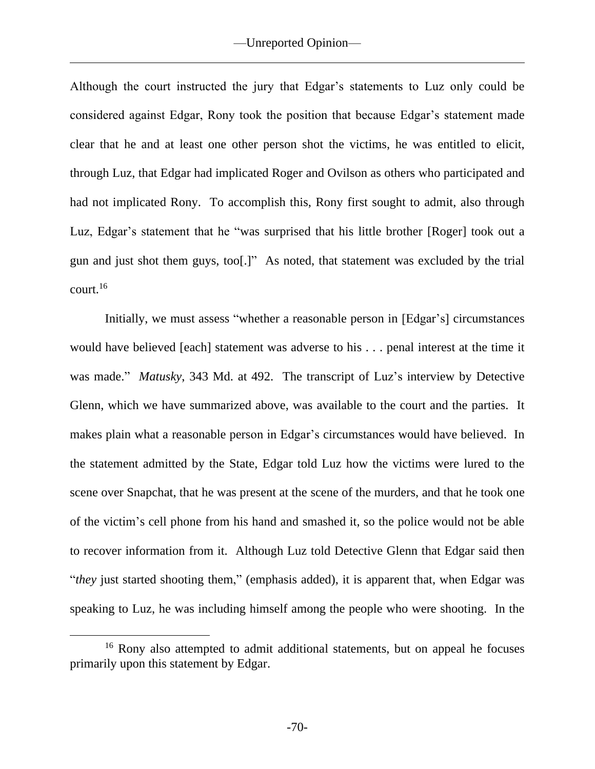Although the court instructed the jury that Edgar's statements to Luz only could be considered against Edgar, Rony took the position that because Edgar's statement made clear that he and at least one other person shot the victims, he was entitled to elicit, through Luz, that Edgar had implicated Roger and Ovilson as others who participated and had not implicated Rony. To accomplish this, Rony first sought to admit, also through Luz, Edgar's statement that he "was surprised that his little brother [Roger] took out a gun and just shot them guys, too[.]" As noted, that statement was excluded by the trial court.<sup>16</sup>

Initially, we must assess "whether a reasonable person in [Edgar's] circumstances would have believed [each] statement was adverse to his . . . penal interest at the time it was made." *Matusky*, 343 Md. at 492. The transcript of Luz's interview by Detective Glenn, which we have summarized above, was available to the court and the parties. It makes plain what a reasonable person in Edgar's circumstances would have believed. In the statement admitted by the State, Edgar told Luz how the victims were lured to the scene over Snapchat, that he was present at the scene of the murders, and that he took one of the victim's cell phone from his hand and smashed it, so the police would not be able to recover information from it. Although Luz told Detective Glenn that Edgar said then "*they* just started shooting them," (emphasis added), it is apparent that, when Edgar was speaking to Luz, he was including himself among the people who were shooting. In the

<sup>&</sup>lt;sup>16</sup> Rony also attempted to admit additional statements, but on appeal he focuses primarily upon this statement by Edgar.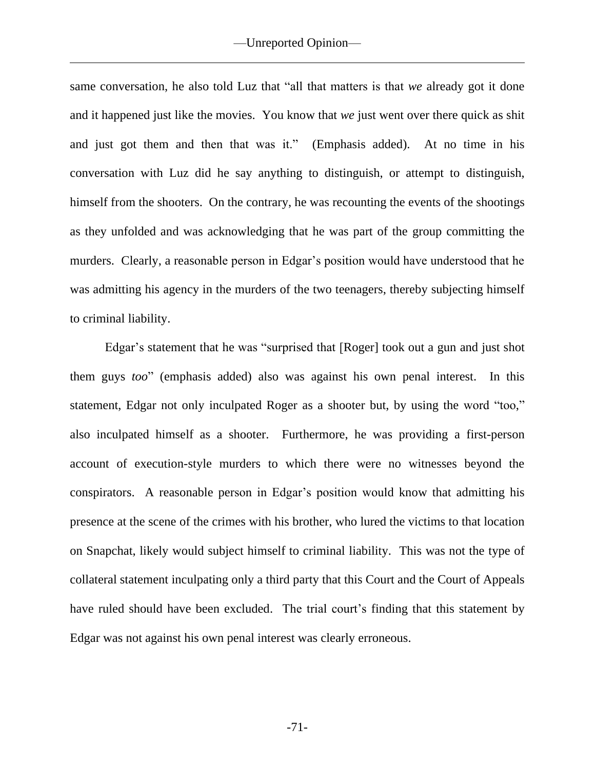same conversation, he also told Luz that "all that matters is that *we* already got it done and it happened just like the movies. You know that *we* just went over there quick as shit and just got them and then that was it." (Emphasis added). At no time in his conversation with Luz did he say anything to distinguish, or attempt to distinguish, himself from the shooters. On the contrary, he was recounting the events of the shootings as they unfolded and was acknowledging that he was part of the group committing the murders. Clearly, a reasonable person in Edgar's position would have understood that he was admitting his agency in the murders of the two teenagers, thereby subjecting himself to criminal liability.

Edgar's statement that he was "surprised that [Roger] took out a gun and just shot them guys *too*" (emphasis added) also was against his own penal interest. In this statement, Edgar not only inculpated Roger as a shooter but, by using the word "too," also inculpated himself as a shooter. Furthermore, he was providing a first-person account of execution-style murders to which there were no witnesses beyond the conspirators. A reasonable person in Edgar's position would know that admitting his presence at the scene of the crimes with his brother, who lured the victims to that location on Snapchat, likely would subject himself to criminal liability. This was not the type of collateral statement inculpating only a third party that this Court and the Court of Appeals have ruled should have been excluded. The trial court's finding that this statement by Edgar was not against his own penal interest was clearly erroneous.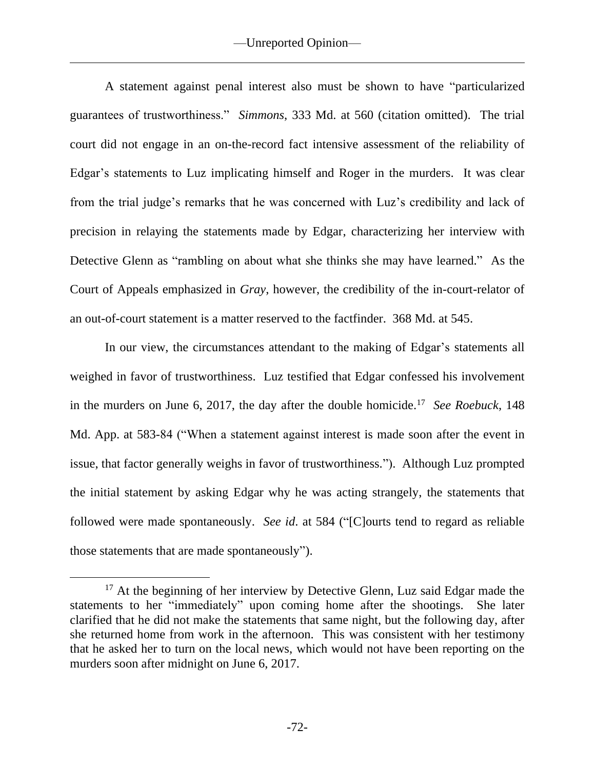A statement against penal interest also must be shown to have "particularized guarantees of trustworthiness." *Simmons*, 333 Md. at 560 (citation omitted). The trial court did not engage in an on-the-record fact intensive assessment of the reliability of Edgar's statements to Luz implicating himself and Roger in the murders. It was clear from the trial judge's remarks that he was concerned with Luz's credibility and lack of precision in relaying the statements made by Edgar, characterizing her interview with Detective Glenn as "rambling on about what she thinks she may have learned." As the Court of Appeals emphasized in *Gray*, however, the credibility of the in-court-relator of an out-of-court statement is a matter reserved to the factfinder. 368 Md. at 545.

In our view, the circumstances attendant to the making of Edgar's statements all weighed in favor of trustworthiness. Luz testified that Edgar confessed his involvement in the murders on June  $6, 2017$ , the day after the double homicide.<sup>17</sup> See Roebuck, 148 Md. App. at 583-84 ("When a statement against interest is made soon after the event in issue, that factor generally weighs in favor of trustworthiness."). Although Luz prompted the initial statement by asking Edgar why he was acting strangely, the statements that followed were made spontaneously. *See id*. at 584 ("[C]ourts tend to regard as reliable those statements that are made spontaneously").

 $17$  At the beginning of her interview by Detective Glenn, Luz said Edgar made the statements to her "immediately" upon coming home after the shootings. She later clarified that he did not make the statements that same night, but the following day, after she returned home from work in the afternoon. This was consistent with her testimony that he asked her to turn on the local news, which would not have been reporting on the murders soon after midnight on June 6, 2017.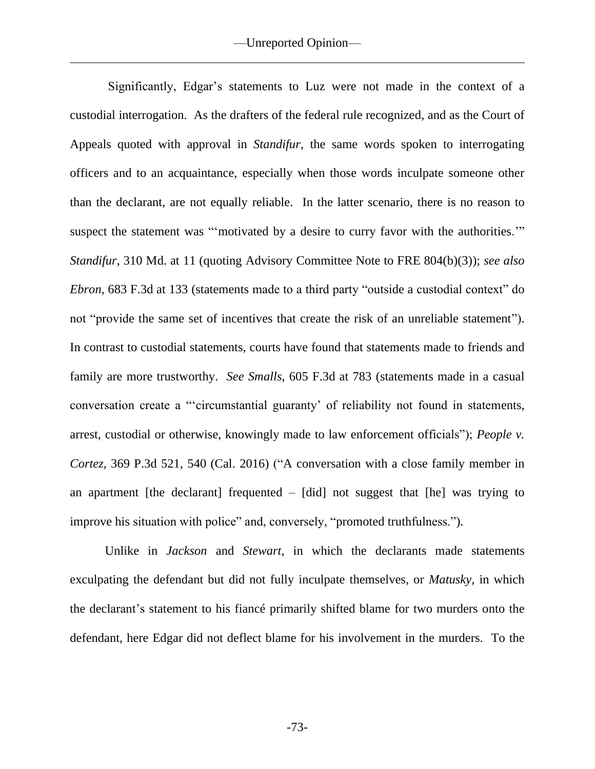Significantly, Edgar's statements to Luz were not made in the context of a custodial interrogation. As the drafters of the federal rule recognized, and as the Court of Appeals quoted with approval in *Standifur*, the same words spoken to interrogating officers and to an acquaintance, especially when those words inculpate someone other than the declarant, are not equally reliable. In the latter scenario, there is no reason to suspect the statement was "'motivated by a desire to curry favor with the authorities." *Standifur*, 310 Md. at 11 (quoting Advisory Committee Note to FRE 804(b)(3)); *see also Ebron*, 683 F.3d at 133 (statements made to a third party "outside a custodial context" do not "provide the same set of incentives that create the risk of an unreliable statement"). In contrast to custodial statements, courts have found that statements made to friends and family are more trustworthy. *See Smalls*, 605 F.3d at 783 (statements made in a casual conversation create a "'circumstantial guaranty' of reliability not found in statements, arrest, custodial or otherwise, knowingly made to law enforcement officials"); *People v. Cortez*, 369 P.3d 521, 540 (Cal. 2016) ("A conversation with a close family member in an apartment [the declarant] frequented  $-$  [did] not suggest that [he] was trying to improve his situation with police" and, conversely, "promoted truthfulness.").

Unlike in *Jackson* and *Stewart*, in which the declarants made statements exculpating the defendant but did not fully inculpate themselves, or *Matusky*, in which the declarant's statement to his fiancé primarily shifted blame for two murders onto the defendant, here Edgar did not deflect blame for his involvement in the murders. To the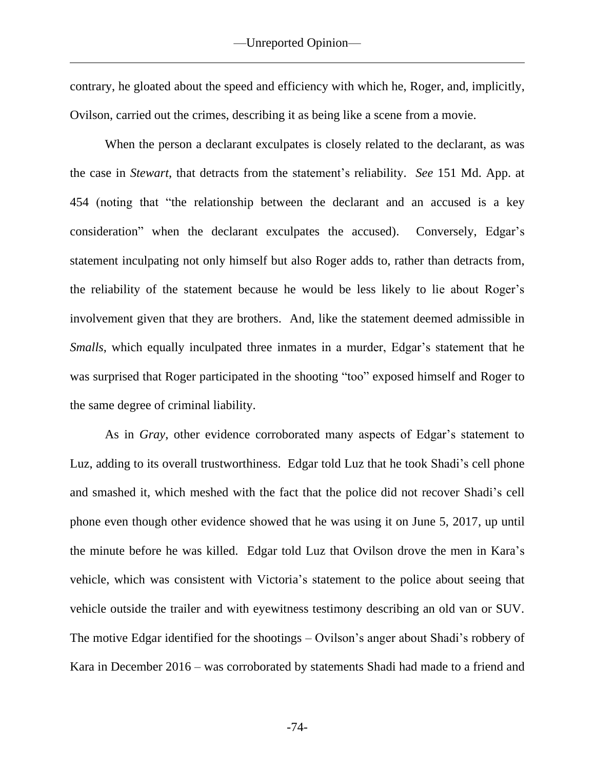contrary, he gloated about the speed and efficiency with which he, Roger, and, implicitly, Ovilson, carried out the crimes, describing it as being like a scene from a movie.

When the person a declarant exculpates is closely related to the declarant, as was the case in *Stewart*, that detracts from the statement's reliability. *See* 151 Md. App. at 454 (noting that "the relationship between the declarant and an accused is a key consideration" when the declarant exculpates the accused). Conversely, Edgar's statement inculpating not only himself but also Roger adds to, rather than detracts from, the reliability of the statement because he would be less likely to lie about Roger's involvement given that they are brothers. And, like the statement deemed admissible in *Smalls*, which equally inculpated three inmates in a murder, Edgar's statement that he was surprised that Roger participated in the shooting "too" exposed himself and Roger to the same degree of criminal liability.

As in *Gray*, other evidence corroborated many aspects of Edgar's statement to Luz, adding to its overall trustworthiness. Edgar told Luz that he took Shadi's cell phone and smashed it, which meshed with the fact that the police did not recover Shadi's cell phone even though other evidence showed that he was using it on June 5, 2017, up until the minute before he was killed. Edgar told Luz that Ovilson drove the men in Kara's vehicle, which was consistent with Victoria's statement to the police about seeing that vehicle outside the trailer and with eyewitness testimony describing an old van or SUV. The motive Edgar identified for the shootings – Ovilson's anger about Shadi's robbery of Kara in December 2016 – was corroborated by statements Shadi had made to a friend and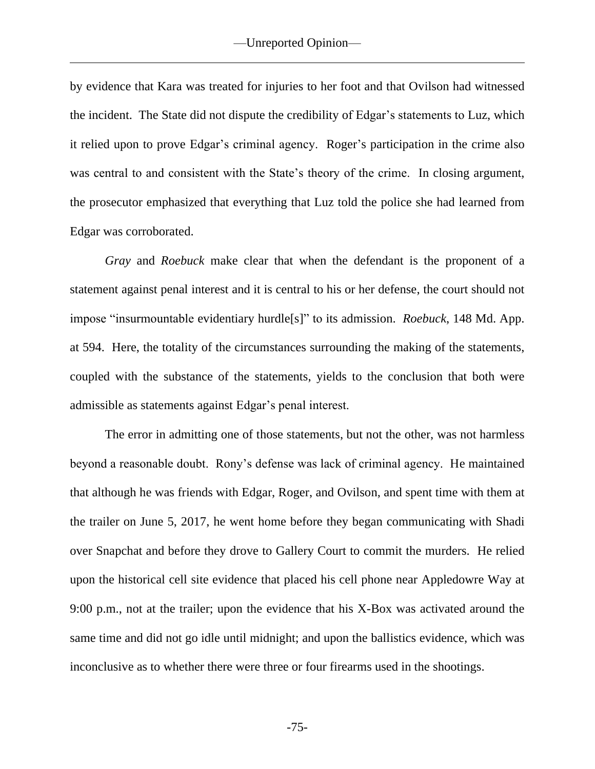by evidence that Kara was treated for injuries to her foot and that Ovilson had witnessed the incident. The State did not dispute the credibility of Edgar's statements to Luz, which it relied upon to prove Edgar's criminal agency. Roger's participation in the crime also was central to and consistent with the State's theory of the crime. In closing argument, the prosecutor emphasized that everything that Luz told the police she had learned from Edgar was corroborated.

*Gray* and *Roebuck* make clear that when the defendant is the proponent of a statement against penal interest and it is central to his or her defense, the court should not impose "insurmountable evidentiary hurdle[s]" to its admission. *Roebuck*, 148 Md. App. at 594. Here, the totality of the circumstances surrounding the making of the statements, coupled with the substance of the statements, yields to the conclusion that both were admissible as statements against Edgar's penal interest.

The error in admitting one of those statements, but not the other, was not harmless beyond a reasonable doubt. Rony's defense was lack of criminal agency. He maintained that although he was friends with Edgar, Roger, and Ovilson, and spent time with them at the trailer on June 5, 2017, he went home before they began communicating with Shadi over Snapchat and before they drove to Gallery Court to commit the murders. He relied upon the historical cell site evidence that placed his cell phone near Appledowre Way at 9:00 p.m., not at the trailer; upon the evidence that his X-Box was activated around the same time and did not go idle until midnight; and upon the ballistics evidence, which was inconclusive as to whether there were three or four firearms used in the shootings.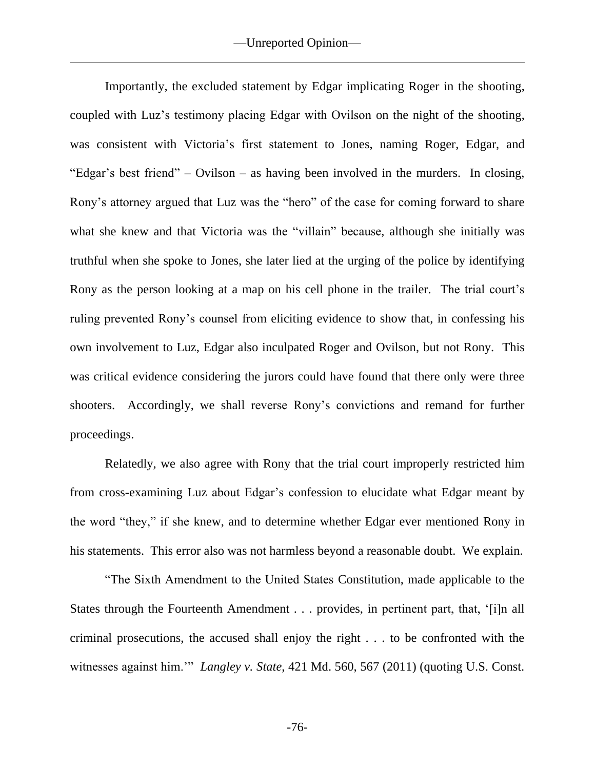Importantly, the excluded statement by Edgar implicating Roger in the shooting, coupled with Luz's testimony placing Edgar with Ovilson on the night of the shooting, was consistent with Victoria's first statement to Jones, naming Roger, Edgar, and "Edgar's best friend" – Ovilson – as having been involved in the murders. In closing, Rony's attorney argued that Luz was the "hero" of the case for coming forward to share what she knew and that Victoria was the "villain" because, although she initially was truthful when she spoke to Jones, she later lied at the urging of the police by identifying Rony as the person looking at a map on his cell phone in the trailer. The trial court's ruling prevented Rony's counsel from eliciting evidence to show that, in confessing his own involvement to Luz, Edgar also inculpated Roger and Ovilson, but not Rony. This was critical evidence considering the jurors could have found that there only were three shooters. Accordingly, we shall reverse Rony's convictions and remand for further proceedings.

Relatedly, we also agree with Rony that the trial court improperly restricted him from cross-examining Luz about Edgar's confession to elucidate what Edgar meant by the word "they," if she knew, and to determine whether Edgar ever mentioned Rony in his statements. This error also was not harmless beyond a reasonable doubt. We explain.

"The Sixth Amendment to the United States Constitution, made applicable to the States through the Fourteenth Amendment . . . provides, in pertinent part, that, '[i]n all criminal prosecutions, the accused shall enjoy the right . . . to be confronted with the witnesses against him.'" *Langley v. State*, 421 Md. 560, 567 (2011) (quoting U.S. Const.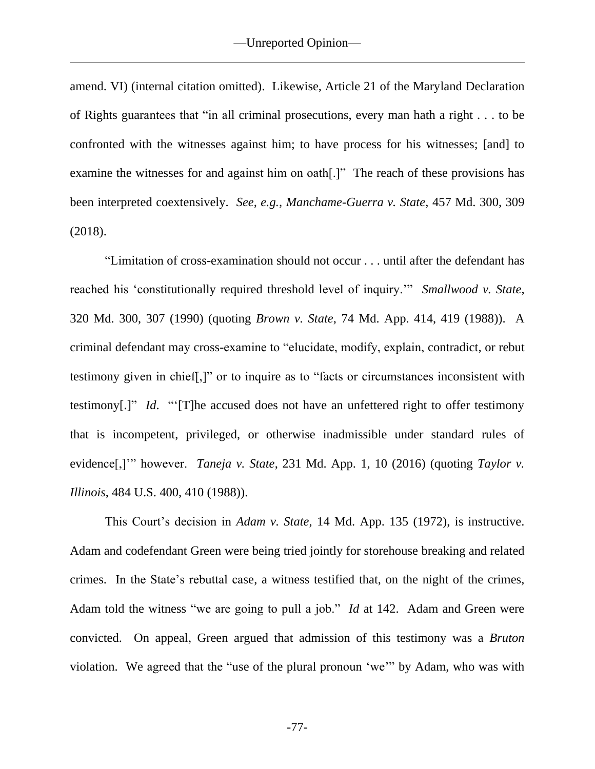amend. VI) (internal citation omitted). Likewise, Article 21 of the Maryland Declaration of Rights guarantees that "in all criminal prosecutions, every man hath a right . . . to be confronted with the witnesses against him; to have process for his witnesses; [and] to examine the witnesses for and against him on oath[.]" The reach of these provisions has been interpreted coextensively. *See, e.g., Manchame-Guerra v. State*, 457 Md. 300, 309 (2018).

"Limitation of cross-examination should not occur . . . until after the defendant has reached his 'constitutionally required threshold level of inquiry.'" *Smallwood v. State*, 320 Md. 300, 307 (1990) (quoting *Brown v. State*, 74 Md. App. 414, 419 (1988)). A criminal defendant may cross-examine to "elucidate, modify, explain, contradict, or rebut testimony given in chief[,]" or to inquire as to "facts or circumstances inconsistent with testimony[.]" *Id*. "'[T]he accused does not have an unfettered right to offer testimony that is incompetent, privileged, or otherwise inadmissible under standard rules of evidence[,]" however. *Taneja v. State*, 231 Md. App. 1, 10 (2016) (quoting *Taylor v. Illinois*, 484 U.S. 400, 410 (1988)).

This Court's decision in *Adam v. State*, 14 Md. App. 135 (1972), is instructive. Adam and codefendant Green were being tried jointly for storehouse breaking and related crimes. In the State's rebuttal case, a witness testified that, on the night of the crimes, Adam told the witness "we are going to pull a job." *Id* at 142. Adam and Green were convicted. On appeal, Green argued that admission of this testimony was a *Bruton* violation. We agreed that the "use of the plural pronoun 'we'" by Adam, who was with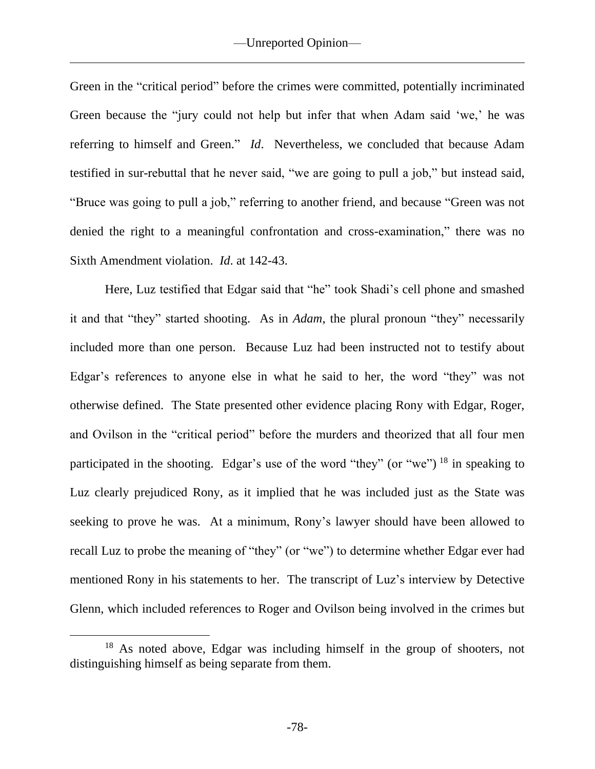Green in the "critical period" before the crimes were committed, potentially incriminated Green because the "jury could not help but infer that when Adam said 'we,' he was referring to himself and Green." *Id*. Nevertheless, we concluded that because Adam testified in sur-rebuttal that he never said, "we are going to pull a job," but instead said, "Bruce was going to pull a job," referring to another friend, and because "Green was not denied the right to a meaningful confrontation and cross-examination," there was no Sixth Amendment violation. *Id*. at 142-43.

Here, Luz testified that Edgar said that "he" took Shadi's cell phone and smashed it and that "they" started shooting. As in *Adam*, the plural pronoun "they" necessarily included more than one person. Because Luz had been instructed not to testify about Edgar's references to anyone else in what he said to her, the word "they" was not otherwise defined. The State presented other evidence placing Rony with Edgar, Roger, and Ovilson in the "critical period" before the murders and theorized that all four men participated in the shooting. Edgar's use of the word "they" (or "we") <sup>18</sup> in speaking to Luz clearly prejudiced Rony, as it implied that he was included just as the State was seeking to prove he was. At a minimum, Rony's lawyer should have been allowed to recall Luz to probe the meaning of "they" (or "we") to determine whether Edgar ever had mentioned Rony in his statements to her. The transcript of Luz's interview by Detective Glenn, which included references to Roger and Ovilson being involved in the crimes but

<sup>18</sup> As noted above, Edgar was including himself in the group of shooters, not distinguishing himself as being separate from them.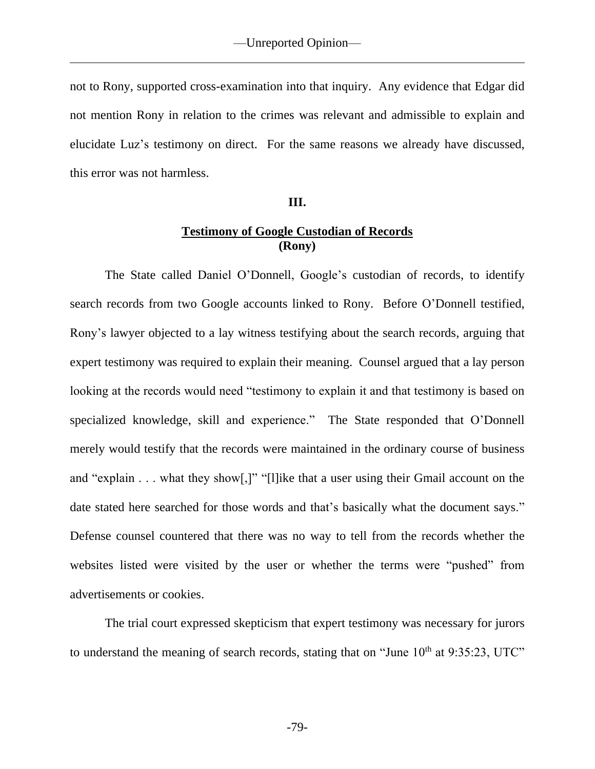not to Rony, supported cross-examination into that inquiry. Any evidence that Edgar did not mention Rony in relation to the crimes was relevant and admissible to explain and elucidate Luz's testimony on direct. For the same reasons we already have discussed, this error was not harmless.

## **III.**

## **Testimony of Google Custodian of Records (Rony)**

The State called Daniel O'Donnell, Google's custodian of records, to identify search records from two Google accounts linked to Rony. Before O'Donnell testified, Rony's lawyer objected to a lay witness testifying about the search records, arguing that expert testimony was required to explain their meaning. Counsel argued that a lay person looking at the records would need "testimony to explain it and that testimony is based on specialized knowledge, skill and experience." The State responded that O'Donnell merely would testify that the records were maintained in the ordinary course of business and "explain . . . what they show[,]" "[l]ike that a user using their Gmail account on the date stated here searched for those words and that's basically what the document says." Defense counsel countered that there was no way to tell from the records whether the websites listed were visited by the user or whether the terms were "pushed" from advertisements or cookies.

The trial court expressed skepticism that expert testimony was necessary for jurors to understand the meaning of search records, stating that on "June  $10<sup>th</sup>$  at 9:35:23, UTC"

-79-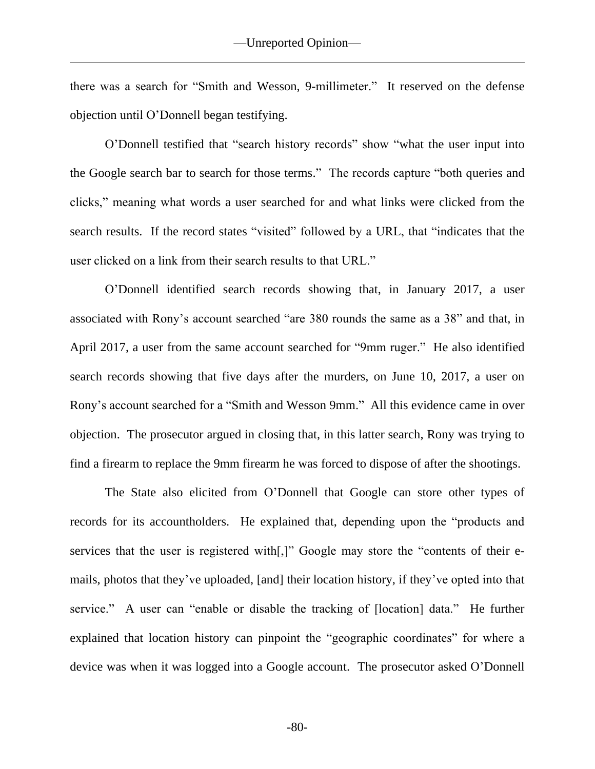there was a search for "Smith and Wesson, 9-millimeter." It reserved on the defense objection until O'Donnell began testifying.

O'Donnell testified that "search history records" show "what the user input into the Google search bar to search for those terms." The records capture "both queries and clicks," meaning what words a user searched for and what links were clicked from the search results. If the record states "visited" followed by a URL, that "indicates that the user clicked on a link from their search results to that URL."

O'Donnell identified search records showing that, in January 2017, a user associated with Rony's account searched "are 380 rounds the same as a 38" and that, in April 2017, a user from the same account searched for "9mm ruger." He also identified search records showing that five days after the murders, on June 10, 2017, a user on Rony's account searched for a "Smith and Wesson 9mm." All this evidence came in over objection. The prosecutor argued in closing that, in this latter search, Rony was trying to find a firearm to replace the 9mm firearm he was forced to dispose of after the shootings.

The State also elicited from O'Donnell that Google can store other types of records for its accountholders. He explained that, depending upon the "products and services that the user is registered with[,]" Google may store the "contents of their emails, photos that they've uploaded, [and] their location history, if they've opted into that service." A user can "enable or disable the tracking of [location] data." He further explained that location history can pinpoint the "geographic coordinates" for where a device was when it was logged into a Google account. The prosecutor asked O'Donnell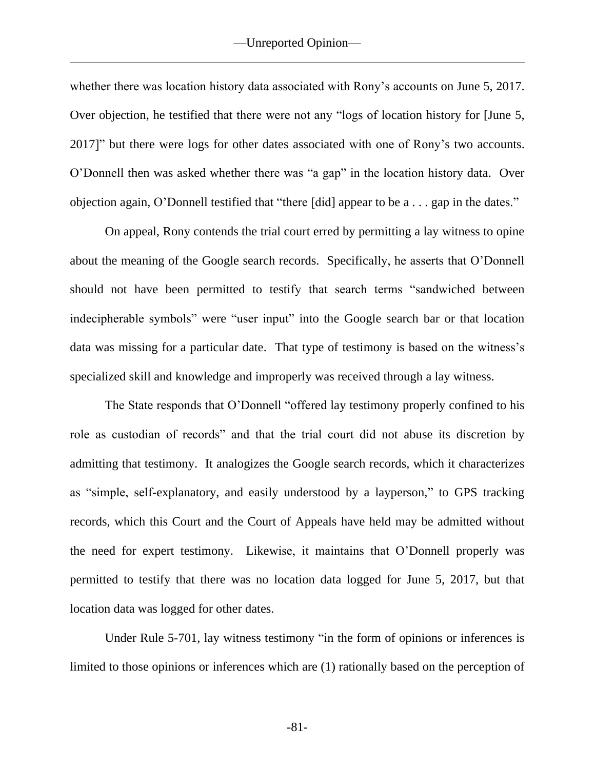whether there was location history data associated with Rony's accounts on June 5, 2017. Over objection, he testified that there were not any "logs of location history for [June 5, 2017]" but there were logs for other dates associated with one of Rony's two accounts. O'Donnell then was asked whether there was "a gap" in the location history data. Over objection again, O'Donnell testified that "there [did] appear to be a . . . gap in the dates."

On appeal, Rony contends the trial court erred by permitting a lay witness to opine about the meaning of the Google search records. Specifically, he asserts that O'Donnell should not have been permitted to testify that search terms "sandwiched between indecipherable symbols" were "user input" into the Google search bar or that location data was missing for a particular date. That type of testimony is based on the witness's specialized skill and knowledge and improperly was received through a lay witness.

The State responds that O'Donnell "offered lay testimony properly confined to his role as custodian of records" and that the trial court did not abuse its discretion by admitting that testimony. It analogizes the Google search records, which it characterizes as "simple, self-explanatory, and easily understood by a layperson," to GPS tracking records, which this Court and the Court of Appeals have held may be admitted without the need for expert testimony. Likewise, it maintains that O'Donnell properly was permitted to testify that there was no location data logged for June 5, 2017, but that location data was logged for other dates.

Under Rule 5-701, lay witness testimony "in the form of opinions or inferences is limited to those opinions or inferences which are (1) rationally based on the perception of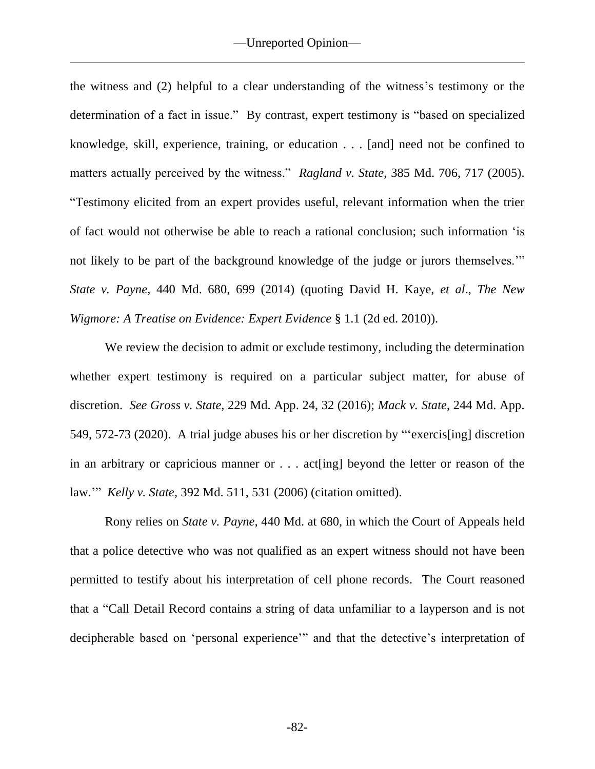the witness and (2) helpful to a clear understanding of the witness's testimony or the determination of a fact in issue." By contrast, expert testimony is "based on specialized knowledge, skill, experience, training, or education . . . [and] need not be confined to matters actually perceived by the witness." *Ragland v. State*, 385 Md. 706, 717 (2005). "Testimony elicited from an expert provides useful, relevant information when the trier of fact would not otherwise be able to reach a rational conclusion; such information 'is not likely to be part of the background knowledge of the judge or jurors themselves.'" *State v. Payne,* 440 Md. 680, 699 (2014) (quoting David H. Kaye, *et al*., *The New Wigmore: A Treatise on Evidence: Expert Evidence* § 1.1 (2d ed. 2010)).

We review the decision to admit or exclude testimony, including the determination whether expert testimony is required on a particular subject matter, for abuse of discretion. *See Gross v. State*, 229 Md. App. 24, 32 (2016); *Mack v. State*, 244 Md. App. 549, 572-73 (2020). A trial judge abuses his or her discretion by "'exercis[ing] discretion in an arbitrary or capricious manner or . . . act[ing] beyond the letter or reason of the law.'" *Kelly v. State*, 392 Md. 511, 531 (2006) (citation omitted).

Rony relies on *State v. Payne,* 440 Md. at 680, in which the Court of Appeals held that a police detective who was not qualified as an expert witness should not have been permitted to testify about his interpretation of cell phone records. The Court reasoned that a "Call Detail Record contains a string of data unfamiliar to a layperson and is not decipherable based on 'personal experience'" and that the detective's interpretation of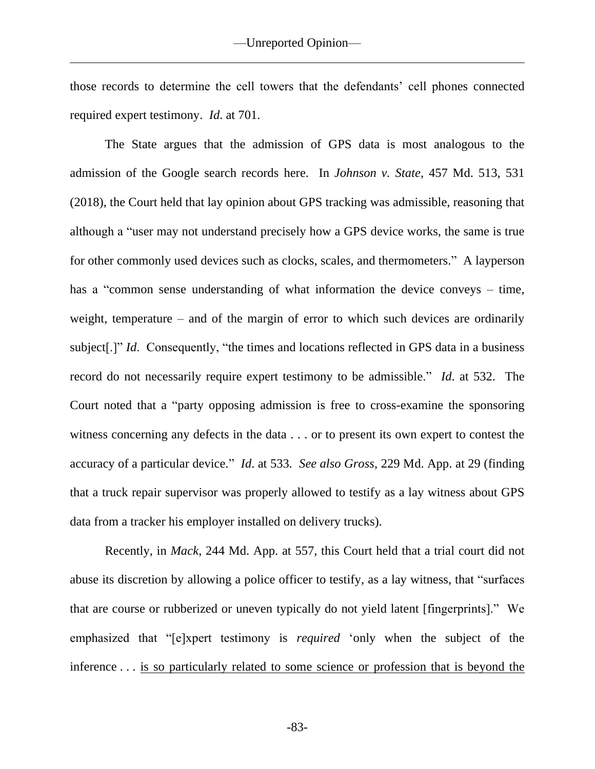those records to determine the cell towers that the defendants' cell phones connected required expert testimony. *Id*. at 701.

The State argues that the admission of GPS data is most analogous to the admission of the Google search records here. In *Johnson v. State*, 457 Md. 513, 531 (2018), the Court held that lay opinion about GPS tracking was admissible, reasoning that although a "user may not understand precisely how a GPS device works, the same is true for other commonly used devices such as clocks, scales, and thermometers." A layperson has a "common sense understanding of what information the device conveys – time, weight, temperature – and of the margin of error to which such devices are ordinarily subject[.]" *Id*. Consequently, "the times and locations reflected in GPS data in a business record do not necessarily require expert testimony to be admissible." *Id*. at 532. The Court noted that a "party opposing admission is free to cross-examine the sponsoring witness concerning any defects in the data . . . or to present its own expert to contest the accuracy of a particular device." *Id*. at 533*. See also Gross*, 229 Md. App. at 29 (finding that a truck repair supervisor was properly allowed to testify as a lay witness about GPS data from a tracker his employer installed on delivery trucks).

Recently, in *Mack*, 244 Md. App. at 557, this Court held that a trial court did not abuse its discretion by allowing a police officer to testify, as a lay witness, that "surfaces that are course or rubberized or uneven typically do not yield latent [fingerprints]." We emphasized that "[e]xpert testimony is *required* 'only when the subject of the inference . . . is so particularly related to some science or profession that is beyond the

-83-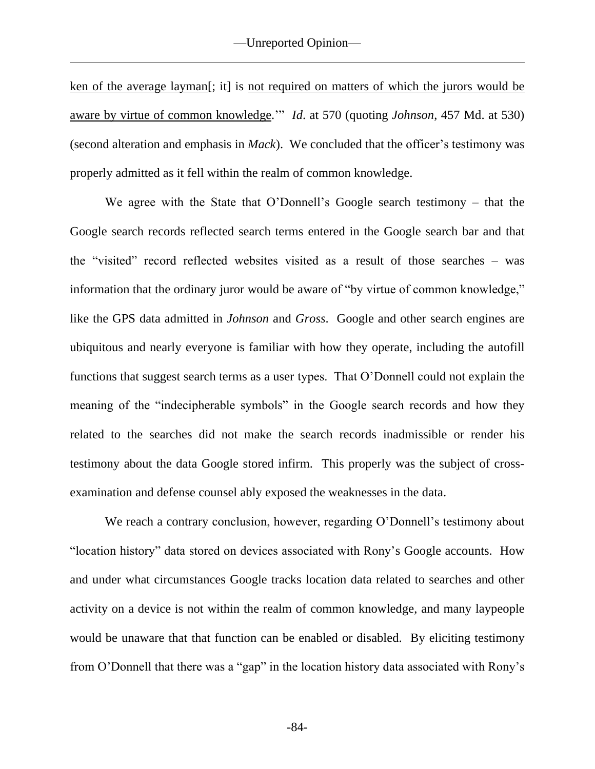ken of the average layman[; it] is not required on matters of which the jurors would be aware by virtue of common knowledge.'" *Id*. at 570 (quoting *Johnson*, 457 Md. at 530) (second alteration and emphasis in *Mack*). We concluded that the officer's testimony was properly admitted as it fell within the realm of common knowledge.

We agree with the State that O'Donnell's Google search testimony – that the Google search records reflected search terms entered in the Google search bar and that the "visited" record reflected websites visited as a result of those searches – was information that the ordinary juror would be aware of "by virtue of common knowledge," like the GPS data admitted in *Johnson* and *Gross*. Google and other search engines are ubiquitous and nearly everyone is familiar with how they operate, including the autofill functions that suggest search terms as a user types. That O'Donnell could not explain the meaning of the "indecipherable symbols" in the Google search records and how they related to the searches did not make the search records inadmissible or render his testimony about the data Google stored infirm. This properly was the subject of crossexamination and defense counsel ably exposed the weaknesses in the data.

We reach a contrary conclusion, however, regarding O'Donnell's testimony about "location history" data stored on devices associated with Rony's Google accounts. How and under what circumstances Google tracks location data related to searches and other activity on a device is not within the realm of common knowledge, and many laypeople would be unaware that that function can be enabled or disabled. By eliciting testimony from O'Donnell that there was a "gap" in the location history data associated with Rony's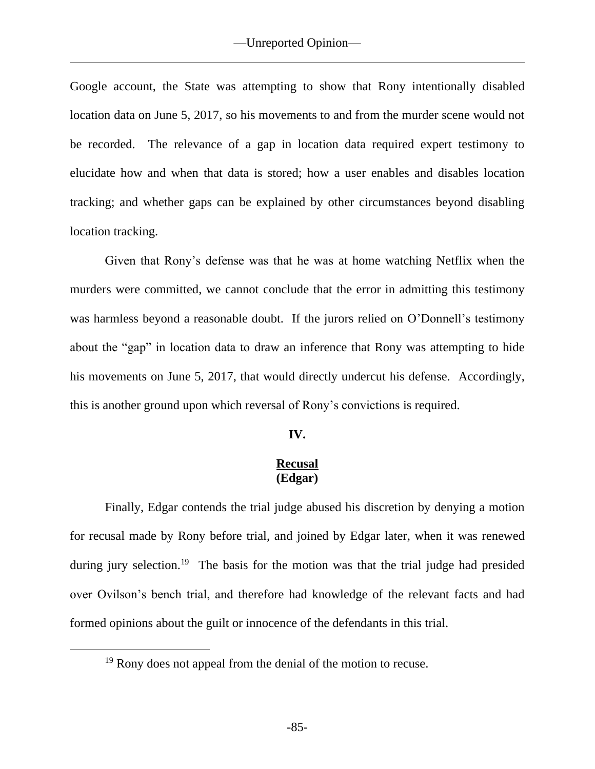Google account, the State was attempting to show that Rony intentionally disabled location data on June 5, 2017, so his movements to and from the murder scene would not be recorded. The relevance of a gap in location data required expert testimony to elucidate how and when that data is stored; how a user enables and disables location tracking; and whether gaps can be explained by other circumstances beyond disabling location tracking.

Given that Rony's defense was that he was at home watching Netflix when the murders were committed, we cannot conclude that the error in admitting this testimony was harmless beyond a reasonable doubt. If the jurors relied on O'Donnell's testimony about the "gap" in location data to draw an inference that Rony was attempting to hide his movements on June 5, 2017, that would directly undercut his defense. Accordingly, this is another ground upon which reversal of Rony's convictions is required.

## **IV.**

## **Recusal (Edgar)**

Finally, Edgar contends the trial judge abused his discretion by denying a motion for recusal made by Rony before trial, and joined by Edgar later, when it was renewed during jury selection.<sup>19</sup> The basis for the motion was that the trial judge had presided over Ovilson's bench trial, and therefore had knowledge of the relevant facts and had formed opinions about the guilt or innocence of the defendants in this trial.

<sup>&</sup>lt;sup>19</sup> Rony does not appeal from the denial of the motion to recuse.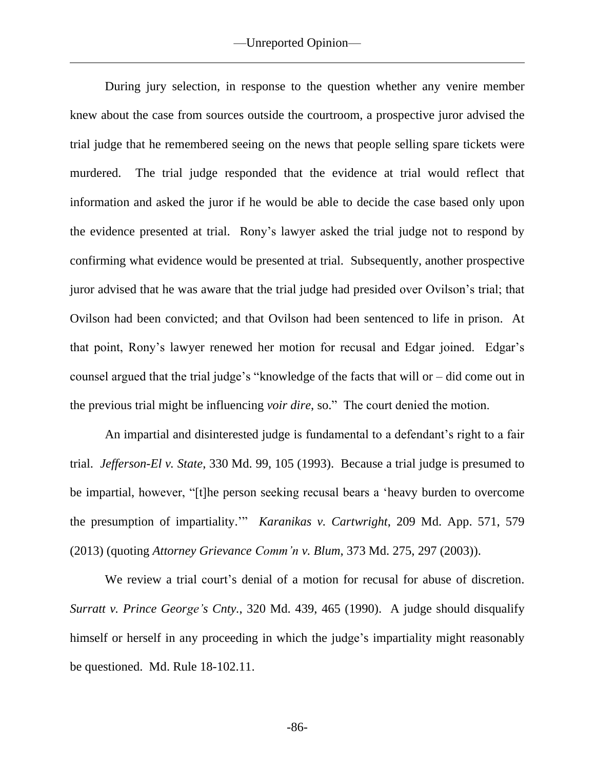During jury selection, in response to the question whether any venire member knew about the case from sources outside the courtroom, a prospective juror advised the trial judge that he remembered seeing on the news that people selling spare tickets were murdered. The trial judge responded that the evidence at trial would reflect that information and asked the juror if he would be able to decide the case based only upon the evidence presented at trial. Rony's lawyer asked the trial judge not to respond by confirming what evidence would be presented at trial. Subsequently, another prospective juror advised that he was aware that the trial judge had presided over Ovilson's trial; that Ovilson had been convicted; and that Ovilson had been sentenced to life in prison. At that point, Rony's lawyer renewed her motion for recusal and Edgar joined. Edgar's counsel argued that the trial judge's "knowledge of the facts that will or – did come out in the previous trial might be influencing *voir dire*, so." The court denied the motion.

An impartial and disinterested judge is fundamental to a defendant's right to a fair trial. *Jefferson-El v. State*, 330 Md. 99, 105 (1993). Because a trial judge is presumed to be impartial, however, "[t]he person seeking recusal bears a 'heavy burden to overcome the presumption of impartiality.'" *Karanikas v. Cartwright*, 209 Md. App. 571, 579 (2013) (quoting *Attorney Grievance Comm'n v. Blum*, 373 Md. 275, 297 (2003)).

We review a trial court's denial of a motion for recusal for abuse of discretion. *Surratt v. Prince George's Cnty.*, 320 Md. 439, 465 (1990). A judge should disqualify himself or herself in any proceeding in which the judge's impartiality might reasonably be questioned. Md. Rule 18-102.11.

-86-